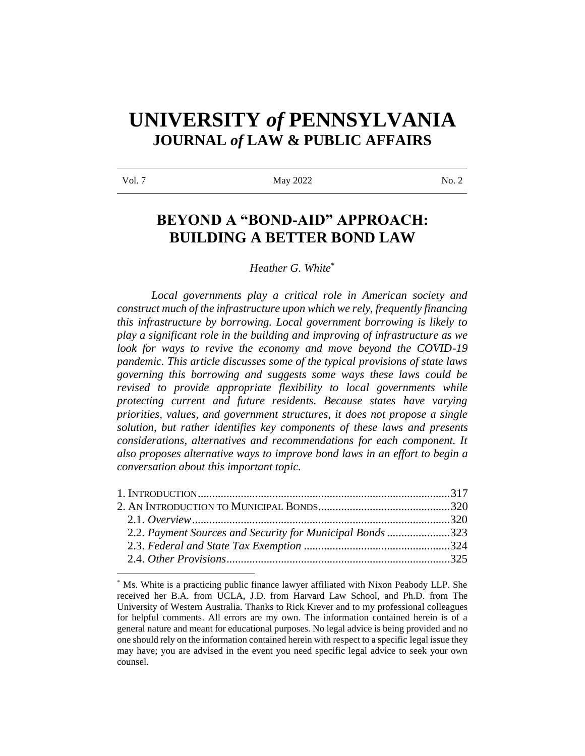# **UNIVERSITY** *of* **PENNSYLVANIA JOURNAL** *of* **LAW & PUBLIC AFFAIRS**

| ×<br>۰.<br>, |
|--------------|
|--------------|

May 2022 No. 2

## **BEYOND A "BOND-AID" APPROACH: BUILDING A BETTER BOND LAW**

*Heather G. White*\*

*Local governments play a critical role in American society and construct much of the infrastructure upon which we rely, frequently financing this infrastructure by borrowing. Local government borrowing is likely to play a significant role in the building and improving of infrastructure as we*  look for ways to revive the economy and move beyond the COVID-19 *pandemic. This article discusses some of the typical provisions of state laws governing this borrowing and suggests some ways these laws could be revised to provide appropriate flexibility to local governments while protecting current and future residents. Because states have varying priorities, values, and government structures, it does not propose a single solution, but rather identifies key components of these laws and presents considerations, alternatives and recommendations for each component. It also proposes alternative ways to improve bond laws in an effort to begin a conversation about this important topic.* 

| 2.2. Payment Sources and Security for Municipal Bonds 323 |
|-----------------------------------------------------------|
|                                                           |
|                                                           |
|                                                           |

<sup>\*</sup> Ms. White is a practicing public finance lawyer affiliated with Nixon Peabody LLP. She received her B.A. from UCLA, J.D. from Harvard Law School, and Ph.D. from The University of Western Australia. Thanks to Rick Krever and to my professional colleagues for helpful comments. All errors are my own. The information contained herein is of a general nature and meant for educational purposes. No legal advice is being provided and no one should rely on the information contained herein with respect to a specific legal issue they may have; you are advised in the event you need specific legal advice to seek your own counsel.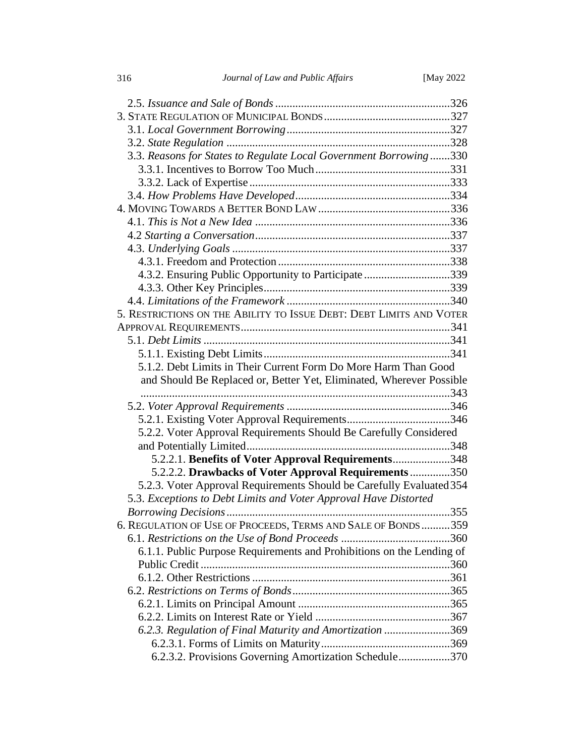| 3.3. Reasons for States to Regulate Local Government Borrowing330     |  |
|-----------------------------------------------------------------------|--|
|                                                                       |  |
|                                                                       |  |
|                                                                       |  |
|                                                                       |  |
|                                                                       |  |
|                                                                       |  |
|                                                                       |  |
|                                                                       |  |
| 4.3.2. Ensuring Public Opportunity to Participate339                  |  |
|                                                                       |  |
|                                                                       |  |
| 5. RESTRICTIONS ON THE ABILITY TO ISSUE DEBT: DEBT LIMITS AND VOTER   |  |
|                                                                       |  |
|                                                                       |  |
|                                                                       |  |
| 5.1.2. Debt Limits in Their Current Form Do More Harm Than Good       |  |
| and Should Be Replaced or, Better Yet, Eliminated, Wherever Possible  |  |
|                                                                       |  |
|                                                                       |  |
|                                                                       |  |
| 5.2.2. Voter Approval Requirements Should Be Carefully Considered     |  |
|                                                                       |  |
| 5.2.2.1. Benefits of Voter Approval Requirements348                   |  |
| 5.2.2.2. Drawbacks of Voter Approval Requirements350                  |  |
| 5.2.3. Voter Approval Requirements Should be Carefully Evaluated 354  |  |
| 5.3. Exceptions to Debt Limits and Voter Approval Have Distorted      |  |
|                                                                       |  |
| 6. REGULATION OF USE OF PROCEEDS, TERMS AND SALE OF BONDS 359         |  |
|                                                                       |  |
| 6.1.1. Public Purpose Requirements and Prohibitions on the Lending of |  |
|                                                                       |  |
|                                                                       |  |
|                                                                       |  |
|                                                                       |  |
|                                                                       |  |
|                                                                       |  |
|                                                                       |  |
| 6.2.3. Regulation of Final Maturity and Amortization 369              |  |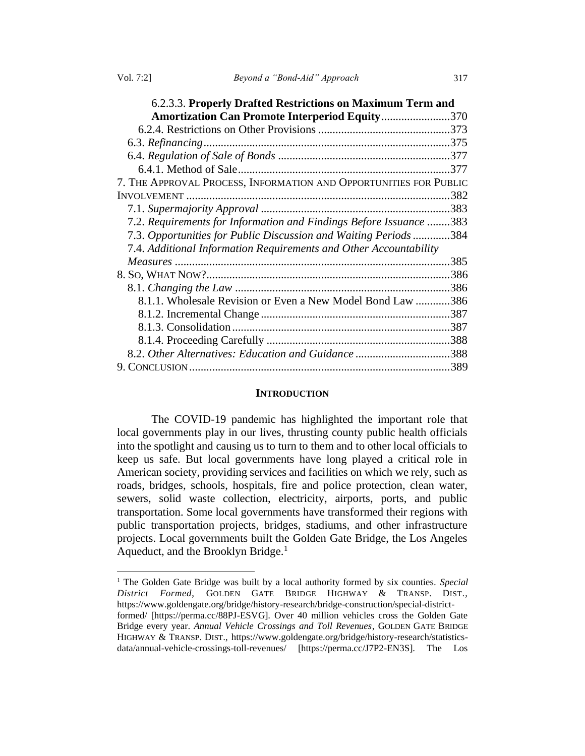| 6.2.3.3. Properly Drafted Restrictions on Maximum Term and         |      |
|--------------------------------------------------------------------|------|
| <b>Amortization Can Promote Interperiod Equity370</b>              |      |
|                                                                    |      |
|                                                                    |      |
|                                                                    |      |
|                                                                    | .377 |
| 7. THE APPROVAL PROCESS, INFORMATION AND OPPORTUNITIES FOR PUBLIC  |      |
|                                                                    | .382 |
|                                                                    |      |
| 7.2. Requirements for Information and Findings Before Issuance 383 |      |
| 7.3. Opportunities for Public Discussion and Waiting Periods384    |      |
| 7.4. Additional Information Requirements and Other Accountability  |      |
|                                                                    | .385 |
|                                                                    |      |
|                                                                    |      |
| 8.1.1. Wholesale Revision or Even a New Model Bond Law 386         |      |
|                                                                    |      |
|                                                                    |      |
|                                                                    |      |
| 8.2. Other Alternatives: Education and Guidance 388                |      |
|                                                                    |      |

#### **INTRODUCTION**

The COVID-19 pandemic has highlighted the important role that local governments play in our lives, thrusting county public health officials into the spotlight and causing us to turn to them and to other local officials to keep us safe. But local governments have long played a critical role in American society, providing services and facilities on which we rely, such as roads, bridges, schools, hospitals, fire and police protection, clean water, sewers, solid waste collection, electricity, airports, ports, and public transportation. Some local governments have transformed their regions with public transportation projects, bridges, stadiums, and other infrastructure projects. Local governments built the Golden Gate Bridge, the Los Angeles Aqueduct, and the Brooklyn Bridge.<sup>1</sup>

<sup>&</sup>lt;sup>1</sup> The Golden Gate Bridge was built by a local authority formed by six counties. *Special District Formed*, GOLDEN GATE BRIDGE HIGHWAY & TRANSP. DIST., https://www.goldengate.org/bridge/history-research/bridge-construction/special-districtformed/ [https://perma.cc/88PJ-ESVG]. Over 40 million vehicles cross the Golden Gate Bridge every year. *Annual Vehicle Crossings and Toll Revenues*, GOLDEN GATE BRIDGE HIGHWAY & TRANSP. DIST., https://www.goldengate.org/bridge/history-research/statisticsdata/annual-vehicle-crossings-toll-revenues/ [https://perma.cc/J7P2-EN3S]. The Los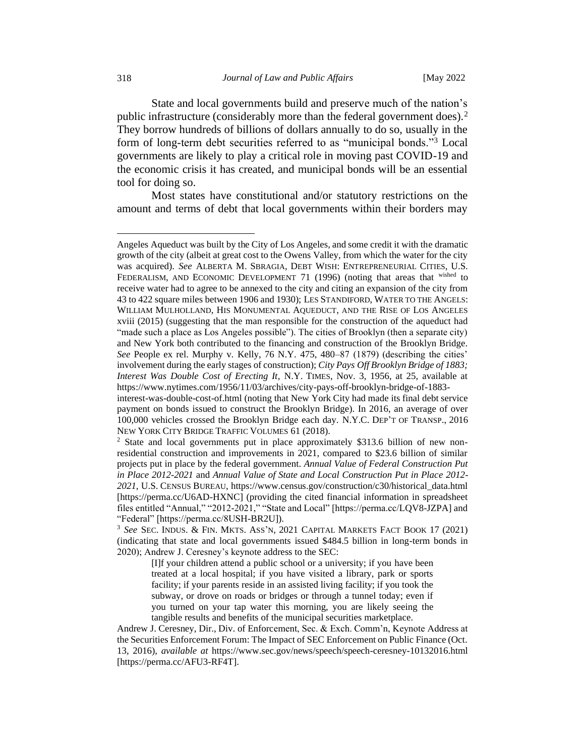State and local governments build and preserve much of the nation's public infrastructure (considerably more than the federal government does).<sup>2</sup> They borrow hundreds of billions of dollars annually to do so, usually in the form of long-term debt securities referred to as "municipal bonds."<sup>3</sup> Local governments are likely to play a critical role in moving past COVID-19 and the economic crisis it has created, and municipal bonds will be an essential tool for doing so.

Most states have constitutional and/or statutory restrictions on the amount and terms of debt that local governments within their borders may

Angeles Aqueduct was built by the City of Los Angeles, and some credit it with the dramatic growth of the city (albeit at great cost to the Owens Valley, from which the water for the city was acquired). *See* ALBERTA M. SBRAGIA, DEBT WISH: ENTREPRENEURIAL CITIES, U.S. FEDERALISM, AND ECONOMIC DEVELOPMENT 71 (1996) (noting that areas that wished to receive water had to agree to be annexed to the city and citing an expansion of the city from 43 to 422 square miles between 1906 and 1930); LES STANDIFORD, WATER TO THE ANGELS: WILLIAM MULHOLLAND, HIS MONUMENTAL AQUEDUCT, AND THE RISE OF LOS ANGELES xviii (2015) (suggesting that the man responsible for the construction of the aqueduct had "made such a place as Los Angeles possible"). The cities of Brooklyn (then a separate city) and New York both contributed to the financing and construction of the Brooklyn Bridge. *See* People ex rel. Murphy v. Kelly, 76 N.Y. 475, 480–87 (1879) (describing the cities' involvement during the early stages of construction); *City Pays Off Brooklyn Bridge of 1883; Interest Was Double Cost of Erecting It*, N.Y. TIMES, Nov. 3, 1956, at 25, available at https://www.nytimes.com/1956/11/03/archives/city-pays-off-brooklyn-bridge-of-1883-

interest-was-double-cost-of.html (noting that New York City had made its final debt service payment on bonds issued to construct the Brooklyn Bridge). In 2016, an average of over 100,000 vehicles crossed the Brooklyn Bridge each day. N.Y.C. DEP'T OF TRANSP., 2016 NEW YORK CITY BRIDGE TRAFFIC VOLUMES 61 (2018).

<sup>2</sup> State and local governments put in place approximately \$313.6 billion of new nonresidential construction and improvements in 2021, compared to \$23.6 billion of similar projects put in place by the federal government. *Annual Value of Federal Construction Put in Place 2012-2021* and *Annual Value of State and Local Construction Put in Place 2012- 2021*, U.S. CENSUS BUREAU, https://www.census.gov/construction/c30/historical\_data.html [https://perma.cc/U6AD-HXNC] (providing the cited financial information in spreadsheet files entitled "Annual," "2012-2021," "State and Local" [https://perma.cc/LQV8-JZPA] and "Federal" [https://perma.cc/8USH-BR2U]).

<sup>3</sup> *See* SEC. INDUS. & FIN. MKTS. ASS'N, 2021 CAPITAL MARKETS FACT BOOK 17 (2021) (indicating that state and local governments issued \$484.5 billion in long-term bonds in 2020); Andrew J. Ceresney's keynote address to the SEC:

<sup>[</sup>I]f your children attend a public school or a university; if you have been treated at a local hospital; if you have visited a library, park or sports facility; if your parents reside in an assisted living facility; if you took the subway, or drove on roads or bridges or through a tunnel today; even if you turned on your tap water this morning, you are likely seeing the tangible results and benefits of the municipal securities marketplace.

Andrew J. Ceresney, Dir., Div. of Enforcement, Sec. & Exch. Comm'n, Keynote Address at the Securities Enforcement Forum: The Impact of SEC Enforcement on Public Finance (Oct. 13, 2016), *available at* https://www.sec.gov/news/speech/speech-ceresney-10132016.html [https://perma.cc/AFU3-RF4T].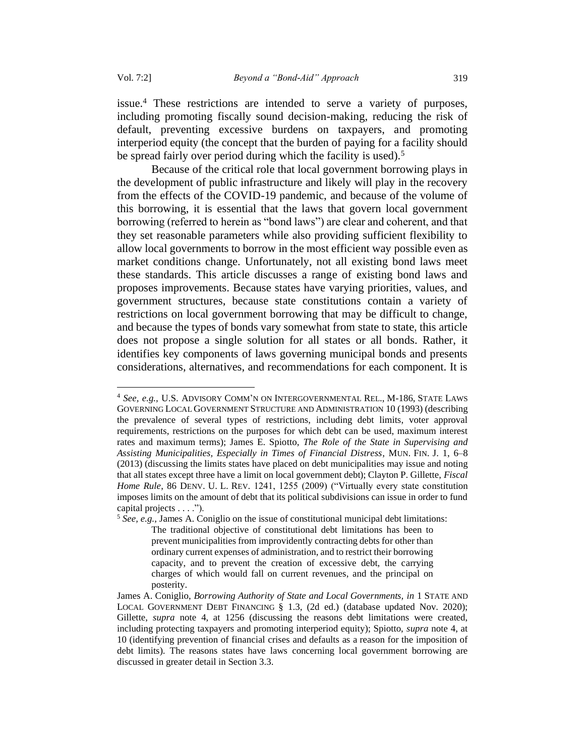issue.<sup>4</sup> These restrictions are intended to serve a variety of purposes, including promoting fiscally sound decision-making, reducing the risk of default, preventing excessive burdens on taxpayers, and promoting interperiod equity (the concept that the burden of paying for a facility should be spread fairly over period during which the facility is used).<sup>5</sup>

Because of the critical role that local government borrowing plays in the development of public infrastructure and likely will play in the recovery from the effects of the COVID-19 pandemic, and because of the volume of this borrowing, it is essential that the laws that govern local government borrowing (referred to herein as "bond laws") are clear and coherent, and that they set reasonable parameters while also providing sufficient flexibility to allow local governments to borrow in the most efficient way possible even as market conditions change. Unfortunately, not all existing bond laws meet these standards. This article discusses a range of existing bond laws and proposes improvements. Because states have varying priorities, values, and government structures, because state constitutions contain a variety of restrictions on local government borrowing that may be difficult to change, and because the types of bonds vary somewhat from state to state, this article does not propose a single solution for all states or all bonds. Rather, it identifies key components of laws governing municipal bonds and presents considerations, alternatives, and recommendations for each component. It is

<sup>4</sup> *See, e.g.,* U.S. ADVISORY COMM'N ON INTERGOVERNMENTAL REL., M-186, STATE LAWS GOVERNING LOCAL GOVERNMENT STRUCTURE AND ADMINISTRATION 10 (1993) (describing the prevalence of several types of restrictions, including debt limits, voter approval requirements, restrictions on the purposes for which debt can be used, maximum interest rates and maximum terms); James E. Spiotto, *The Role of the State in Supervising and Assisting Municipalities, Especially in Times of Financial Distress*, MUN. FIN. J. 1, 6–8 (2013) (discussing the limits states have placed on debt municipalities may issue and noting that all states except three have a limit on local government debt); Clayton P. Gillette, *Fiscal Home Rule*, 86 DENV. U. L. REV. 1241, 1255 (2009) ("Virtually every state constitution imposes limits on the amount of debt that its political subdivisions can issue in order to fund capital projects . . . .").

<sup>5</sup> *See, e.g.,* James A. Coniglio on the issue of constitutional municipal debt limitations: The traditional objective of constitutional debt limitations has been to prevent municipalities from improvidently contracting debts for other than ordinary current expenses of administration, and to restrict their borrowing capacity, and to prevent the creation of excessive debt, the carrying charges of which would fall on current revenues, and the principal on posterity.

James A. Coniglio, *Borrowing Authority of State and Local Governments, in* 1 STATE AND LOCAL GOVERNMENT DEBT FINANCING § 1.3, (2d ed.) (database updated Nov. 2020); Gillette, *supra* note 4, at 1256 (discussing the reasons debt limitations were created, including protecting taxpayers and promoting interperiod equity); Spiotto, *supra* note 4, at 10 (identifying prevention of financial crises and defaults as a reason for the imposition of debt limits). The reasons states have laws concerning local government borrowing are discussed in greater detail in Section 3.3.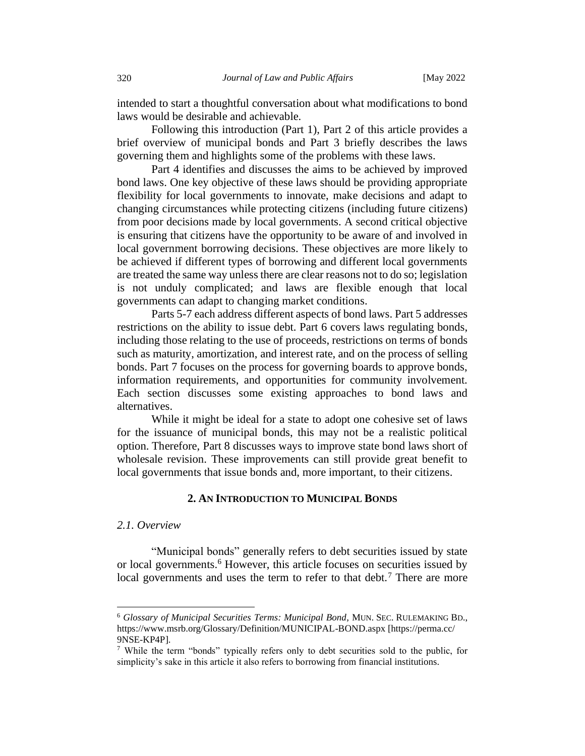intended to start a thoughtful conversation about what modifications to bond laws would be desirable and achievable.

Following this introduction (Part 1), Part 2 of this article provides a brief overview of municipal bonds and Part 3 briefly describes the laws governing them and highlights some of the problems with these laws.

Part 4 identifies and discusses the aims to be achieved by improved bond laws. One key objective of these laws should be providing appropriate flexibility for local governments to innovate, make decisions and adapt to changing circumstances while protecting citizens (including future citizens) from poor decisions made by local governments. A second critical objective is ensuring that citizens have the opportunity to be aware of and involved in local government borrowing decisions. These objectives are more likely to be achieved if different types of borrowing and different local governments are treated the same way unless there are clear reasons not to do so; legislation is not unduly complicated; and laws are flexible enough that local governments can adapt to changing market conditions.

Parts 5-7 each address different aspects of bond laws. Part 5 addresses restrictions on the ability to issue debt. Part 6 covers laws regulating bonds, including those relating to the use of proceeds, restrictions on terms of bonds such as maturity, amortization, and interest rate, and on the process of selling bonds. Part 7 focuses on the process for governing boards to approve bonds, information requirements, and opportunities for community involvement. Each section discusses some existing approaches to bond laws and alternatives.

While it might be ideal for a state to adopt one cohesive set of laws for the issuance of municipal bonds, this may not be a realistic political option. Therefore, Part 8 discusses ways to improve state bond laws short of wholesale revision. These improvements can still provide great benefit to local governments that issue bonds and, more important, to their citizens.

## **2. AN INTRODUCTION TO MUNICIPAL BONDS**

## *2.1. Overview*

"Municipal bonds" generally refers to debt securities issued by state or local governments.<sup>6</sup> However, this article focuses on securities issued by local governments and uses the term to refer to that debt.<sup>7</sup> There are more

<sup>6</sup> *Glossary of Municipal Securities Terms: Municipal Bond*, MUN. SEC. RULEMAKING BD., https://www.msrb.org/Glossary/Definition/MUNICIPAL-BOND.aspx [https://perma.cc/ 9NSE-KP4P].

<sup>7</sup> While the term "bonds" typically refers only to debt securities sold to the public, for simplicity's sake in this article it also refers to borrowing from financial institutions.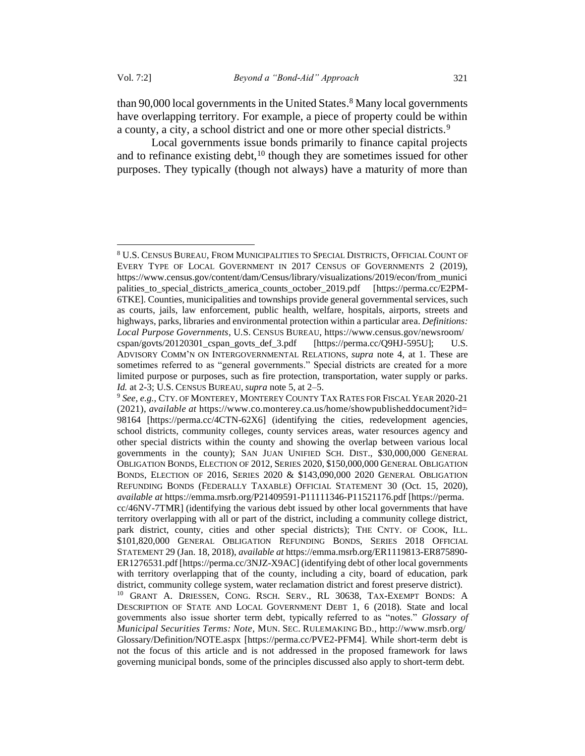than 90,000 local governments in the United States. <sup>8</sup> Many local governments have overlapping territory. For example, a piece of property could be within a county, a city, a school district and one or more other special districts.<sup>9</sup>

Local governments issue bonds primarily to finance capital projects and to refinance existing debt,  $10$  though they are sometimes issued for other purposes. They typically (though not always) have a maturity of more than

<sup>8</sup> U.S. CENSUS BUREAU, FROM MUNICIPALITIES TO SPECIAL DISTRICTS, OFFICIAL COUNT OF EVERY TYPE OF LOCAL GOVERNMENT IN 2017 CENSUS OF GOVERNMENTS 2 (2019), https://www.census.gov/content/dam/Census/library/visualizations/2019/econ/from\_munici palities\_to\_special\_districts\_america\_counts\_october\_2019.pdf [https://perma.cc/E2PM-6TKE]. Counties, municipalities and townships provide general governmental services, such as courts, jails, law enforcement, public health, welfare, hospitals, airports, streets and highways, parks, libraries and environmental protection within a particular area. *Definitions: Local Purpose Governments*, U.S. CENSUS BUREAU, https://www.census.gov/newsroom/ cspan/govts/20120301\_cspan\_govts\_def\_3.pdf [https://perma.cc/Q9HJ-595U]; U.S. ADVISORY COMM'N ON INTERGOVERNMENTAL RELATIONS, *supra* note 4, at 1. These are sometimes referred to as "general governments." Special districts are created for a more limited purpose or purposes, such as fire protection, transportation, water supply or parks. *Id.* at 2-3; U.S. CENSUS BUREAU, *supra* note 5, at 2–5.

<sup>9</sup> *See, e.g.,* CTY. OF MONTEREY, MONTEREY COUNTY TAX RATES FOR FISCAL YEAR 2020-21 (2021), *available at* https://www.co.monterey.ca.us/home/showpublisheddocument?id= 98164 [https://perma.cc/4CTN-62X6] (identifying the cities, redevelopment agencies, school districts, community colleges, county services areas, water resources agency and other special districts within the county and showing the overlap between various local governments in the county); SAN JUAN UNIFIED SCH. DIST., \$30,000,000 GENERAL OBLIGATION BONDS, ELECTION OF 2012, SERIES 2020, \$150,000,000 GENERAL OBLIGATION BONDS, ELECTION OF 2016, SERIES 2020 & \$143,090,000 2020 GENERAL OBLIGATION REFUNDING BONDS (FEDERALLY TAXABLE) OFFICIAL STATEMENT 30 (Oct. 15, 2020), *available at* https://emma.msrb.org/P21409591-P11111346-P11521176.pdf [https://perma. cc/46NV-7TMR] (identifying the various debt issued by other local governments that have territory overlapping with all or part of the district, including a community college district, park district, county, cities and other special districts); THE CNTY. OF COOK, ILL. \$101,820,000 GENERAL OBLIGATION REFUNDING BONDS, SERIES 2018 OFFICIAL STATEMENT 29 (Jan. 18, 2018), *available at* https://emma.msrb.org/ER1119813-ER875890- ER1276531.pdf [https://perma.cc/3NJZ-X9AC] (identifying debt of other local governments with territory overlapping that of the county, including a city, board of education, park district, community college system, water reclamation district and forest preserve district).

<sup>&</sup>lt;sup>10</sup> GRANT A. DRIESSEN, CONG. RSCH. SERV., RL 30638, TAX-EXEMPT BONDS: A DESCRIPTION OF STATE AND LOCAL GOVERNMENT DEBT 1, 6 (2018). State and local governments also issue shorter term debt, typically referred to as "notes." *Glossary of Municipal Securities Terms: Note*, MUN. SEC. RULEMAKING BD., http://www.msrb.org/ Glossary/Definition/NOTE.aspx [https://perma.cc/PVE2-PFM4]. While short-term debt is not the focus of this article and is not addressed in the proposed framework for laws governing municipal bonds, some of the principles discussed also apply to short-term debt.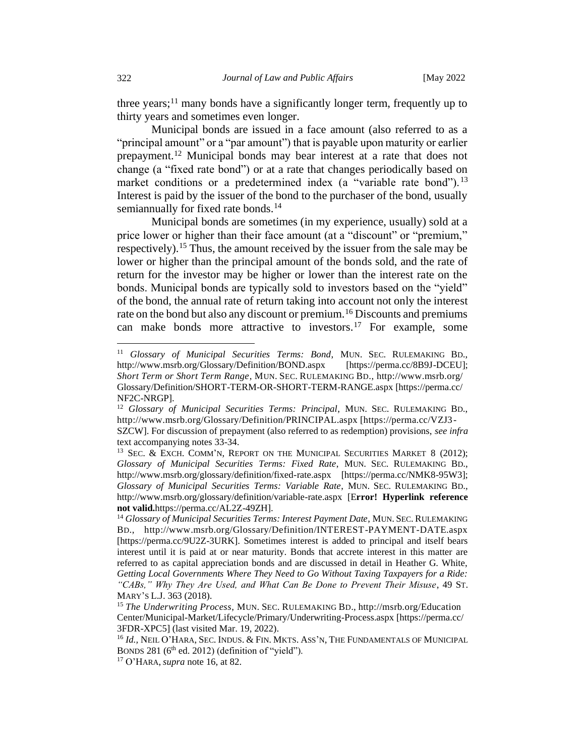three years;<sup>11</sup> many bonds have a significantly longer term, frequently up to thirty years and sometimes even longer.

Municipal bonds are issued in a face amount (also referred to as a "principal amount" or a "par amount") that is payable upon maturity or earlier prepayment.<sup>12</sup> Municipal bonds may bear interest at a rate that does not change (a "fixed rate bond") or at a rate that changes periodically based on market conditions or a predetermined index (a "variable rate bond").<sup>13</sup> Interest is paid by the issuer of the bond to the purchaser of the bond, usually semiannually for fixed rate bonds.<sup>14</sup>

Municipal bonds are sometimes (in my experience, usually) sold at a price lower or higher than their face amount (at a "discount" or "premium," respectively).<sup>15</sup> Thus, the amount received by the issuer from the sale may be lower or higher than the principal amount of the bonds sold, and the rate of return for the investor may be higher or lower than the interest rate on the bonds. Municipal bonds are typically sold to investors based on the "yield" of the bond, the annual rate of return taking into account not only the interest rate on the bond but also any discount or premium.<sup>16</sup> Discounts and premiums can make bonds more attractive to investors.<sup>17</sup> For example, some

<sup>&</sup>lt;sup>11</sup> *Glossary of Municipal Securities Terms: Bond*, MUN. SEC. RULEMAKING BD., http://www.msrb.org/Glossary/Definition/BOND.aspx [https://perma.cc/8B9J-DCEU]; *Short Term or Short Term Range*, MUN. SEC. RULEMAKING BD., http://www.msrb.org/ Glossary/Definition/SHORT-TERM-OR-SHORT-TERM-RANGE.aspx [https://perma.cc/ NF2C-NRGP].

<sup>&</sup>lt;sup>12</sup> *Glossary of Municipal Securities Terms: Principal*, MUN. SEC. RULEMAKING BD., http://www.msrb.org/Glossary/Definition/PRINCIPAL.aspx [https://perma.cc/VZJ3- SZCW]. For discussion of prepayment (also referred to as redemption) provisions, *see infra* text accompanying notes 33-34.

<sup>&</sup>lt;sup>13</sup> SEC. & EXCH. COMM'N, REPORT ON THE MUNICIPAL SECURITIES MARKET 8 (2012); *Glossary of Municipal Securities Terms: Fixed Rate*, MUN. SEC. RULEMAKING BD., http://www.msrb.org/glossary/definition/fixed-rate.aspx [https://perma.cc/NMK8-95W3]; *Glossary of Municipal Securities Terms: Variable Rate*, MUN. SEC. RULEMAKING BD., http://www.msrb.org/glossary/definition/variable-rate.aspx [E**rror! Hyperlink reference not valid.**https://perma.cc/AL2Z-49ZH].

<sup>&</sup>lt;sup>14</sup> Glossary of Municipal Securities Terms: Interest Payment Date, MUN. SEC. RULEMAKING BD., http://www.msrb.org/Glossary/Definition/INTEREST-PAYMENT-DATE.aspx [https://perma.cc/9U2Z-3URK]. Sometimes interest is added to principal and itself bears interest until it is paid at or near maturity. Bonds that accrete interest in this matter are referred to as capital appreciation bonds and are discussed in detail in Heather G. White, *Getting Local Governments Where They Need to Go Without Taxing Taxpayers for a Ride: "CABs," Why They Are Used, and What Can Be Done to Prevent Their Misuse*, 49 ST. MARY'S L.J. 363 (2018).

<sup>15</sup> *The Underwriting Process*, MUN. SEC. RULEMAKING BD., http://msrb.org/Education Center/Municipal-Market/Lifecycle/Primary/Underwriting-Process.aspx [https://perma.cc/ 3FDR-XPC5] (last visited Mar. 19, 2022).

<sup>&</sup>lt;sup>16</sup> *Id.*, NEIL O'HARA, SEC. INDUS. & FIN. MKTS. ASS'N, THE FUNDAMENTALS OF MUNICIPAL BONDS 281 ( $6<sup>th</sup>$  ed. 2012) (definition of "yield").

<sup>17</sup> O'HARA, *supra* note 16, at 82.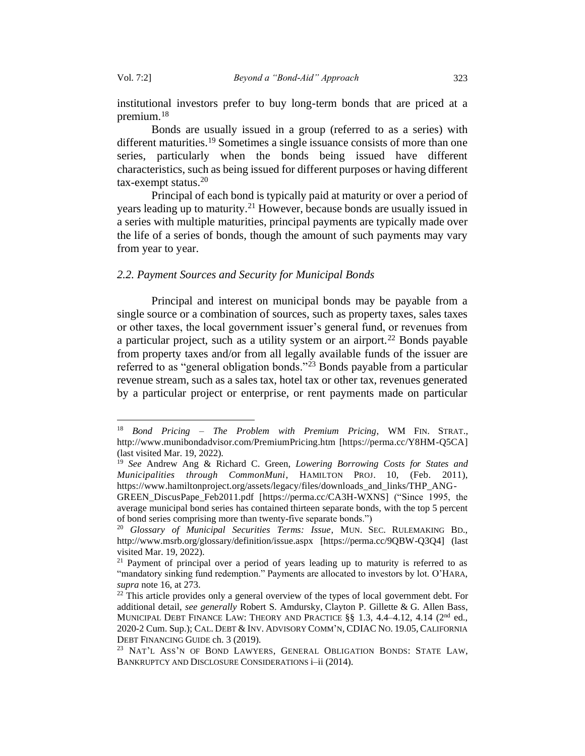institutional investors prefer to buy long-term bonds that are priced at a premium.<sup>18</sup>

Bonds are usually issued in a group (referred to as a series) with different maturities.<sup>19</sup> Sometimes a single issuance consists of more than one series, particularly when the bonds being issued have different characteristics, such as being issued for different purposes or having different  $\text{tax-exempt status.}^{20}$ 

Principal of each bond is typically paid at maturity or over a period of years leading up to maturity.<sup>21</sup> However, because bonds are usually issued in a series with multiple maturities, principal payments are typically made over the life of a series of bonds, though the amount of such payments may vary from year to year.

### *2.2. Payment Sources and Security for Municipal Bonds*

Principal and interest on municipal bonds may be payable from a single source or a combination of sources, such as property taxes, sales taxes or other taxes, the local government issuer's general fund, or revenues from a particular project, such as a utility system or an airport.<sup>22</sup> Bonds payable from property taxes and/or from all legally available funds of the issuer are referred to as "general obligation bonds."<sup>23</sup> Bonds payable from a particular revenue stream, such as a sales tax, hotel tax or other tax, revenues generated by a particular project or enterprise, or rent payments made on particular

<sup>18</sup> *Bond Pricing – The Problem with Premium Pricing*, WM FIN. STRAT., http://www.munibondadvisor.com/PremiumPricing.htm [https://perma.cc/Y8HM-Q5CA] (last visited Mar. 19, 2022).

<sup>19</sup> *See* Andrew Ang & Richard C. Green, *Lowering Borrowing Costs for States and Municipalities through CommonMuni*, HAMILTON PROJ. 10, (Feb. 2011), https://www.hamiltonproject.org/assets/legacy/files/downloads\_and\_links/THP\_ANG-

GREEN\_DiscusPape\_Feb2011.pdf [https://perma.cc/CA3H-WXNS] ("Since 1995, the average municipal bond series has contained thirteen separate bonds, with the top 5 percent of bond series comprising more than twenty-five separate bonds.")

<sup>20</sup> *Glossary of Municipal Securities Terms: Issue*, MUN. SEC. RULEMAKING BD., http://www.msrb.org/glossary/definition/issue.aspx [https://perma.cc/9QBW-Q3Q4] (last visited Mar. 19, 2022).

<sup>&</sup>lt;sup>21</sup> Payment of principal over a period of years leading up to maturity is referred to as "mandatory sinking fund redemption." Payments are allocated to investors by lot. O'HARA, *supra* note 16, at 273.

 $22$  This article provides only a general overview of the types of local government debt. For additional detail, *see generally* Robert S. Amdursky, Clayton P. Gillette & G. Allen Bass, MUNICIPAL DEBT FINANCE LAW: THEORY AND PRACTICE  $\S$ § 1.3, 4.4–4.12, 4.14 ( $2<sup>nd</sup>$  ed., 2020-2 Cum. Sup.); CAL. DEBT & INV. ADVISORY COMM'N, CDIAC NO. 19.05, CALIFORNIA DEBT FINANCING GUIDE ch. 3 (2019).

<sup>&</sup>lt;sup>23</sup> NAT'L ASS'N OF BOND LAWYERS, GENERAL OBLIGATION BONDS: STATE LAW, BANKRUPTCY AND DISCLOSURE CONSIDERATIONS  $i$ -ii (2014).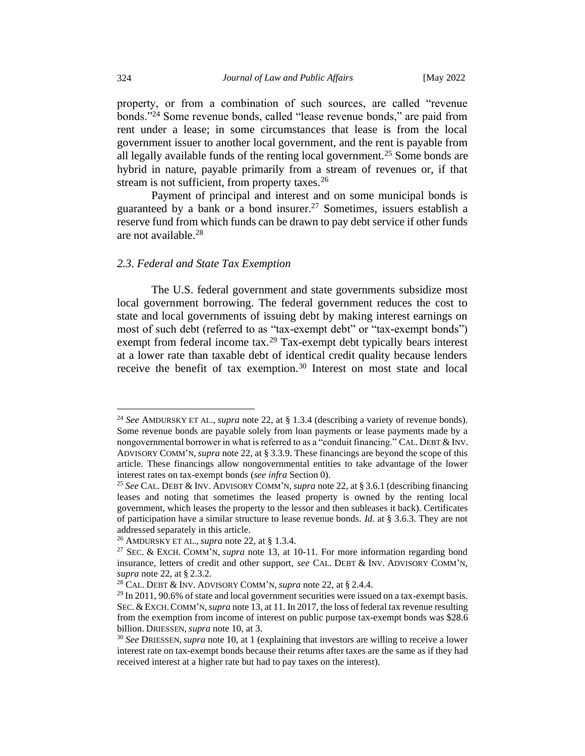property, or from a combination of such sources, are called "revenue bonds."<sup>24</sup> Some revenue bonds, called "lease revenue bonds," are paid from rent under a lease; in some circumstances that lease is from the local government issuer to another local government, and the rent is payable from all legally available funds of the renting local government.<sup>25</sup> Some bonds are hybrid in nature, payable primarily from a stream of revenues or, if that stream is not sufficient, from property taxes.<sup>26</sup>

Payment of principal and interest and on some municipal bonds is guaranteed by a bank or a bond insurer.<sup>27</sup> Sometimes, issuers establish a reserve fund from which funds can be drawn to pay debt service if other funds are not available.<sup>28</sup>

### <span id="page-9-0"></span>*2.3. Federal and State Tax Exemption*

The U.S. federal government and state governments subsidize most local government borrowing. The federal government reduces the cost to state and local governments of issuing debt by making interest earnings on most of such debt (referred to as "tax-exempt debt" or "tax-exempt bonds") exempt from federal income tax.<sup>29</sup> Tax-exempt debt typically bears interest at a lower rate than taxable debt of identical credit quality because lenders receive the benefit of tax exemption.<sup>30</sup> Interest on most state and local

<sup>24</sup> *See* AMDURSKY ET AL., *supra* note 22, at § 1.3.4 (describing a variety of revenue bonds). Some revenue bonds are payable solely from loan payments or lease payments made by a nongovernmental borrower in what is referred to as a "conduit financing." CAL. DEBT & INV. ADVISORY COMM'N, *supra* note 22, at § 3.3.9. These financings are beyond the scope of this article. These financings allow nongovernmental entities to take advantage of the lower interest rates on tax-exempt bonds (*see infra* Sectio[n 0\)](#page-9-0).

<sup>25</sup> *See* CAL. DEBT & INV. ADVISORY COMM'N, *supra* note 22, at § 3.6.1 (describing financing leases and noting that sometimes the leased property is owned by the renting local government, which leases the property to the lessor and then subleases it back). Certificates of participation have a similar structure to lease revenue bonds. *Id.* at § 3.6.3. They are not addressed separately in this article.

<sup>26</sup> AMDURSKY ET AL., *supra* note 22, at § 1.3.4.

<sup>27</sup> SEC. & EXCH. COMM'N, *supra* note 13, at 10-11. For more information regarding bond insurance, letters of credit and other support, *see* CAL. DEBT & INV. ADVISORY COMM'N, *supra* note 22, at § 2.3.2.

<sup>28</sup> CAL. DEBT & INV. ADVISORY COMM'N, *supra* note 22, at § 2.4.4.

 $29$  In 2011, 90.6% of state and local government securities were issued on a tax-exempt basis. SEC.&EXCH.COMM'N,*supra* note 13, at 11. In 2017, the loss of federal tax revenue resulting from the exemption from income of interest on public purpose tax-exempt bonds was \$28.6 billion. DRIESSEN, *supra* note 10, at 3.

<sup>30</sup> *See* DRIESSEN,*supra* note 10, at 1 (explaining that investors are willing to receive a lower interest rate on tax-exempt bonds because their returns after taxes are the same as if they had received interest at a higher rate but had to pay taxes on the interest).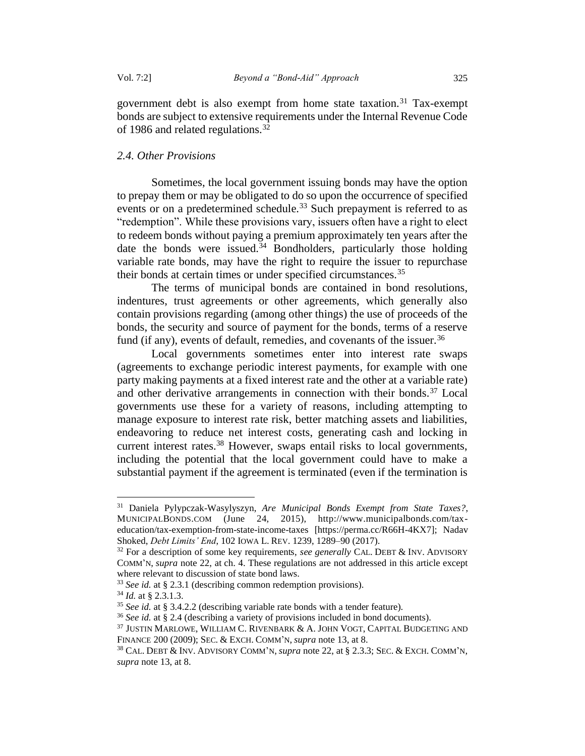<span id="page-10-0"></span>government debt is also exempt from home state taxation.<sup>31</sup> Tax-exempt bonds are subject to extensive requirements under the Internal Revenue Code of 1986 and related regulations.<sup>32</sup>

#### *2.4. Other Provisions*

Sometimes, the local government issuing bonds may have the option to prepay them or may be obligated to do so upon the occurrence of specified events or on a predetermined schedule.<sup>33</sup> Such prepayment is referred to as "redemption". While these provisions vary, issuers often have a right to elect to redeem bonds without paying a premium approximately ten years after the date the bonds were issued. $34$  Bondholders, particularly those holding variable rate bonds, may have the right to require the issuer to repurchase their bonds at certain times or under specified circumstances.<sup>35</sup>

The terms of municipal bonds are contained in bond resolutions, indentures, trust agreements or other agreements, which generally also contain provisions regarding (among other things) the use of proceeds of the bonds, the security and source of payment for the bonds, terms of a reserve fund (if any), events of default, remedies, and covenants of the issuer.  $36$ 

Local governments sometimes enter into interest rate swaps (agreements to exchange periodic interest payments, for example with one party making payments at a fixed interest rate and the other at a variable rate) and other derivative arrangements in connection with their bonds.<sup>37</sup> Local governments use these for a variety of reasons, including attempting to manage exposure to interest rate risk, better matching assets and liabilities, endeavoring to reduce net interest costs, generating cash and locking in current interest rates.<sup>38</sup> However, swaps entail risks to local governments, including the potential that the local government could have to make a substantial payment if the agreement is terminated (even if the termination is

<sup>31</sup> Daniela Pylypczak-Wasylyszyn, *Are Municipal Bonds Exempt from State Taxes?*, MUNICIPALBONDS.COM (June 24, 2015), http://www.municipalbonds.com/taxeducation/tax-exemption-from-state-income-taxes [https://perma.cc/R66H-4KX7]; Nadav Shoked, *Debt Limits' End*, 102 IOWA L. REV. 1239, 1289–90 (2017).

<sup>32</sup> For a description of some key requirements, *see generally* CAL. DEBT & INV. ADVISORY COMM'N, *supra* note 22, at ch. 4. These regulations are not addressed in this article except where relevant to discussion of state bond laws.

<sup>33</sup> *See id.* at § 2.3.1 (describing common redemption provisions).

<sup>34</sup> *Id.* at § 2.3.1.3.

<sup>35</sup> *See id.* at § 3.4.2.2 (describing variable rate bonds with a tender feature).

<sup>36</sup> *See id.* at § 2.4 (describing a variety of provisions included in bond documents).

<sup>37</sup> JUSTIN MARLOWE, WILLIAM C. RIVENBARK & A. JOHN VOGT, CAPITAL BUDGETING AND FINANCE 200 (2009); SEC. & EXCH. COMM'N, *supra* note 13, at 8.

<sup>38</sup> CAL. DEBT & INV. ADVISORY COMM'N, *supra* note 22, at § 2.3.3; SEC. & EXCH. COMM'N, *supra* note 13, at 8.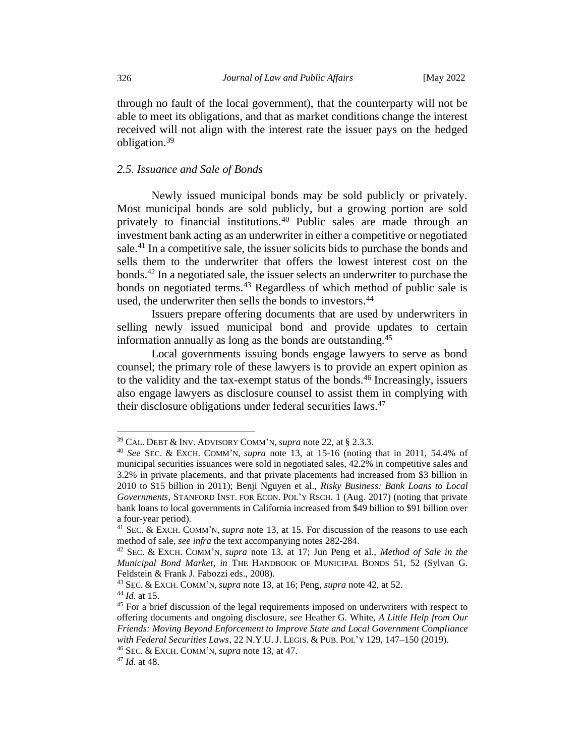through no fault of the local government), that the counterparty will not be able to meet its obligations, and that as market conditions change the interest received will not align with the interest rate the issuer pays on the hedged obligation.<sup>39</sup>

#### *2.5. Issuance and Sale of Bonds*

Newly issued municipal bonds may be sold publicly or privately. Most municipal bonds are sold publicly, but a growing portion are sold privately to financial institutions.<sup>40</sup> Public sales are made through an investment bank acting as an underwriter in either a competitive or negotiated sale.<sup>41</sup> In a competitive sale, the issuer solicits bids to purchase the bonds and sells them to the underwriter that offers the lowest interest cost on the bonds.<sup>42</sup> In a negotiated sale, the issuer selects an underwriter to purchase the bonds on negotiated terms.<sup>43</sup> Regardless of which method of public sale is used, the underwriter then sells the bonds to investors.<sup>44</sup>

Issuers prepare offering documents that are used by underwriters in selling newly issued municipal bond and provide updates to certain information annually as long as the bonds are outstanding.<sup>45</sup>

Local governments issuing bonds engage lawyers to serve as bond counsel; the primary role of these lawyers is to provide an expert opinion as to the validity and the tax-exempt status of the bonds.<sup>46</sup> Increasingly, issuers also engage lawyers as disclosure counsel to assist them in complying with their disclosure obligations under federal securities laws.<sup>47</sup>

<sup>39</sup> CAL. DEBT & INV. ADVISORY COMM'N, *supra* note 22, at § 2.3.3.

<sup>40</sup> *See* SEC. & EXCH. COMM'N, *supra* note 13, at 15-16 (noting that in 2011, 54.4% of municipal securities issuances were sold in negotiated sales, 42.2% in competitive sales and 3.2% in private placements, and that private placements had increased from \$3 billion in 2010 to \$15 billion in 2011); Benji Nguyen et al., *Risky Business: Bank Loans to Local Governments,* STANFORD INST. FOR ECON. POL'Y RSCH. 1 (Aug. 2017) (noting that private bank loans to local governments in California increased from \$49 billion to \$91 billion over a four-year period).

<sup>41</sup> SEC. & EXCH. COMM'N, *supra* note 13, at 15. For discussion of the reasons to use each method of sale, *see infra* the text accompanying notes [282](#page-63-0)[-284.](#page-63-1)

<sup>42</sup> SEC. & EXCH. COMM'N, *supra* note 13, at 17; Jun Peng et al., *Method of Sale in the Municipal Bond Market*, *in* THE HANDBOOK OF MUNICIPAL BONDS 51, 52 (Sylvan G. Feldstein & Frank J. Fabozzi eds., 2008).

<sup>43</sup> SEC. & EXCH. COMM'N, *supra* note 13, at 16; Peng, *supra* note 42, at 52. <sup>44</sup> *Id.* at 15.

<sup>45</sup> For a brief discussion of the legal requirements imposed on underwriters with respect to offering documents and ongoing disclosure, *see* Heather G. White, *A Little Help from Our Friends: Moving Beyond Enforcement to Improve State and Local Government Compliance with Federal Securities Laws*, 22 N.Y.U. J. LEGIS. & PUB.POL'Y 129, 147–150 (2019). <sup>46</sup> SEC. & EXCH. COMM'N, *supra* note 13, at 47.

<sup>47</sup> *Id.* at 48.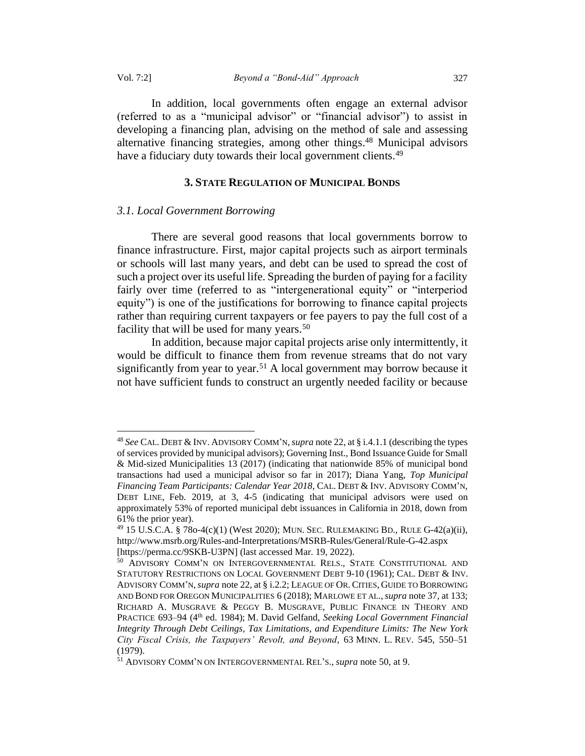In addition, local governments often engage an external advisor (referred to as a "municipal advisor" or "financial advisor") to assist in developing a financing plan, advising on the method of sale and assessing alternative financing strategies, among other things.<sup>48</sup> Municipal advisors have a fiduciary duty towards their local government clients.<sup>49</sup>

#### **3. STATE REGULATION OF MUNICIPAL BONDS**

#### *3.1. Local Government Borrowing*

There are several good reasons that local governments borrow to finance infrastructure. First, major capital projects such as airport terminals or schools will last many years, and debt can be used to spread the cost of such a project over its useful life. Spreading the burden of paying for a facility fairly over time (referred to as "intergenerational equity" or "interperiod equity") is one of the justifications for borrowing to finance capital projects rather than requiring current taxpayers or fee payers to pay the full cost of a facility that will be used for many years.<sup>50</sup>

In addition, because major capital projects arise only intermittently, it would be difficult to finance them from revenue streams that do not vary significantly from year to year.<sup>51</sup> A local government may borrow because it not have sufficient funds to construct an urgently needed facility or because

<sup>48</sup> *See* CAL. DEBT & INV. ADVISORY COMM'N,*supra* note 22, at § i.4.1.1 (describing the types of services provided by municipal advisors); Governing Inst., Bond Issuance Guide for Small & Mid-sized Municipalities 13 (2017) (indicating that nationwide 85% of municipal bond transactions had used a municipal advisor so far in 2017); Diana Yang, *Top Municipal Financing Team Participants: Calendar Year 2018*, CAL. DEBT & INV. ADVISORY COMM'N, DEBT LINE, Feb. 2019, at 3, 4-5 (indicating that municipal advisors were used on approximately 53% of reported municipal debt issuances in California in 2018, down from 61% the prior year).

<sup>49</sup> 15 U.S.C.A. § 78o-4(c)(1) (West 2020); MUN. SEC. RULEMAKING BD., RULE G-42(a)(ii), http://www.msrb.org/Rules-and-Interpretations/MSRB-Rules/General/Rule-G-42.aspx [https://perma.cc/9SKB-U3PN] (last accessed Mar. 19, 2022).

<sup>50</sup> ADVISORY COMM'N ON INTERGOVERNMENTAL RELS., STATE CONSTITUTIONAL AND STATUTORY RESTRICTIONS ON LOCAL GOVERNMENT DEBT 9-10 (1961); CAL. DEBT & INV. ADVISORY COMM'N,*supra* note 22, at § i.2.2; LEAGUE OF OR. CITIES, GUIDE TO BORROWING AND BOND FOR OREGON MUNICIPALITIES 6 (2018); MARLOWE ET AL.,*supra* note 37, at 133; RICHARD A. MUSGRAVE & PEGGY B. MUSGRAVE, PUBLIC FINANCE IN THEORY AND PRACTICE 693–94 (4th ed. 1984); M. David Gelfand, *Seeking Local Government Financial Integrity Through Debt Ceilings, Tax Limitations, and Expenditure Limits: The New York City Fiscal Crisis, the Taxpayers' Revolt, and Beyond*, 63 MINN. L. REV. 545, 550–51 (1979).

<sup>51</sup> ADVISORY COMM'N ON INTERGOVERNMENTAL REL'S., *supra* note 50, at 9.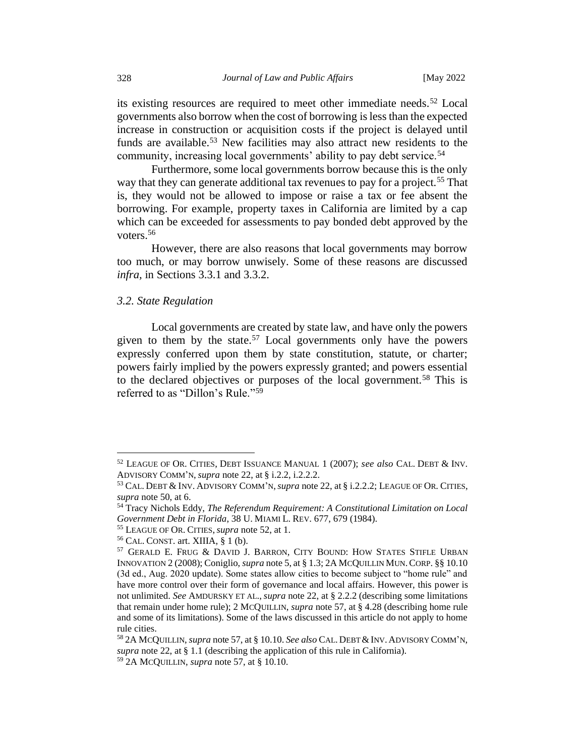its existing resources are required to meet other immediate needs.<sup>52</sup> Local governments also borrow when the cost of borrowing is less than the expected increase in construction or acquisition costs if the project is delayed until funds are available.<sup>53</sup> New facilities may also attract new residents to the community, increasing local governments' ability to pay debt service.<sup>54</sup>

Furthermore, some local governments borrow because this is the only way that they can generate additional tax revenues to pay for a project.<sup>55</sup> That is, they would not be allowed to impose or raise a tax or fee absent the borrowing. For example, property taxes in California are limited by a cap which can be exceeded for assessments to pay bonded debt approved by the voters.<sup>56</sup>

However, there are also reasons that local governments may borrow too much, or may borrow unwisely. Some of these reasons are discussed *infra,* in Sections 3.3.1 and 3.3.2.

## *3.2. State Regulation*

Local governments are created by state law, and have only the powers given to them by the state.<sup>57</sup> Local governments only have the powers expressly conferred upon them by state constitution, statute, or charter; powers fairly implied by the powers expressly granted; and powers essential to the declared objectives or purposes of the local government.<sup>58</sup> This is referred to as "Dillon's Rule."<sup>59</sup>

<sup>52</sup> LEAGUE OF OR. CITIES, DEBT ISSUANCE MANUAL 1 (2007); *see also* CAL. DEBT & INV. ADVISORY COMM'N, *supra* note 22, at § i.2.2, i.2.2.2.

<sup>53</sup> CAL. DEBT & INV. ADVISORY COMM'N,*supra* note 22, at § i.2.2.2; LEAGUE OF OR. CITIES, *supra* note 50, at 6.

<sup>54</sup> Tracy Nichols Eddy, *The Referendum Requirement: A Constitutional Limitation on Local Government Debt in Florida*, 38 U. MIAMI L. REV. 677, 679 (1984).

<sup>55</sup> LEAGUE OF OR. CITIES,*supra* note 52, at 1.

 $56$  CAL. CONST. art. XIIIA,  $\S$  1 (b).

<sup>57</sup> GERALD E. FRUG & DAVID J. BARRON, CITY BOUND: HOW STATES STIFLE URBAN INNOVATION 2 (2008); Coniglio, *supra* note 5, at § 1.3; 2A MCQUILLIN MUN.CORP. §§ 10.10 (3d ed., Aug. 2020 update). Some states allow cities to become subject to "home rule" and have more control over their form of governance and local affairs. However, this power is not unlimited. *See* AMDURSKY ET AL., *supra* note 22, at § 2.2.2 (describing some limitations that remain under home rule); 2 MCQUILLIN, *supra* note 57, at § 4.28 (describing home rule and some of its limitations). Some of the laws discussed in this article do not apply to home rule cities.

<sup>58</sup> 2A MCQUILLIN, *supra* note 57, at § 10.10. *See also* CAL. DEBT &INV. ADVISORY COMM'N, *supra* note 22, at § 1.1 (describing the application of this rule in California).

<sup>59</sup> 2A MCQUILLIN, *supra* note 57, at § 10.10.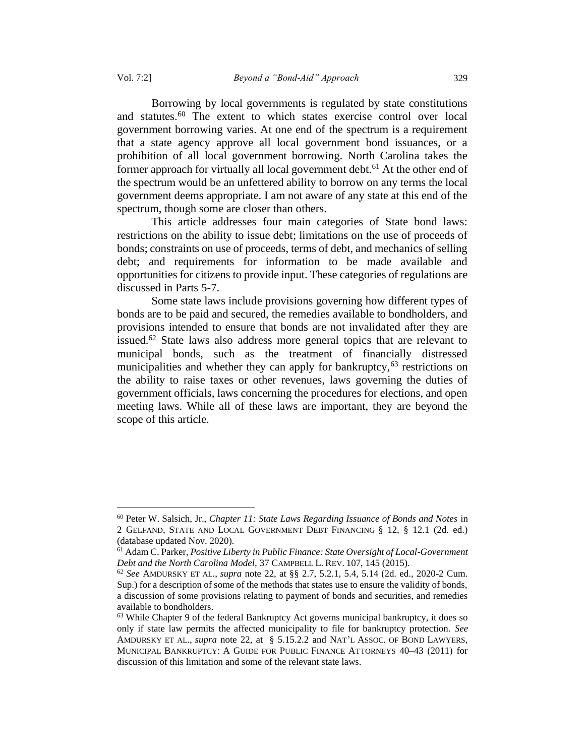Borrowing by local governments is regulated by state constitutions and statutes.<sup>60</sup> The extent to which states exercise control over local government borrowing varies. At one end of the spectrum is a requirement that a state agency approve all local government bond issuances, or a prohibition of all local government borrowing. North Carolina takes the former approach for virtually all local government debt.<sup>61</sup> At the other end of the spectrum would be an unfettered ability to borrow on any terms the local government deems appropriate. I am not aware of any state at this end of the spectrum, though some are closer than others.

This article addresses four main categories of State bond laws: restrictions on the ability to issue debt; limitations on the use of proceeds of bonds; constraints on use of proceeds, terms of debt, and mechanics of selling debt; and requirements for information to be made available and opportunities for citizens to provide input. These categories of regulations are discussed in Parts 5-7.

Some state laws include provisions governing how different types of bonds are to be paid and secured, the remedies available to bondholders, and provisions intended to ensure that bonds are not invalidated after they are issued.<sup>62</sup> State laws also address more general topics that are relevant to municipal bonds, such as the treatment of financially distressed municipalities and whether they can apply for bankruptcy,  $63$  restrictions on the ability to raise taxes or other revenues, laws governing the duties of government officials, laws concerning the procedures for elections, and open meeting laws. While all of these laws are important, they are beyond the scope of this article.

<sup>60</sup> Peter W. Salsich, Jr., *Chapter 11: State Laws Regarding Issuance of Bonds and Notes* in 2 GELFAND, STATE AND LOCAL GOVERNMENT DEBT FINANCING § 12, § 12.1 (2d. ed.) (database updated Nov. 2020).

<sup>61</sup> Adam C. Parker, *Positive Liberty in Public Finance: State Oversight of Local-Government Debt and the North Carolina Model,* 37 CAMPBELL L. REV. 107, 145 (2015).

<sup>62</sup> *See* AMDURSKY ET AL., *supra* note 22, at §§ 2.7, 5.2.1, 5.4, 5.14 (2d. ed., 2020-2 Cum. Sup.) for a description of some of the methods that states use to ensure the validity of bonds, a discussion of some provisions relating to payment of bonds and securities, and remedies available to bondholders.

 $63$  While Chapter 9 of the federal Bankruptcy Act governs municipal bankruptcy, it does so only if state law permits the affected municipality to file for bankruptcy protection. *See*  AMDURSKY ET AL., *supra* note 22, at § 5.15.2.2 and NAT'L ASSOC. OF BOND LAWYERS, MUNICIPAL BANKRUPTCY: A GUIDE FOR PUBLIC FINANCE ATTORNEYS 40–43 (2011) for discussion of this limitation and some of the relevant state laws.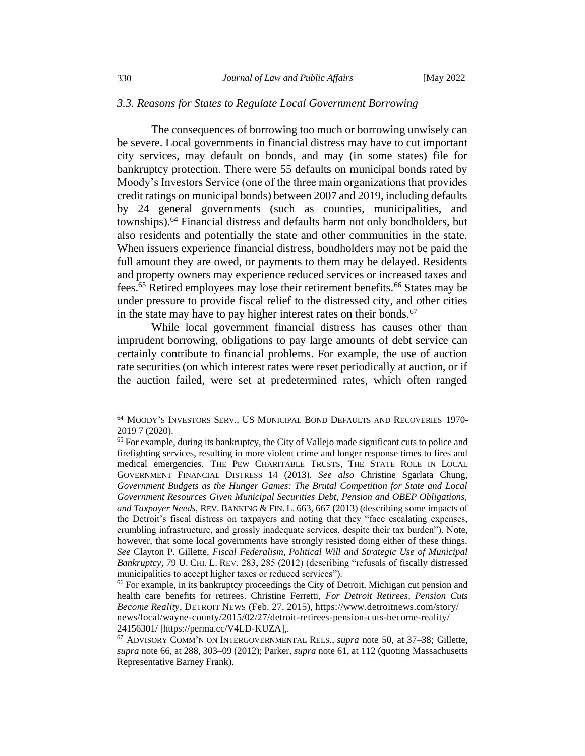#### *3.3. Reasons for States to Regulate Local Government Borrowing*

The consequences of borrowing too much or borrowing unwisely can be severe. Local governments in financial distress may have to cut important city services, may default on bonds, and may (in some states) file for bankruptcy protection. There were 55 defaults on municipal bonds rated by Moody's Investors Service (one of the three main organizations that provides credit ratings on municipal bonds) between 2007 and 2019, including defaults by 24 general governments (such as counties, municipalities, and townships).<sup>64</sup> Financial distress and defaults harm not only bondholders, but also residents and potentially the state and other communities in the state. When issuers experience financial distress, bondholders may not be paid the full amount they are owed, or payments to them may be delayed. Residents and property owners may experience reduced services or increased taxes and fees.<sup>65</sup> Retired employees may lose their retirement benefits.<sup>66</sup> States may be under pressure to provide fiscal relief to the distressed city, and other cities in the state may have to pay higher interest rates on their bonds.<sup>67</sup>

While local government financial distress has causes other than imprudent borrowing, obligations to pay large amounts of debt service can certainly contribute to financial problems. For example, the use of auction rate securities (on which interest rates were reset periodically at auction, or if the auction failed, were set at predetermined rates, which often ranged

<sup>64</sup> MOODY'S INVESTORS SERV., US MUNICIPAL BOND DEFAULTS AND RECOVERIES 1970- 2019 7 (2020).

 $65$  For example, during its bankruptcy, the City of Vallejo made significant cuts to police and firefighting services, resulting in more violent crime and longer response times to fires and medical emergencies. THE PEW CHARITABLE TRUSTS, THE STATE ROLE IN LOCAL GOVERNMENT FINANCIAL DISTRESS 14 (2013). *See also* Christine Sgarlata Chung, *Government Budgets as the Hunger Games: The Brutal Competition for State and Local Government Resources Given Municipal Securities Debt, Pension and OBEP Obligations, and Taxpayer Needs,* REV. BANKING & FIN. L. 663, 667 (2013) (describing some impacts of the Detroit's fiscal distress on taxpayers and noting that they "face escalating expenses, crumbling infrastructure, and grossly inadequate services, despite their tax burden"). Note, however, that some local governments have strongly resisted doing either of these things. *See* Clayton P. Gillette, *Fiscal Federalism, Political Will and Strategic Use of Municipal Bankruptcy*, 79 U. CHI. L. REV. 283, 285 (2012) (describing "refusals of fiscally distressed municipalities to accept higher taxes or reduced services").

<sup>&</sup>lt;sup>66</sup> For example, in its bankruptcy proceedings the City of Detroit, Michigan cut pension and health care benefits for retirees. Christine Ferretti, *For Detroit Retirees, Pension Cuts Become Reality*, DETROIT NEWS (Feb. 27, 2015), https://www.detroitnews.com/story/ news/local/wayne-county/2015/02/27/detroit-retirees-pension-cuts-become-reality/ 24156301/ [https://perma.cc/V4LD-KUZA],.

<sup>67</sup> ADVISORY COMM'N ON INTERGOVERNMENTAL RELS., *supra* note 50, at 37–38; Gillette, *supra* note 66, at 288, 303–09 (2012); Parker, *supra* note 61, at 112 (quoting Massachusetts Representative Barney Frank).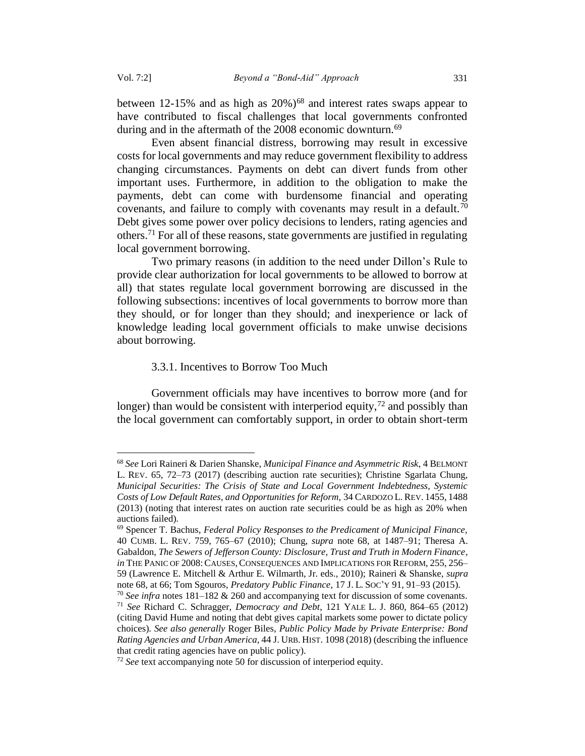between 12-15% and as high as  $20\%$ )<sup>68</sup> and interest rates swaps appear to have contributed to fiscal challenges that local governments confronted during and in the aftermath of the 2008 economic downturn.<sup>69</sup>

Even absent financial distress, borrowing may result in excessive costs for local governments and may reduce government flexibility to address changing circumstances. Payments on debt can divert funds from other important uses. Furthermore, in addition to the obligation to make the payments, debt can come with burdensome financial and operating covenants, and failure to comply with covenants may result in a default.<sup>70</sup> Debt gives some power over policy decisions to lenders, rating agencies and others.<sup>71</sup> For all of these reasons, state governments are justified in regulating local government borrowing.

Two primary reasons (in addition to the need under Dillon's Rule to provide clear authorization for local governments to be allowed to borrow at all) that states regulate local government borrowing are discussed in the following subsections: incentives of local governments to borrow more than they should, or for longer than they should; and inexperience or lack of knowledge leading local government officials to make unwise decisions about borrowing.

#### 3.3.1. Incentives to Borrow Too Much

<span id="page-16-0"></span>Government officials may have incentives to borrow more (and for longer) than would be consistent with interperiod equity,  $72$  and possibly than the local government can comfortably support, in order to obtain short-term

<sup>68</sup> *See* Lori Raineri & Darien Shanske, *Municipal Finance and Asymmetric Risk*, 4 BELMONT L. REV. 65, 72–73 (2017) (describing auction rate securities); Christine Sgarlata Chung, *Municipal Securities: The Crisis of State and Local Government Indebtedness, Systemic Costs of Low Default Rates, and Opportunities for Reform,* 34 CARDOZO L. REV. 1455, 1488 (2013) (noting that interest rates on auction rate securities could be as high as 20% when auctions failed).

<sup>69</sup> Spencer T. Bachus, *Federal Policy Responses to the Predicament of Municipal Finance,*  40 CUMB. L. REV. 759, 765–67 (2010); Chung, *supra* note 68, at 1487–91; Theresa A. Gabaldon, *The Sewers of Jefferson County: Disclosure, Trust and Truth in Modern Finance*, *in* THE PANIC OF 2008: CAUSES, CONSEQUENCES AND IMPLICATIONS FOR REFORM, 255, 256– 59 (Lawrence E. Mitchell & Arthur E. Wilmarth, Jr. eds., 2010); Raineri & Shanske, *supra*  note 68, at 66; Tom Sgouros, *Predatory Public Finance*, 17 J. L.SOC'Y 91, 91–93 (2015).

<sup>70</sup> *See infra* notes 181–182 & 260 and accompanying text for discussion of some covenants. <sup>71</sup> *See* Richard C. Schragger, *Democracy and Debt*, 121 YALE L. J. 860, 864–65 (2012) (citing David Hume and noting that debt gives capital markets some power to dictate policy choices). *See also generally* Roger Biles, *Public Policy Made by Private Enterprise: Bond Rating Agencies and Urban America,* 44 J. URB. HIST. 1098 (2018) (describing the influence that credit rating agencies have on public policy).

<sup>72</sup> *See* text accompanying note 50 for discussion of interperiod equity.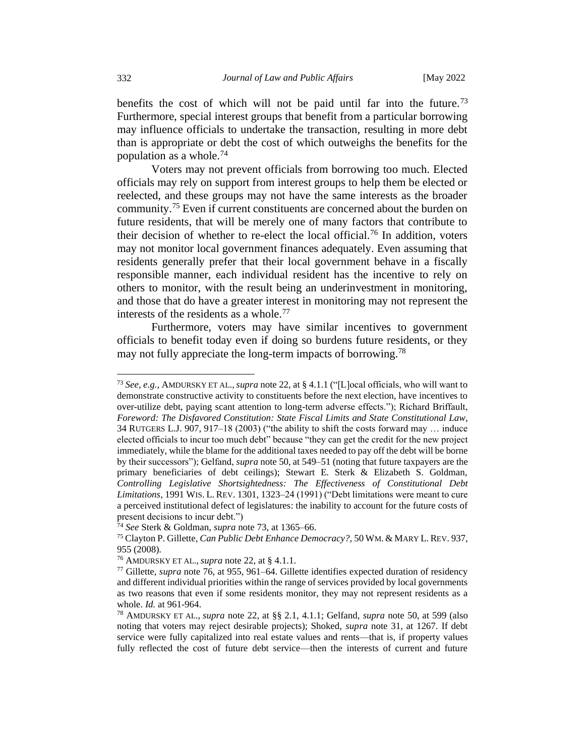benefits the cost of which will not be paid until far into the future.<sup>73</sup> Furthermore, special interest groups that benefit from a particular borrowing may influence officials to undertake the transaction, resulting in more debt than is appropriate or debt the cost of which outweighs the benefits for the population as a whole. $74$ 

Voters may not prevent officials from borrowing too much. Elected officials may rely on support from interest groups to help them be elected or reelected, and these groups may not have the same interests as the broader community.<sup>75</sup> Even if current constituents are concerned about the burden on future residents, that will be merely one of many factors that contribute to their decision of whether to re-elect the local official.<sup>76</sup> In addition, voters may not monitor local government finances adequately. Even assuming that residents generally prefer that their local government behave in a fiscally responsible manner, each individual resident has the incentive to rely on others to monitor, with the result being an underinvestment in monitoring, and those that do have a greater interest in monitoring may not represent the interests of the residents as a whole.<sup>77</sup>

Furthermore, voters may have similar incentives to government officials to benefit today even if doing so burdens future residents, or they may not fully appreciate the long-term impacts of borrowing.<sup>78</sup>

<sup>73</sup> *See, e.g.,* AMDURSKY ET AL.,*supra* note 22, at § 4.1.1 ("[L]ocal officials, who will want to demonstrate constructive activity to constituents before the next election, have incentives to over-utilize debt, paying scant attention to long-term adverse effects."); Richard Briffault, *Foreword: The Disfavored Constitution: State Fiscal Limits and State Constitutional Law*, 34 RUTGERS L.J. 907, 917–18 (2003) ("the ability to shift the costs forward may … induce elected officials to incur too much debt" because "they can get the credit for the new project immediately, while the blame for the additional taxes needed to pay off the debt will be borne by their successors"); Gelfand, *supra* note 50, at 549–51 (noting that future taxpayers are the primary beneficiaries of debt ceilings); Stewart E. Sterk & Elizabeth S. Goldman, *Controlling Legislative Shortsightedness: The Effectiveness of Constitutional Debt Limitations*, 1991 WIS. L. REV. 1301, 1323–24 (1991) ("Debt limitations were meant to cure a perceived institutional defect of legislatures: the inability to account for the future costs of present decisions to incur debt.")

<sup>74</sup> *See* Sterk & Goldman, *supra* note 73, at 1365–66.

<sup>75</sup> Clayton P. Gillette, *Can Public Debt Enhance Democracy?,* 50 WM. & MARY L. REV. 937, 955 (2008).

<sup>76</sup> AMDURSKY ET AL., *supra* note 22, at § 4.1.1.

<sup>77</sup> Gillette, *supra* note 76, at 955, 961–64. Gillette identifies expected duration of residency and different individual priorities within the range of services provided by local governments as two reasons that even if some residents monitor, they may not represent residents as a whole. *Id.* at 961-964.

<sup>78</sup> AMDURSKY ET AL., *supra* note 22, at §§ 2.1, 4.1.1; Gelfand, *supra* note 50, at 599 (also noting that voters may reject desirable projects); Shoked, *supra* note [31,](#page-10-0) at 1267. If debt service were fully capitalized into real estate values and rents—that is, if property values fully reflected the cost of future debt service—then the interests of current and future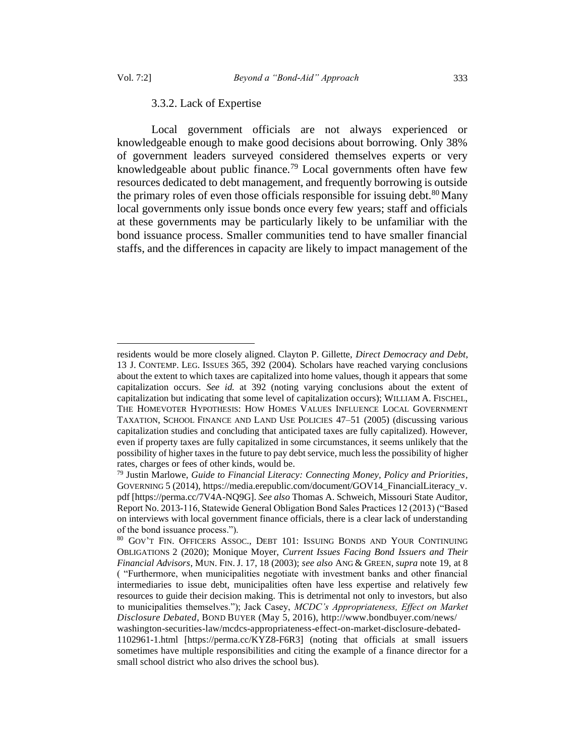<span id="page-18-0"></span>

#### 3.3.2. Lack of Expertise

Local government officials are not always experienced or knowledgeable enough to make good decisions about borrowing. Only 38% of government leaders surveyed considered themselves experts or very knowledgeable about public finance.<sup>79</sup> Local governments often have few resources dedicated to debt management, and frequently borrowing is outside the primary roles of even those officials responsible for issuing debt.<sup>80</sup> Many local governments only issue bonds once every few years; staff and officials at these governments may be particularly likely to be unfamiliar with the bond issuance process. Smaller communities tend to have smaller financial staffs, and the differences in capacity are likely to impact management of the

residents would be more closely aligned. Clayton P. Gillette, *Direct Democracy and Debt*, 13 J. CONTEMP. LEG. ISSUES 365, 392 (2004). Scholars have reached varying conclusions about the extent to which taxes are capitalized into home values, though it appears that some capitalization occurs. *See id.* at 392 (noting varying conclusions about the extent of capitalization but indicating that some level of capitalization occurs); WILLIAM A. FISCHEL, THE HOMEVOTER HYPOTHESIS: HOW HOMES VALUES INFLUENCE LOCAL GOVERNMENT TAXATION, SCHOOL FINANCE AND LAND USE POLICIES 47–51 (2005) (discussing various capitalization studies and concluding that anticipated taxes are fully capitalized). However, even if property taxes are fully capitalized in some circumstances, it seems unlikely that the possibility of higher taxes in the future to pay debt service, much less the possibility of higher rates, charges or fees of other kinds, would be.

<sup>79</sup> Justin Marlowe, *Guide to Financial Literacy: Connecting Money, Policy and Priorities*, GOVERNING 5 (2014), https://media.erepublic.com/document/GOV14 FinancialLiteracy v. pdf [https://perma.cc/7V4A-NQ9G]. *See also* Thomas A. Schweich, Missouri State Auditor, Report No. 2013-116, Statewide General Obligation Bond Sales Practices 12 (2013) ("Based on interviews with local government finance officials, there is a clear lack of understanding of the bond issuance process.").<br><sup>80</sup> GOV'T FIN OFFICERS ASSO

<sup>80</sup> GOV'T FIN. OFFICERS ASSOC., DEBT 101: ISSUING BONDS AND YOUR CONTINUING OBLIGATIONS 2 (2020); Monique Moyer, *Current Issues Facing Bond Issuers and Their Financial Advisors*, MUN. FIN. J. 17, 18 (2003); *see also* ANG & GREEN, *supra* note 19, at 8 ( "Furthermore, when municipalities negotiate with investment banks and other financial intermediaries to issue debt, municipalities often have less expertise and relatively few resources to guide their decision making. This is detrimental not only to investors, but also to municipalities themselves."); Jack Casey, *MCDC's Appropriateness, Effect on Market Disclosure Debated*, BOND BUYER (May 5, 2016), http://www.bondbuyer.com/news/

washington-securities-law/mcdcs-appropriateness-effect-on-market-disclosure-debated-1102961-1.html [https://perma.cc/KYZ8-F6R3] (noting that officials at small issuers sometimes have multiple responsibilities and citing the example of a finance director for a small school district who also drives the school bus).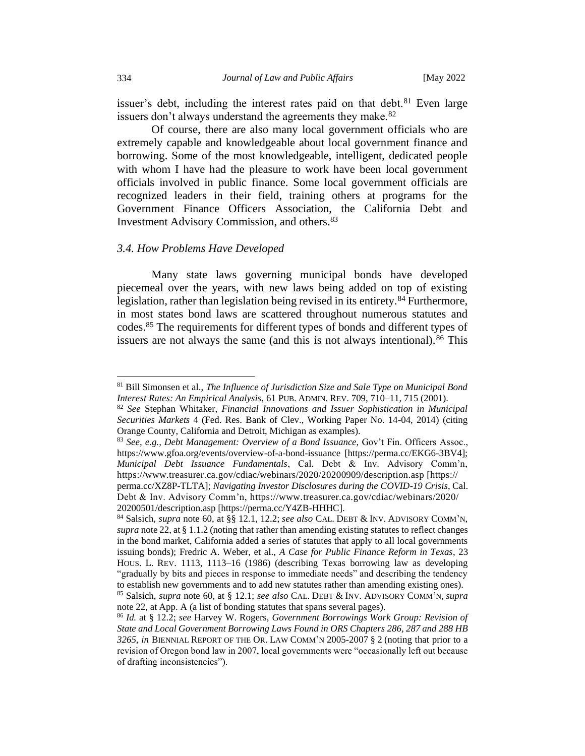issuer's debt, including the interest rates paid on that debt. $81$  Even large issuers don't always understand the agreements they make.<sup>82</sup>

Of course, there are also many local government officials who are extremely capable and knowledgeable about local government finance and borrowing. Some of the most knowledgeable, intelligent, dedicated people with whom I have had the pleasure to work have been local government officials involved in public finance. Some local government officials are recognized leaders in their field, training others at programs for the Government Finance Officers Association, the California Debt and Investment Advisory Commission, and others.<sup>83</sup>

## *3.4. How Problems Have Developed*

Many state laws governing municipal bonds have developed piecemeal over the years, with new laws being added on top of existing legislation, rather than legislation being revised in its entirety.<sup>84</sup> Furthermore, in most states bond laws are scattered throughout numerous statutes and codes.<sup>85</sup> The requirements for different types of bonds and different types of issuers are not always the same (and this is not always intentional).  $86$  This

<sup>81</sup> Bill Simonsen et al., *The Influence of Jurisdiction Size and Sale Type on Municipal Bond Interest Rates: An Empirical Analysis*, 61 PUB. ADMIN. REV. 709, 710–11, 715 (2001).

<sup>82</sup> *See* Stephan Whitaker, *Financial Innovations and Issuer Sophistication in Municipal Securities Markets* 4 (Fed. Res. Bank of Clev., Working Paper No. 14-04, 2014) (citing Orange County, California and Detroit, Michigan as examples).

<sup>83</sup> *See, e.g., Debt Management: Overview of a Bond Issuance,* Gov't Fin. Officers Assoc., https://www.gfoa.org/events/overview-of-a-bond-issuance [https://perma.cc/EKG6-3BV4]; *Municipal Debt Issuance Fundamentals*, Cal. Debt & Inv. Advisory Comm'n, https://www.treasurer.ca.gov/cdiac/webinars/2020/20200909/description.asp [https:// perma.cc/XZ8P-TLTA]; *Navigating Investor Disclosures during the COVID-19 Crisis*, Cal. Debt & Inv. Advisory Comm'n, https://www.treasurer.ca.gov/cdiac/webinars/2020/ 20200501/description.asp [https://perma.cc/Y4ZB-HHHC].

<sup>84</sup> Salsich, *supra* note 60, at §§ 12.1, 12.2; *see also* CAL. DEBT & INV. ADVISORY COMM'N, *supra* note 22, at § 1.1.2 (noting that rather than amending existing statutes to reflect changes in the bond market, California added a series of statutes that apply to all local governments issuing bonds); Fredric A. Weber, et al., *A Case for Public Finance Reform in Texas*, 23 HOUS. L. REV. 1113, 1113–16 (1986) (describing Texas borrowing law as developing "gradually by bits and pieces in response to immediate needs" and describing the tendency to establish new governments and to add new statutes rather than amending existing ones).

<sup>85</sup> Salsich, *supra* note 60, at § 12.1; *see also* CAL. DEBT & INV. ADVISORY COMM'N, *supra* note 22, at App. A (a list of bonding statutes that spans several pages).

<sup>86</sup> *Id.* at § 12.2; *see* Harvey W. Rogers, *Government Borrowings Work Group: Revision of State and Local Government Borrowing Laws Found in ORS Chapters 286, 287 and 288 HB 3265, in* BIENNIAL REPORT OF THE OR. LAW COMM'N 2005-2007 § 2 (noting that prior to a revision of Oregon bond law in 2007, local governments were "occasionally left out because of drafting inconsistencies").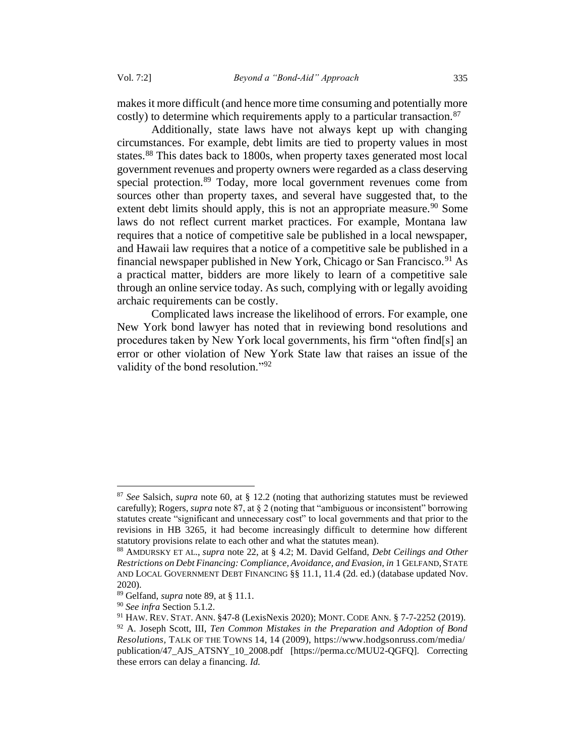makes it more difficult (and hence more time consuming and potentially more costly) to determine which requirements apply to a particular transaction.<sup>87</sup>

Additionally, state laws have not always kept up with changing circumstances. For example, debt limits are tied to property values in most states.<sup>88</sup> This dates back to 1800s, when property taxes generated most local government revenues and property owners were regarded as a class deserving special protection.<sup>89</sup> Today, more local government revenues come from sources other than property taxes, and several have suggested that, to the extent debt limits should apply, this is not an appropriate measure.  $90$  Some laws do not reflect current market practices. For example, Montana law requires that a notice of competitive sale be published in a local newspaper, and Hawaii law requires that a notice of a competitive sale be published in a financial newspaper published in New York, Chicago or San Francisco.<sup>91</sup> As a practical matter, bidders are more likely to learn of a competitive sale through an online service today. As such, complying with or legally avoiding archaic requirements can be costly.

Complicated laws increase the likelihood of errors. For example, one New York bond lawyer has noted that in reviewing bond resolutions and procedures taken by New York local governments, his firm "often find[s] an error or other violation of New York State law that raises an issue of the validity of the bond resolution."<sup>92</sup>

<sup>87</sup> *See* Salsich, *supra* note 60, at § 12.2 (noting that authorizing statutes must be reviewed carefully); Rogers, *supra* note 87, at § 2 (noting that "ambiguous or inconsistent" borrowing statutes create "significant and unnecessary cost" to local governments and that prior to the revisions in HB 3265, it had become increasingly difficult to determine how different statutory provisions relate to each other and what the statutes mean).

<sup>88</sup> AMDURSKY ET AL., *supra* note 22, at § 4.2; M. David Gelfand, *Debt Ceilings and Other Restrictions on Debt Financing: Compliance, Avoidance, and Evasion, in* 1 GELFAND, STATE AND LOCAL GOVERNMENT DEBT FINANCING §§ 11.1, 11.4 (2d. ed.) (database updated Nov. 2020).

<sup>89</sup> Gelfand, *supra* note 89, at § 11.1.

<sup>90</sup> *See infra* Section 5.1.2.

<sup>91</sup> HAW. REV.STAT. ANN. §47-8 (LexisNexis 2020); MONT. CODE ANN. § 7-7-2252 (2019).

<sup>92</sup> A. Joseph Scott, III, *Ten Common Mistakes in the Preparation and Adoption of Bond Resolutions,* TALK OF THE TOWNS 14, 14 (2009), https://www.hodgsonruss.com/media/ publication/47\_AJS\_ATSNY\_10\_2008.pdf [https://perma.cc/MUU2-QGFQ]. Correcting these errors can delay a financing. *Id.*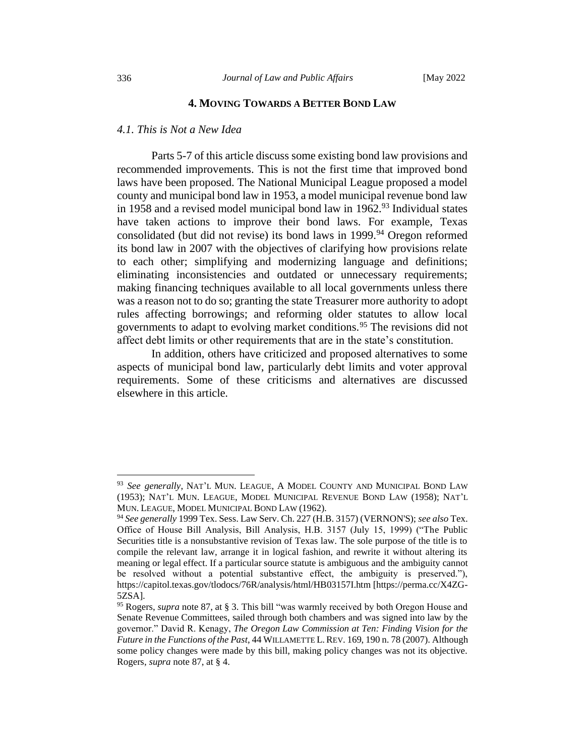## **4. MOVING TOWARDS A BETTER BOND LAW**

#### *4.1. This is Not a New Idea*

Parts 5-7 of this article discuss some existing bond law provisions and recommended improvements. This is not the first time that improved bond laws have been proposed. The National Municipal League proposed a model county and municipal bond law in 1953, a model municipal revenue bond law in 1958 and a revised model municipal bond law in 1962.<sup>93</sup> Individual states have taken actions to improve their bond laws. For example, Texas consolidated (but did not revise) its bond laws in  $1999$ .<sup>94</sup> Oregon reformed its bond law in 2007 with the objectives of clarifying how provisions relate to each other; simplifying and modernizing language and definitions; eliminating inconsistencies and outdated or unnecessary requirements; making financing techniques available to all local governments unless there was a reason not to do so; granting the state Treasurer more authority to adopt rules affecting borrowings; and reforming older statutes to allow local governments to adapt to evolving market conditions.<sup>95</sup> The revisions did not affect debt limits or other requirements that are in the state's constitution.

In addition, others have criticized and proposed alternatives to some aspects of municipal bond law, particularly debt limits and voter approval requirements. Some of these criticisms and alternatives are discussed elsewhere in this article.

<sup>93</sup> *See generally*, NAT'L MUN. LEAGUE, A MODEL COUNTY AND MUNICIPAL BOND LAW (1953); NAT'L MUN. LEAGUE, MODEL MUNICIPAL REVENUE BOND LAW (1958); NAT'L MUN. LEAGUE, MODEL MUNICIPAL BOND LAW (1962).

<sup>94</sup> *See generally* 1999 Tex. Sess. Law Serv. Ch. 227 (H.B. 3157) (VERNON'S); *see also* Tex. Office of House Bill Analysis, Bill Analysis, H.B. 3157 (July 15, 1999) ("The Public Securities title is a nonsubstantive revision of Texas law. The sole purpose of the title is to compile the relevant law, arrange it in logical fashion, and rewrite it without altering its meaning or legal effect. If a particular source statute is ambiguous and the ambiguity cannot be resolved without a potential substantive effect, the ambiguity is preserved."), https://capitol.texas.gov/tlodocs/76R/analysis/html/HB03157I.htm [https://perma.cc/X4ZG-5ZSA].

<sup>95</sup> Rogers, *supra* note 87, at § 3. This bill "was warmly received by both Oregon House and Senate Revenue Committees, sailed through both chambers and was signed into law by the governor." David R. Kenagy, *The Oregon Law Commission at Ten: Finding Vision for the Future in the Functions of the Past*, 44 WILLAMETTE L.REV. 169, 190 n. 78 (2007). Although some policy changes were made by this bill, making policy changes was not its objective. Rogers, *supra* note 87, at § 4.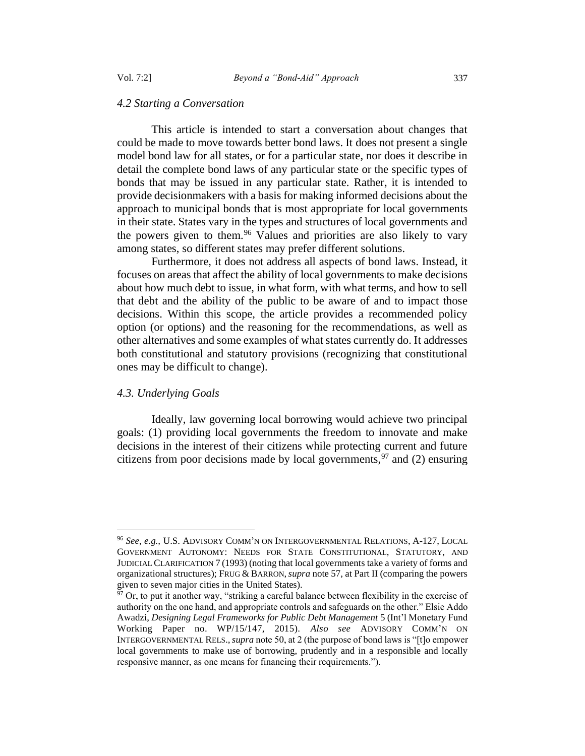#### *4.2 Starting a Conversation*

This article is intended to start a conversation about changes that could be made to move towards better bond laws. It does not present a single model bond law for all states, or for a particular state, nor does it describe in detail the complete bond laws of any particular state or the specific types of bonds that may be issued in any particular state. Rather, it is intended to provide decisionmakers with a basis for making informed decisions about the approach to municipal bonds that is most appropriate for local governments in their state. States vary in the types and structures of local governments and the powers given to them.<sup>96</sup> Values and priorities are also likely to vary among states, so different states may prefer different solutions.

Furthermore, it does not address all aspects of bond laws. Instead, it focuses on areas that affect the ability of local governments to make decisions about how much debt to issue, in what form, with what terms, and how to sell that debt and the ability of the public to be aware of and to impact those decisions. Within this scope, the article provides a recommended policy option (or options) and the reasoning for the recommendations, as well as other alternatives and some examples of what states currently do. It addresses both constitutional and statutory provisions (recognizing that constitutional ones may be difficult to change).

## *4.3. Underlying Goals*

Ideally, law governing local borrowing would achieve two principal goals: (1) providing local governments the freedom to innovate and make decisions in the interest of their citizens while protecting current and future citizens from poor decisions made by local governments,  $97$  and (2) ensuring

<sup>96</sup> *See, e.g.,* U.S. ADVISORY COMM'N ON INTERGOVERNMENTAL RELATIONS, A-127, LOCAL GOVERNMENT AUTONOMY: NEEDS FOR STATE CONSTITUTIONAL, STATUTORY, AND JUDICIAL CLARIFICATION 7 (1993) (noting that local governments take a variety of forms and organizational structures); FRUG & BARRON,*supra* note 57, at Part II (comparing the powers given to seven major cities in the United States).

 $\frac{97}{97}$  Or, to put it another way, "striking a careful balance between flexibility in the exercise of authority on the one hand, and appropriate controls and safeguards on the other." Elsie Addo Awadzi, *Designing Legal Frameworks for Public Debt Management* 5 (Int'l Monetary Fund Working Paper no. WP/15/147, 2015). *Also see* ADVISORY COMM'N ON INTERGOVERNMENTAL RELS.,*supra* note 50, at 2 (the purpose of bond laws is "[t]o empower local governments to make use of borrowing, prudently and in a responsible and locally responsive manner, as one means for financing their requirements.").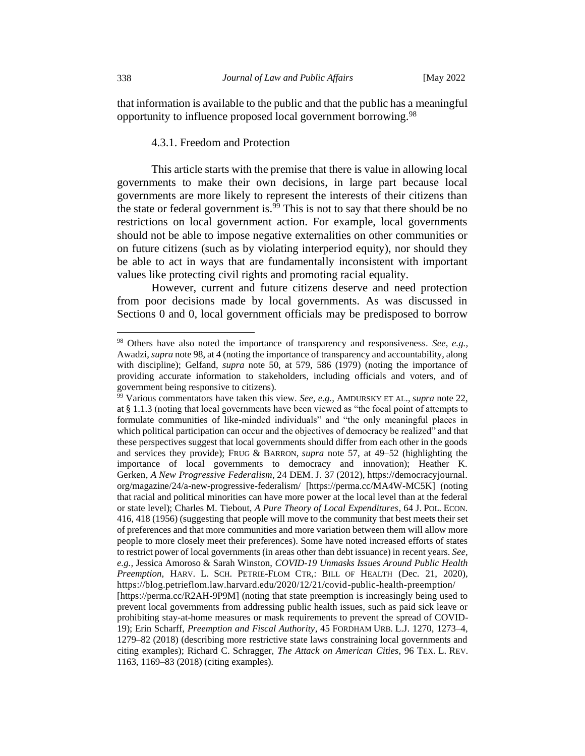that information is available to the public and that the public has a meaningful opportunity to influence proposed local government borrowing.<sup>98</sup>

#### 4.3.1. Freedom and Protection

This article starts with the premise that there is value in allowing local governments to make their own decisions, in large part because local governments are more likely to represent the interests of their citizens than the state or federal government is.<sup>99</sup> This is not to say that there should be no restrictions on local government action. For example, local governments should not be able to impose negative externalities on other communities or on future citizens (such as by violating interperiod equity), nor should they be able to act in ways that are fundamentally inconsistent with important values like protecting civil rights and promoting racial equality.

However, current and future citizens deserve and need protection from poor decisions made by local governments. As was discussed in Sections [0](#page-16-0) and [0,](#page-18-0) local government officials may be predisposed to borrow

<sup>98</sup> Others have also noted the importance of transparency and responsiveness. *See, e.g.,* Awadzi, *supra* note 98, at 4 (noting the importance of transparency and accountability, along with discipline); Gelfand, *supra* note 50, at 579, 586 (1979) (noting the importance of providing accurate information to stakeholders, including officials and voters, and of government being responsive to citizens).

<sup>99</sup> Various commentators have taken this view. *See, e.g.,* AMDURSKY ET AL., *supra* note 22, at § 1.1.3 (noting that local governments have been viewed as "the focal point of attempts to formulate communities of like-minded individuals" and "the only meaningful places in which political participation can occur and the objectives of democracy be realized" and that these perspectives suggest that local governments should differ from each other in the goods and services they provide); FRUG & BARRON, *supra* note 57, at 49–52 (highlighting the importance of local governments to democracy and innovation); Heather K. Gerken, *A New Progressive Federalism*, 24 DEM. J. 37 (2012), https://democracyjournal. org/magazine/24/a-new-progressive-federalism/ [https://perma.cc/MA4W-MC5K] (noting that racial and political minorities can have more power at the local level than at the federal or state level); Charles M. Tiebout*, A Pure Theory of Local Expenditures*, 64 J.POL. ECON. 416, 418 (1956) (suggesting that people will move to the community that best meets their set of preferences and that more communities and more variation between them will allow more people to more closely meet their preferences). Some have noted increased efforts of states to restrict power of local governments (in areas other than debt issuance) in recent years. *See, e.g.,* Jessica Amoroso & Sarah Winston, *COVID-19 Unmasks Issues Around Public Health Preemption*, HARV. L. SCH. PETRIE-FLOM CTR,: BILL OF HEALTH (Dec. 21, 2020), https://blog.petrieflom.law.harvard.edu/2020/12/21/covid-public-health-preemption/ [https://perma.cc/R2AH-9P9M] (noting that state preemption is increasingly being used to prevent local governments from addressing public health issues, such as paid sick leave or prohibiting stay-at-home measures or mask requirements to prevent the spread of COVID-19); Erin Scharff, *Preemption and Fiscal Authority*, 45 FORDHAM URB. L.J. 1270, 1273–4, 1279–82 (2018) (describing more restrictive state laws constraining local governments and citing examples); Richard C. Schragger, *The Attack on American Cities*, 96 TEX. L. REV. 1163, 1169–83 (2018) (citing examples).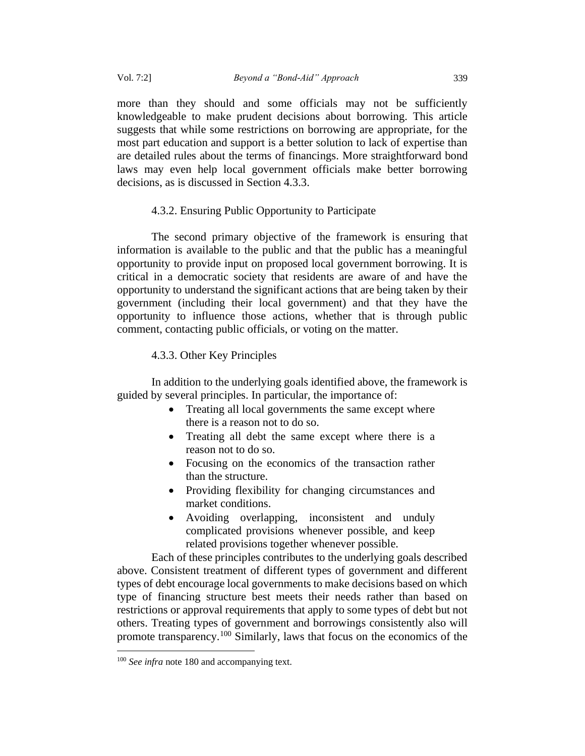more than they should and some officials may not be sufficiently knowledgeable to make prudent decisions about borrowing. This article suggests that while some restrictions on borrowing are appropriate, for the most part education and support is a better solution to lack of expertise than are detailed rules about the terms of financings. More straightforward bond laws may even help local government officials make better borrowing decisions, as is discussed in Section 4.3.3.

## 4.3.2. Ensuring Public Opportunity to Participate

The second primary objective of the framework is ensuring that information is available to the public and that the public has a meaningful opportunity to provide input on proposed local government borrowing. It is critical in a democratic society that residents are aware of and have the opportunity to understand the significant actions that are being taken by their government (including their local government) and that they have the opportunity to influence those actions, whether that is through public comment, contacting public officials, or voting on the matter.

## 4.3.3. Other Key Principles

In addition to the underlying goals identified above, the framework is guided by several principles. In particular, the importance of:

- Treating all local governments the same except where there is a reason not to do so.
- Treating all debt the same except where there is a reason not to do so.
- Focusing on the economics of the transaction rather than the structure.
- Providing flexibility for changing circumstances and market conditions.
- Avoiding overlapping, inconsistent and unduly complicated provisions whenever possible, and keep related provisions together whenever possible.

Each of these principles contributes to the underlying goals described above. Consistent treatment of different types of government and different types of debt encourage local governments to make decisions based on which type of financing structure best meets their needs rather than based on restrictions or approval requirements that apply to some types of debt but not others. Treating types of government and borrowings consistently also will promote transparency.<sup>100</sup> Similarly, laws that focus on the economics of the

<sup>&</sup>lt;sup>100</sup> See infra note 180 and accompanying text.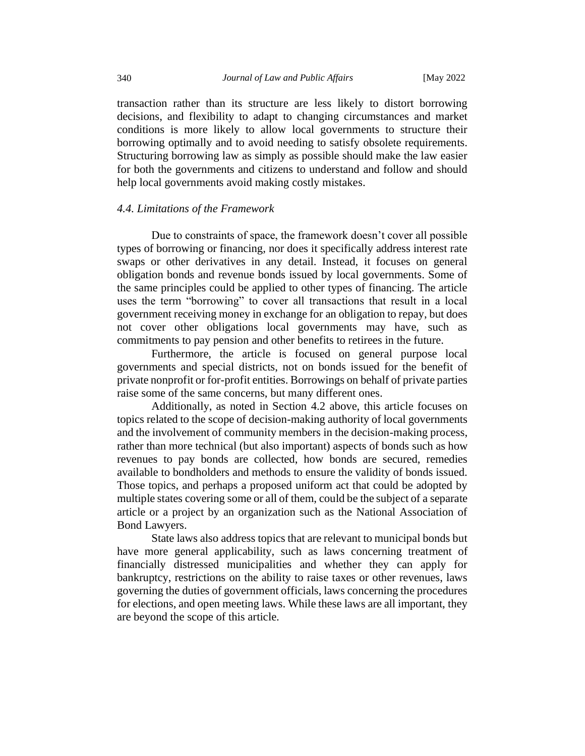transaction rather than its structure are less likely to distort borrowing decisions, and flexibility to adapt to changing circumstances and market conditions is more likely to allow local governments to structure their borrowing optimally and to avoid needing to satisfy obsolete requirements. Structuring borrowing law as simply as possible should make the law easier for both the governments and citizens to understand and follow and should help local governments avoid making costly mistakes.

#### *4.4. Limitations of the Framework*

Due to constraints of space, the framework doesn't cover all possible types of borrowing or financing, nor does it specifically address interest rate swaps or other derivatives in any detail. Instead, it focuses on general obligation bonds and revenue bonds issued by local governments. Some of the same principles could be applied to other types of financing. The article uses the term "borrowing" to cover all transactions that result in a local government receiving money in exchange for an obligation to repay, but does not cover other obligations local governments may have, such as commitments to pay pension and other benefits to retirees in the future.

Furthermore, the article is focused on general purpose local governments and special districts, not on bonds issued for the benefit of private nonprofit or for-profit entities. Borrowings on behalf of private parties raise some of the same concerns, but many different ones.

Additionally, as noted in Section 4.2 above, this article focuses on topics related to the scope of decision-making authority of local governments and the involvement of community members in the decision-making process, rather than more technical (but also important) aspects of bonds such as how revenues to pay bonds are collected, how bonds are secured, remedies available to bondholders and methods to ensure the validity of bonds issued. Those topics, and perhaps a proposed uniform act that could be adopted by multiple states covering some or all of them, could be the subject of a separate article or a project by an organization such as the National Association of Bond Lawyers.

State laws also address topics that are relevant to municipal bonds but have more general applicability, such as laws concerning treatment of financially distressed municipalities and whether they can apply for bankruptcy, restrictions on the ability to raise taxes or other revenues, laws governing the duties of government officials, laws concerning the procedures for elections, and open meeting laws. While these laws are all important, they are beyond the scope of this article.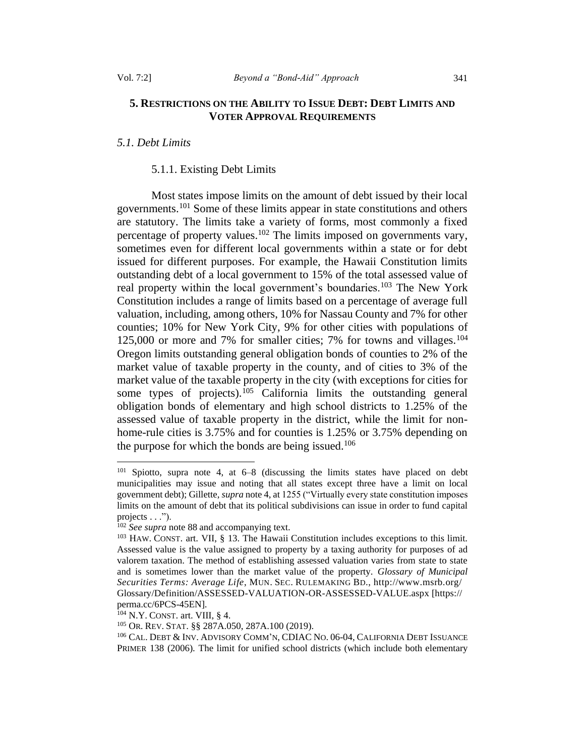## **5. RESTRICTIONS ON THE ABILITY TO ISSUE DEBT: DEBT LIMITS AND VOTER APPROVAL REQUIREMENTS**

## *5.1. Debt Limits*

#### <span id="page-26-0"></span>5.1.1. Existing Debt Limits

Most states impose limits on the amount of debt issued by their local governments.<sup>101</sup> Some of these limits appear in state constitutions and others are statutory. The limits take a variety of forms, most commonly a fixed percentage of property values.<sup>102</sup> The limits imposed on governments vary, sometimes even for different local governments within a state or for debt issued for different purposes. For example, the Hawaii Constitution limits outstanding debt of a local government to 15% of the total assessed value of real property within the local government's boundaries.<sup>103</sup> The New York Constitution includes a range of limits based on a percentage of average full valuation, including, among others, 10% for Nassau County and 7% for other counties; 10% for New York City, 9% for other cities with populations of 125,000 or more and 7% for smaller cities; 7% for towns and villages.<sup>104</sup> Oregon limits outstanding general obligation bonds of counties to 2% of the market value of taxable property in the county, and of cities to 3% of the market value of the taxable property in the city (with exceptions for cities for some types of projects).<sup>105</sup> California limits the outstanding general obligation bonds of elementary and high school districts to 1.25% of the assessed value of taxable property in the district, while the limit for nonhome-rule cities is 3.75% and for counties is 1.25% or 3.75% depending on the purpose for which the bonds are being issued.<sup>106</sup>

<sup>101</sup> Spiotto, supra note 4, at 6–8 (discussing the limits states have placed on debt municipalities may issue and noting that all states except three have a limit on local government debt); Gillette, *supra* note 4, at 1255 ("Virtually every state constitution imposes limits on the amount of debt that its political subdivisions can issue in order to fund capital projects . . .").

<sup>102</sup> *See supra* note 88 and accompanying text.

<sup>103</sup> HAW. CONST. art. VII, § 13. The Hawaii Constitution includes exceptions to this limit. Assessed value is the value assigned to property by a taxing authority for purposes of ad valorem taxation. The method of establishing assessed valuation varies from state to state and is sometimes lower than the market value of the property. *Glossary of Municipal Securities Terms: Average Life*, MUN. SEC. RULEMAKING BD., http://www.msrb.org/ Glossary/Definition/ASSESSED-VALUATION-OR-ASSESSED-VALUE.aspx [https:// perma.cc/6PCS-45EN].

<sup>104</sup> N.Y. CONST. art. VIII, § 4.

<sup>105</sup> OR. REV.STAT. §§ 287A.050, 287A.100 (2019).

<sup>106</sup> CAL. DEBT & INV. ADVISORY COMM'N, CDIAC NO. 06-04, CALIFORNIA DEBT ISSUANCE PRIMER 138 (2006). The limit for unified school districts (which include both elementary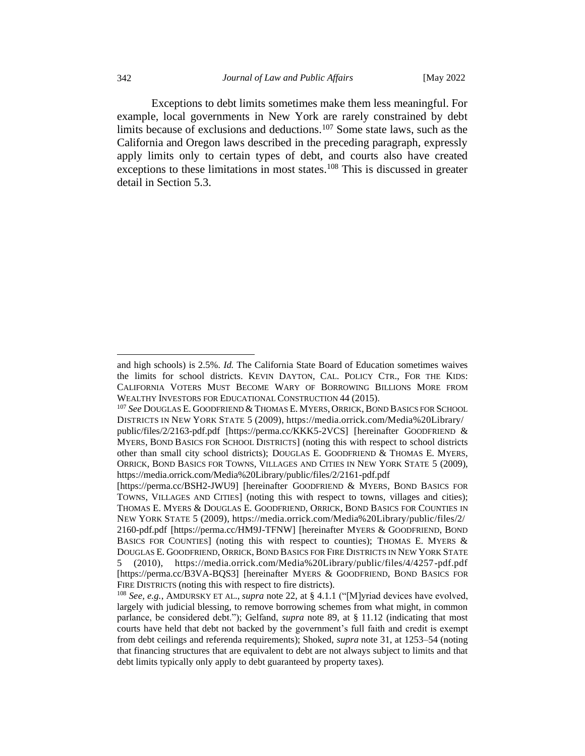Exceptions to debt limits sometimes make them less meaningful. For example, local governments in New York are rarely constrained by debt limits because of exclusions and deductions.<sup>107</sup> Some state laws, such as the California and Oregon laws described in the preceding paragraph, expressly apply limits only to certain types of debt, and courts also have created exceptions to these limitations in most states.<sup>108</sup> This is discussed in greater detail in Section 5.3.

and high schools) is 2.5%. *Id.* The California State Board of Education sometimes waives the limits for school districts. KEVIN DAYTON, CAL. POLICY CTR., FOR THE KIDS: CALIFORNIA VOTERS MUST BECOME WARY OF BORROWING BILLIONS MORE FROM WEALTHY INVESTORS FOR EDUCATIONAL CONSTRUCTION 44 (2015).

<sup>107</sup> *See* DOUGLAS E. GOODFRIEND & THOMAS E. MYERS, ORRICK, BOND BASICS FOR SCHOOL DISTRICTS IN NEW YORK STATE 5 (2009), https://media.orrick.com/Media%20Library/ public/files/2/2163-pdf.pdf [https://perma.cc/KKK5-2VCS] [hereinafter GOODFRIEND & MYERS, BOND BASICS FOR SCHOOL DISTRICTS] (noting this with respect to school districts other than small city school districts); DOUGLAS E. GOODFRIEND & THOMAS E. MYERS,

ORRICK, BOND BASICS FOR TOWNS, VILLAGES AND CITIES IN NEW YORK STATE 5 (2009), https://media.orrick.com/Media%20Library/public/files/2/2161-pdf.pdf [https://perma.cc/BSH2-JWU9] [hereinafter GOODFRIEND & MYERS, BOND BASICS FOR

TOWNS, VILLAGES AND CITIES] (noting this with respect to towns, villages and cities); THOMAS E. MYERS & DOUGLAS E. GOODFRIEND, ORRICK, BOND BASICS FOR COUNTIES IN NEW YORK STATE 5 (2009), https://media.orrick.com/Media%20Library/public/files/2/ 2160-pdf.pdf [https://perma.cc/HM9J-TFNW] [hereinafter MYERS & GOODFRIEND, BOND BASICS FOR COUNTIES] (noting this with respect to counties); THOMAS E. MYERS & DOUGLAS E. GOODFRIEND, ORRICK, BOND BASICS FOR FIRE DISTRICTS IN NEW YORK STATE

<sup>5 (2010),</sup> https://media.orrick.com/Media%20Library/public/files/4/4257-pdf.pdf [https://perma.cc/B3VA-BQS3] [hereinafter MYERS & GOODFRIEND, BOND BASICS FOR FIRE DISTRICTS (noting this with respect to fire districts).

<sup>108</sup> *See, e.g.*, AMDURSKY ET AL., *supra* note 22, at § 4.1.1 ("[M]yriad devices have evolved, largely with judicial blessing, to remove borrowing schemes from what might, in common parlance, be considered debt."); Gelfand, *supra* note 89, at § 11.12 (indicating that most courts have held that debt not backed by the government's full faith and credit is exempt from debt ceilings and referenda requirements); Shoked, *supra* note 31, at 1253–54 (noting that financing structures that are equivalent to debt are not always subject to limits and that debt limits typically only apply to debt guaranteed by property taxes).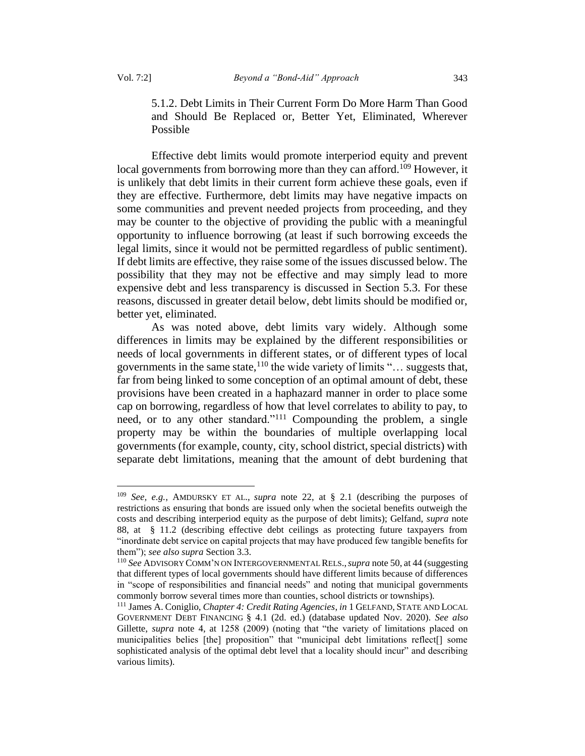5.1.2. Debt Limits in Their Current Form Do More Harm Than Good and Should Be Replaced or, Better Yet, Eliminated, Wherever Possible

Effective debt limits would promote interperiod equity and prevent local governments from borrowing more than they can afford.<sup>109</sup> However, it is unlikely that debt limits in their current form achieve these goals, even if they are effective. Furthermore, debt limits may have negative impacts on some communities and prevent needed projects from proceeding, and they may be counter to the objective of providing the public with a meaningful opportunity to influence borrowing (at least if such borrowing exceeds the legal limits, since it would not be permitted regardless of public sentiment). If debt limits are effective, they raise some of the issues discussed below. The possibility that they may not be effective and may simply lead to more expensive debt and less transparency is discussed in Section 5.3. For these reasons, discussed in greater detail below, debt limits should be modified or, better yet, eliminated.

As was noted above, debt limits vary widely. Although some differences in limits may be explained by the different responsibilities or needs of local governments in different states, or of different types of local governments in the same state,  $110$  the wide variety of limits "... suggests that, far from being linked to some conception of an optimal amount of debt, these provisions have been created in a haphazard manner in order to place some cap on borrowing, regardless of how that level correlates to ability to pay, to need, or to any other standard."<sup>111</sup> Compounding the problem, a single property may be within the boundaries of multiple overlapping local governments (for example, county, city, school district, special districts) with separate debt limitations, meaning that the amount of debt burdening that

<sup>109</sup> *See, e.g.*, AMDURSKY ET AL., *supra* note 22, at § 2.1 (describing the purposes of restrictions as ensuring that bonds are issued only when the societal benefits outweigh the costs and describing interperiod equity as the purpose of debt limits); Gelfand, *supra* note 88, at § 11.2 (describing effective debt ceilings as protecting future taxpayers from "inordinate debt service on capital projects that may have produced few tangible benefits for them"); *see also supra* Section 3.3.

<sup>110</sup> *See* ADVISORY COMM'N ON INTERGOVERNMENTAL RELS.,*supra* note 50, at 44 (suggesting that different types of local governments should have different limits because of differences in "scope of responsibilities and financial needs" and noting that municipal governments commonly borrow several times more than counties, school districts or townships).

<sup>&</sup>lt;sup>111</sup> James A. Coniglio, *Chapter 4: Credit Rating Agencies*, *in* 1 GELFAND, STATE AND LOCAL GOVERNMENT DEBT FINANCING § 4.1 (2d. ed.) (database updated Nov. 2020). *See also*  Gillette, *supra* note 4, at 1258 (2009) (noting that "the variety of limitations placed on municipalities belies [the] proposition" that "municipal debt limitations reflect[] some sophisticated analysis of the optimal debt level that a locality should incur" and describing various limits).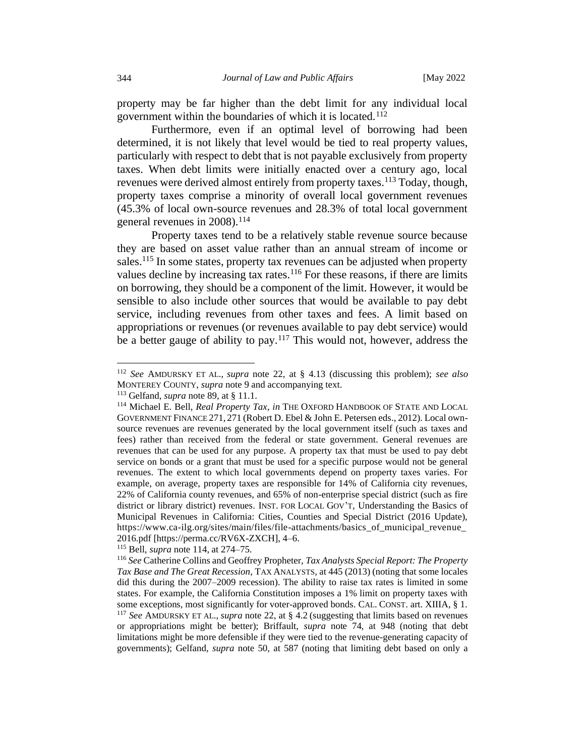property may be far higher than the debt limit for any individual local government within the boundaries of which it is located.<sup>112</sup>

Furthermore, even if an optimal level of borrowing had been determined, it is not likely that level would be tied to real property values, particularly with respect to debt that is not payable exclusively from property taxes. When debt limits were initially enacted over a century ago, local revenues were derived almost entirely from property taxes.<sup>113</sup> Today, though, property taxes comprise a minority of overall local government revenues (45.3% of local own-source revenues and 28.3% of total local government general revenues in 2008).<sup>114</sup>

<span id="page-29-0"></span>Property taxes tend to be a relatively stable revenue source because they are based on asset value rather than an annual stream of income or sales.<sup>115</sup> In some states, property tax revenues can be adjusted when property values decline by increasing tax rates. $116$  For these reasons, if there are limits on borrowing, they should be a component of the limit. However, it would be sensible to also include other sources that would be available to pay debt service, including revenues from other taxes and fees. A limit based on appropriations or revenues (or revenues available to pay debt service) would be a better gauge of ability to pay.<sup>117</sup> This would not, however, address the

<sup>115</sup> Bell, *supra* not[e 114,](#page-29-0) at 274–75.

<sup>112</sup> *See* AMDURSKY ET AL., *supra* note 22, at § 4.13 (discussing this problem); *see also*  MONTEREY COUNTY, *supra* note 9 and accompanying text.

<sup>113</sup> Gelfand, *supra* note 89, at § 11.1.

<sup>114</sup> Michael E. Bell, *Real Property Tax*, *in* THE OXFORD HANDBOOK OF STATE AND LOCAL GOVERNMENT FINANCE 271, 271 (Robert D. Ebel & John E. Petersen eds., 2012). Local ownsource revenues are revenues generated by the local government itself (such as taxes and fees) rather than received from the federal or state government. General revenues are revenues that can be used for any purpose. A property tax that must be used to pay debt service on bonds or a grant that must be used for a specific purpose would not be general revenues. The extent to which local governments depend on property taxes varies. For example, on average, property taxes are responsible for 14% of California city revenues, 22% of California county revenues, and 65% of non-enterprise special district (such as fire district or library district) revenues. INST. FOR LOCAL GOV'T, Understanding the Basics of Municipal Revenues in California: Cities, Counties and Special District (2016 Update), https://www.ca-ilg.org/sites/main/files/file-attachments/basics\_of\_municipal\_revenue\_ 2016.pdf [https://perma.cc/RV6X-ZXCH], 4–6.

<sup>116</sup> *See* Catherine Collins and Geoffrey Propheter, *Tax Analysts Special Report: The Property Tax Base and The Great Recession*, TAX ANALYSTS, at 445 (2013) (noting that some locales did this during the 2007–2009 recession). The ability to raise tax rates is limited in some states. For example, the California Constitution imposes a 1% limit on property taxes with some exceptions, most significantly for voter-approved bonds. CAL. CONST. art. XIIIA, § 1. <sup>117</sup> *See* AMDURSKY ET AL., *supra* note 22, at § 4.2 (suggesting that limits based on revenues or appropriations might be better); Briffault, *supra* note 74, at 948 (noting that debt limitations might be more defensible if they were tied to the revenue-generating capacity of governments); Gelfand, *supra* note 50, at 587 (noting that limiting debt based on only a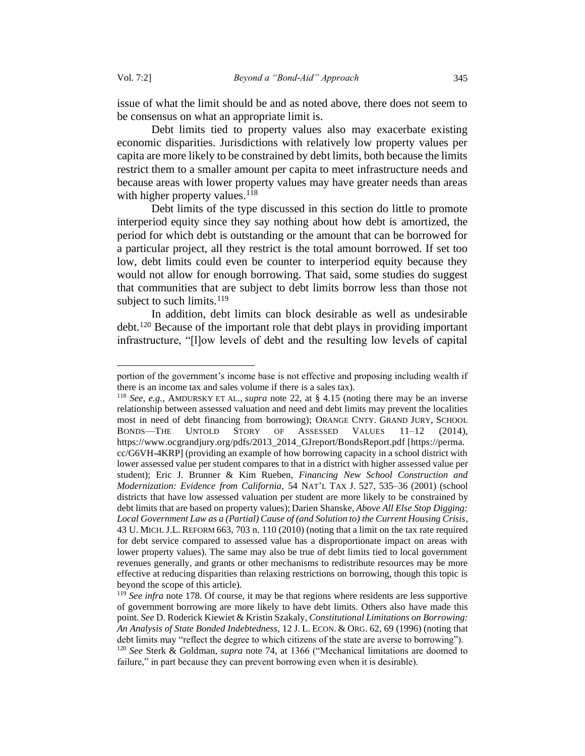issue of what the limit should be and as noted above, there does not seem to be consensus on what an appropriate limit is.

Debt limits tied to property values also may exacerbate existing economic disparities. Jurisdictions with relatively low property values per capita are more likely to be constrained by debt limits, both because the limits restrict them to a smaller amount per capita to meet infrastructure needs and because areas with lower property values may have greater needs than areas with higher property values. $118$ 

Debt limits of the type discussed in this section do little to promote interperiod equity since they say nothing about how debt is amortized, the period for which debt is outstanding or the amount that can be borrowed for a particular project, all they restrict is the total amount borrowed. If set too low, debt limits could even be counter to interperiod equity because they would not allow for enough borrowing. That said, some studies do suggest that communities that are subject to debt limits borrow less than those not subject to such limits. $119$ 

In addition, debt limits can block desirable as well as undesirable debt.<sup>120</sup> Because of the important role that debt plays in providing important infrastructure, "[l]ow levels of debt and the resulting low levels of capital

portion of the government's income base is not effective and proposing including wealth if there is an income tax and sales volume if there is a sales tax).

<sup>118</sup> *See, e.g.*, AMDURSKY ET AL., *supra* note 22, at § 4.15 (noting there may be an inverse relationship between assessed valuation and need and debt limits may prevent the localities most in need of debt financing from borrowing); ORANGE CNTY. GRAND JURY, SCHOOL BONDS—THE UNTOLD STORY OF ASSESSED VALUES 11–12 (2014), https://www.ocgrandjury.org/pdfs/2013\_2014\_GJreport/BondsReport.pdf [https://perma. cc/G6VH-4KRP] (providing an example of how borrowing capacity in a school district with lower assessed value per student compares to that in a district with higher assessed value per student); Eric J. Brunner & Kim Rueben, *Financing New School Construction and Modernization: Evidence from California*, 54 NAT'L TAX J. 527, 535–36 (2001) (school districts that have low assessed valuation per student are more likely to be constrained by debt limits that are based on property values); Darien Shanske, *Above All Else Stop Digging: Local Government Law as a (Partial) Cause of (and Solution to) the Current Housing Crisis*, 43 U. MICH. J.L. REFORM 663, 703 n. 110 (2010) (noting that a limit on the tax rate required for debt service compared to assessed value has a disproportionate impact on areas with lower property values). The same may also be true of debt limits tied to local government revenues generally, and grants or other mechanisms to redistribute resources may be more effective at reducing disparities than relaxing restrictions on borrowing, though this topic is beyond the scope of this article).

<sup>&</sup>lt;sup>119</sup> *See infra* not[e 178.](#page-41-0) Of course, it may be that regions where residents are less supportive of government borrowing are more likely to have debt limits. Others also have made this point. *See* D. Roderick Kiewiet & Kristin Szakaly, *Constitutional Limitations on Borrowing: An Analysis of State Bonded Indebtedness*, 12 J. L. ECON. & ORG. 62, 69 (1996) (noting that debt limits may "reflect the degree to which citizens of the state are averse to borrowing"). <sup>120</sup> *See* Sterk & Goldman, *supra* note 74, at 1366 ("Mechanical limitations are doomed to failure," in part because they can prevent borrowing even when it is desirable).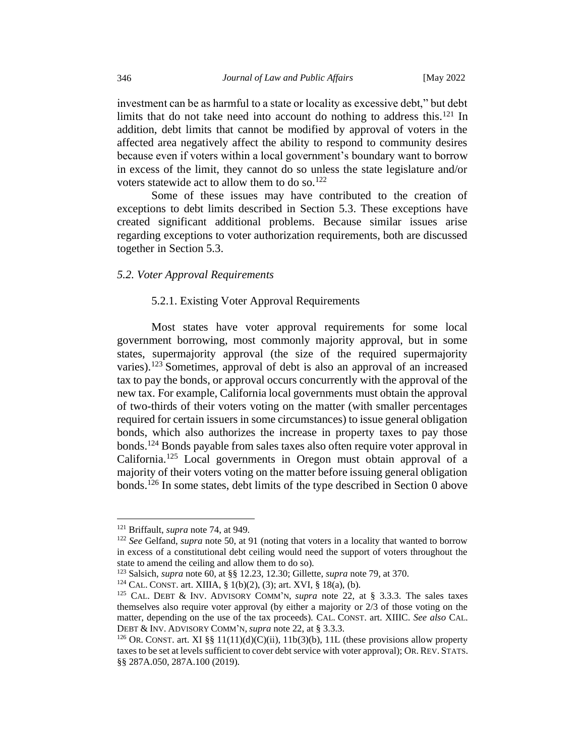investment can be as harmful to a state or locality as excessive debt," but debt limits that do not take need into account do nothing to address this.<sup>121</sup> In addition, debt limits that cannot be modified by approval of voters in the affected area negatively affect the ability to respond to community desires because even if voters within a local government's boundary want to borrow in excess of the limit, they cannot do so unless the state legislature and/or voters statewide act to allow them to do so.<sup>122</sup>

Some of these issues may have contributed to the creation of exceptions to debt limits described in Section 5.3. These exceptions have created significant additional problems. Because similar issues arise regarding exceptions to voter authorization requirements, both are discussed together in Section 5.3.

## *5.2. Voter Approval Requirements*

## 5.2.1. Existing Voter Approval Requirements

Most states have voter approval requirements for some local government borrowing, most commonly majority approval, but in some states, supermajority approval (the size of the required supermajority varies).<sup>123</sup> Sometimes, approval of debt is also an approval of an increased tax to pay the bonds, or approval occurs concurrently with the approval of the new tax. For example, California local governments must obtain the approval of two-thirds of their voters voting on the matter (with smaller percentages required for certain issuers in some circumstances) to issue general obligation bonds, which also authorizes the increase in property taxes to pay those bonds.<sup>124</sup> Bonds payable from sales taxes also often require voter approval in California.<sup>125</sup> Local governments in Oregon must obtain approval of a majority of their voters voting on the matter before issuing general obligation bonds.<sup>126</sup> In some states, debt limits of the type described in Section [0](#page-26-0) above

<sup>121</sup> Briffault, *supra* note 74, at 949.

<sup>122</sup> *See* Gelfand, *supra* note 50, at 91 (noting that voters in a locality that wanted to borrow in excess of a constitutional debt ceiling would need the support of voters throughout the state to amend the ceiling and allow them to do so).

<sup>123</sup> Salsich, *supra* note 60, at §§ 12.23, 12.30; Gillette, *supra* note 79, at 370.

<sup>124</sup> CAL. CONST. art. XIIIA, § 1(b)(2), (3); art. XVI, § 18(a), (b).

<sup>125</sup> CAL. DEBT & INV. ADVISORY COMM'N, *supra* note 22, at § 3.3.3. The sales taxes themselves also require voter approval (by either a majority or 2/3 of those voting on the matter, depending on the use of the tax proceeds). CAL. CONST. art. XIIIC. *See also* CAL. DEBT & INV. ADVISORY COMM'N, *supra* note 22, at § 3.3.3.

<sup>&</sup>lt;sup>126</sup> OR. CONST. art. XI §§ 11(11)(d)(C)(ii), 11b(3)(b), 11L (these provisions allow property taxes to be set at levels sufficient to cover debt service with voter approval); OR. REV. STATS. §§ 287A.050, 287A.100 (2019).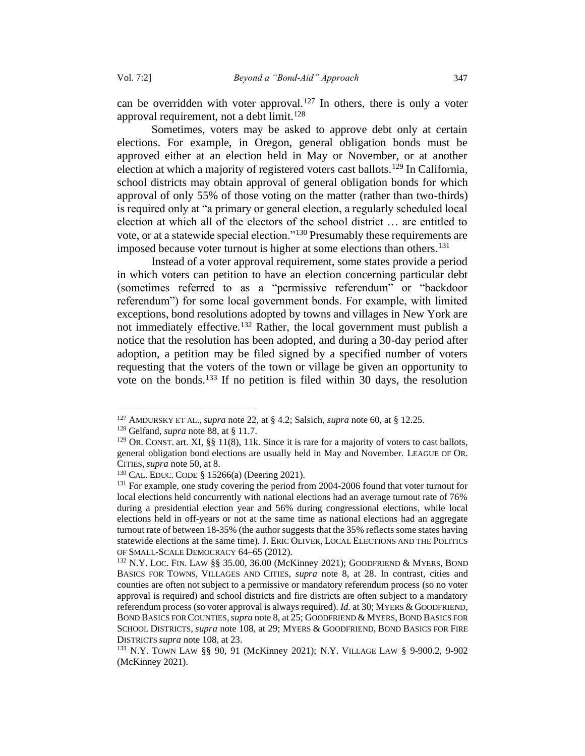can be overridden with voter approval.<sup>127</sup> In others, there is only a voter approval requirement, not a debt limit.<sup>128</sup>

Sometimes, voters may be asked to approve debt only at certain elections. For example, in Oregon, general obligation bonds must be approved either at an election held in May or November, or at another election at which a majority of registered voters cast ballots.<sup>129</sup> In California, school districts may obtain approval of general obligation bonds for which approval of only 55% of those voting on the matter (rather than two-thirds) is required only at "a primary or general election, a regularly scheduled local election at which all of the electors of the school district … are entitled to vote, or at a statewide special election."<sup>130</sup> Presumably these requirements are imposed because voter turnout is higher at some elections than others.<sup>131</sup>

Instead of a voter approval requirement, some states provide a period in which voters can petition to have an election concerning particular debt (sometimes referred to as a "permissive referendum" or "backdoor referendum") for some local government bonds. For example, with limited exceptions, bond resolutions adopted by towns and villages in New York are not immediately effective.<sup>132</sup> Rather, the local government must publish a notice that the resolution has been adopted, and during a 30-day period after adoption, a petition may be filed signed by a specified number of voters requesting that the voters of the town or village be given an opportunity to vote on the bonds.<sup>133</sup> If no petition is filed within 30 days, the resolution

<sup>127</sup> AMDURSKY ET AL., *supra* note 22, at § 4.2; Salsich, *supra* note 60, at § 12.25.

<sup>128</sup> Gelfand, *supra* note 88, at § 11.7.

<sup>&</sup>lt;sup>129</sup> OR. CONST. art. XI, §§ 11(8), 11k. Since it is rare for a majority of voters to cast ballots, general obligation bond elections are usually held in May and November. LEAGUE OF OR. CITIES,*supra* note 50, at 8.

<sup>130</sup> CAL. EDUC. CODE § 15266(a) (Deering 2021).

<sup>&</sup>lt;sup>131</sup> For example, one study covering the period from 2004-2006 found that voter turnout for local elections held concurrently with national elections had an average turnout rate of 76% during a presidential election year and 56% during congressional elections, while local elections held in off-years or not at the same time as national elections had an aggregate turnout rate of between 18-35% (the author suggests that the 35% reflects some states having statewide elections at the same time). J. ERIC OLIVER, LOCAL ELECTIONS AND THE POLITICS OF SMALL-SCALE DEMOCRACY 64–65 (2012).

<sup>132</sup> N.Y. LOC. FIN. LAW §§ 35.00, 36.00 (McKinney 2021); GOODFRIEND & MYERS, BOND BASICS FOR TOWNS, VILLAGES AND CITIES, *supra* note 8, at 28. In contrast, cities and counties are often not subject to a permissive or mandatory referendum process (so no voter approval is required) and school districts and fire districts are often subject to a mandatory referendum process (so voter approval is always required). *Id.* at 30; MYERS & GOODFRIEND, BOND BASICS FOR COUNTIES,*supra* note 8, at 25; GOODFRIEND & MYERS,BOND BASICS FOR SCHOOL DISTRICTS, *supra* note 108, at 29; MYERS & GOODFRIEND, BOND BASICS FOR FIRE DISTRICTS *supra* note 108, at 23.

<sup>133</sup> N.Y. TOWN LAW §§ 90, 91 (McKinney 2021); N.Y. VILLAGE LAW § 9-900.2, 9-902 (McKinney 2021).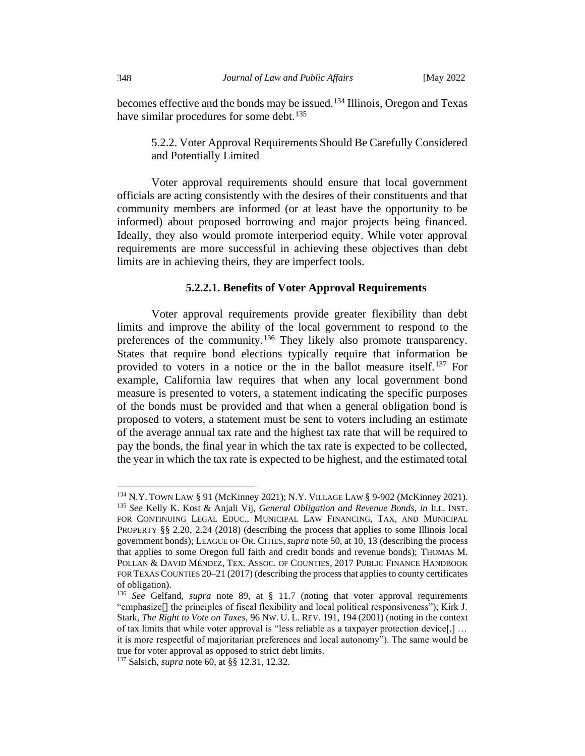becomes effective and the bonds may be issued.<sup>134</sup> Illinois, Oregon and Texas have similar procedures for some debt.<sup>135</sup>

5.2.2. Voter Approval Requirements Should Be Carefully Considered and Potentially Limited

Voter approval requirements should ensure that local government officials are acting consistently with the desires of their constituents and that community members are informed (or at least have the opportunity to be informed) about proposed borrowing and major projects being financed. Ideally, they also would promote interperiod equity. While voter approval requirements are more successful in achieving these objectives than debt limits are in achieving theirs, they are imperfect tools.

#### **5.2.2.1. Benefits of Voter Approval Requirements**

Voter approval requirements provide greater flexibility than debt limits and improve the ability of the local government to respond to the preferences of the community.<sup>136</sup> They likely also promote transparency. States that require bond elections typically require that information be provided to voters in a notice or the in the ballot measure itself.<sup>137</sup> For example, California law requires that when any local government bond measure is presented to voters, a statement indicating the specific purposes of the bonds must be provided and that when a general obligation bond is proposed to voters, a statement must be sent to voters including an estimate of the average annual tax rate and the highest tax rate that will be required to pay the bonds, the final year in which the tax rate is expected to be collected, the year in which the tax rate is expected to be highest, and the estimated total

<sup>134</sup> N.Y. TOWN LAW § 91 (McKinney 2021); N.Y. VILLAGE LAW § 9-902 (McKinney 2021). <sup>135</sup> *See* Kelly K. Kost & Anjali Vij, *General Obligation and Revenue Bonds, in* ILL. INST. FOR CONTINUING LEGAL EDUC., MUNICIPAL LAW FINANCING, TAX, AND MUNICIPAL PROPERTY §§ 2.20, 2.24 (2018) (describing the process that applies to some Illinois local government bonds); LEAGUE OF OR. CITIES,*supra* note 50, at 10, 13 (describing the process that applies to some Oregon full faith and credit bonds and revenue bonds); THOMAS M. POLLAN & DAVID MÉNDEZ, TEX. ASSOC. OF COUNTIES, 2017 PUBLIC FINANCE HANDBOOK FOR TEXAS COUNTIES 20–21 (2017) (describing the process that applies to county certificates of obligation).

<sup>136</sup> *See* Gelfand, *supra* note 89, at § 11.7 (noting that voter approval requirements "emphasize[] the principles of fiscal flexibility and local political responsiveness"); Kirk J. Stark, *The Right to Vote on Taxes*, 96 NW. U. L. REV. 191, 194 (2001) (noting in the context of tax limits that while voter approval is "less reliable as a taxpayer protection device[,] … it is more respectful of majoritarian preferences and local autonomy"). The same would be true for voter approval as opposed to strict debt limits.

<sup>137</sup> Salsich, *supra* note 60, at §§ 12.31, 12.32.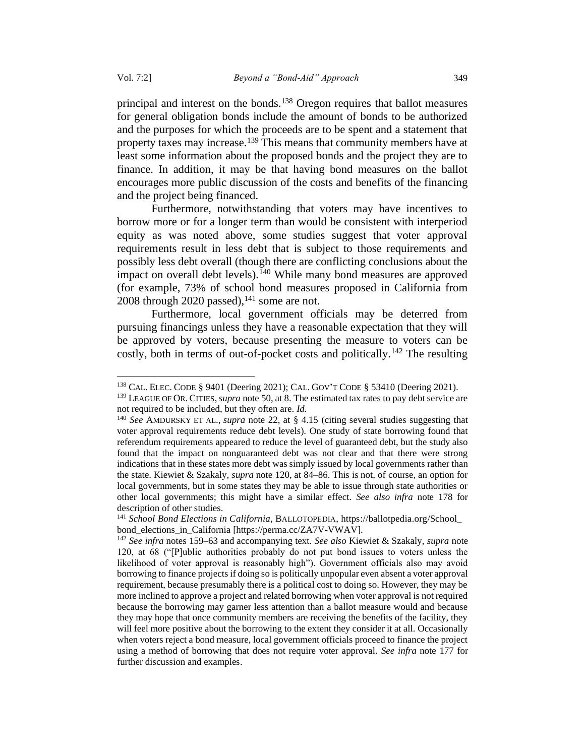principal and interest on the bonds.<sup>138</sup> Oregon requires that ballot measures for general obligation bonds include the amount of bonds to be authorized and the purposes for which the proceeds are to be spent and a statement that property taxes may increase.<sup>139</sup> This means that community members have at least some information about the proposed bonds and the project they are to finance. In addition, it may be that having bond measures on the ballot encourages more public discussion of the costs and benefits of the financing and the project being financed.

Furthermore, notwithstanding that voters may have incentives to borrow more or for a longer term than would be consistent with interperiod equity as was noted above, some studies suggest that voter approval requirements result in less debt that is subject to those requirements and possibly less debt overall (though there are conflicting conclusions about the impact on overall debt levels).<sup>140</sup> While many bond measures are approved (for example, 73% of school bond measures proposed in California from 2008 through 2020 passed),  $141$  some are not.

Furthermore, local government officials may be deterred from pursuing financings unless they have a reasonable expectation that they will be approved by voters, because presenting the measure to voters can be costly, both in terms of out-of-pocket costs and politically.<sup>142</sup> The resulting

<sup>138</sup> CAL. ELEC. CODE § 9401 (Deering 2021); CAL. GOV'T CODE § 53410 (Deering 2021).

<sup>139</sup> LEAGUE OF OR. CITIES,*supra* note 50, at 8. The estimated tax rates to pay debt service are not required to be included, but they often are. *Id.*

<sup>140</sup> *See* AMDURSKY ET AL., *supra* note 22, at § 4.15 (citing several studies suggesting that voter approval requirements reduce debt levels). One study of state borrowing found that referendum requirements appeared to reduce the level of guaranteed debt, but the study also found that the impact on nonguaranteed debt was not clear and that there were strong indications that in these states more debt was simply issued by local governments rather than the state. Kiewiet & Szakaly, *supra* note 120, at 84–86. This is not, of course, an option for local governments, but in some states they may be able to issue through state authorities or other local governments; this might have a similar effect. *See also infra* note 178 for description of other studies.

<sup>141</sup> *School Bond Elections in California*, BALLOTOPEDIA, https://ballotpedia.org/School\_ bond\_elections\_in\_California [https://perma.cc/ZA7V-VWAV].

<sup>142</sup> *See infra* notes 159–63 and accompanying text. *See also* Kiewiet & Szakaly, *supra* note 120, at 68 ("[P]ublic authorities probably do not put bond issues to voters unless the likelihood of voter approval is reasonably high"). Government officials also may avoid borrowing to finance projects if doing so is politically unpopular even absent a voter approval requirement, because presumably there is a political cost to doing so. However, they may be more inclined to approve a project and related borrowing when voter approval is not required because the borrowing may garner less attention than a ballot measure would and because they may hope that once community members are receiving the benefits of the facility, they will feel more positive about the borrowing to the extent they consider it at all. Occasionally when voters reject a bond measure, local government officials proceed to finance the project using a method of borrowing that does not require voter approval. *See infra* note 177 for further discussion and examples.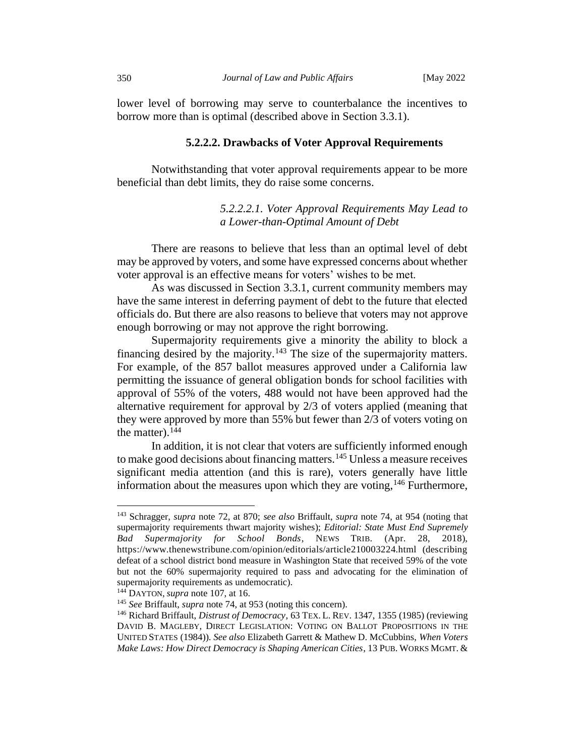lower level of borrowing may serve to counterbalance the incentives to borrow more than is optimal (described above in Section 3.3.1).

#### **5.2.2.2. Drawbacks of Voter Approval Requirements**

Notwithstanding that voter approval requirements appear to be more beneficial than debt limits, they do raise some concerns.

## *5.2.2.2.1. Voter Approval Requirements May Lead to a Lower-than-Optimal Amount of Debt*

There are reasons to believe that less than an optimal level of debt may be approved by voters, and some have expressed concerns about whether voter approval is an effective means for voters' wishes to be met.

As was discussed in Section 3.3.1, current community members may have the same interest in deferring payment of debt to the future that elected officials do. But there are also reasons to believe that voters may not approve enough borrowing or may not approve the right borrowing.

Supermajority requirements give a minority the ability to block a financing desired by the majority.<sup>143</sup> The size of the supermajority matters. For example, of the 857 ballot measures approved under a California law permitting the issuance of general obligation bonds for school facilities with approval of 55% of the voters, 488 would not have been approved had the alternative requirement for approval by 2/3 of voters applied (meaning that they were approved by more than 55% but fewer than 2/3 of voters voting on the matter). $144$ 

In addition, it is not clear that voters are sufficiently informed enough to make good decisions about financing matters.<sup>145</sup> Unless a measure receives significant media attention (and this is rare), voters generally have little information about the measures upon which they are voting,  $146$  Furthermore,

<sup>143</sup> Schragger, *supra* note 72, at 870; *see also* Briffault, *supra* note 74, at 954 (noting that supermajority requirements thwart majority wishes); *Editorial: State Must End Supremely Bad Supermajority for School Bonds*, NEWS TRIB. (Apr. 28, 2018), https://www.thenewstribune.com/opinion/editorials/article210003224.html (describing defeat of a school district bond measure in Washington State that received 59% of the vote but not the 60% supermajority required to pass and advocating for the elimination of supermajority requirements as undemocratic).

<sup>144</sup> DAYTON, *supra* note 107, at 16.

<sup>145</sup> *See* Briffault, *supra* note 74, at 953 (noting this concern).

<sup>146</sup> Richard Briffault, *Distrust of Democracy*, 63 TEX. L. REV. 1347, 1355 (1985) (reviewing DAVID B. MAGLEBY, DIRECT LEGISLATION: VOTING ON BALLOT PROPOSITIONS IN THE UNITED STATES (1984)). *See also* Elizabeth Garrett & Mathew D. McCubbins, *When Voters Make Laws: How Direct Democracy is Shaping American Cities*, 13 PUB. WORKS MGMT. &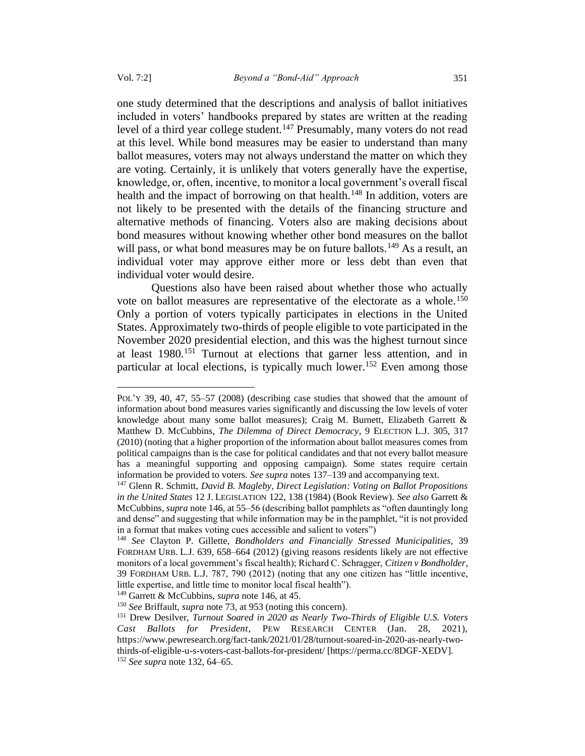<span id="page-36-0"></span>one study determined that the descriptions and analysis of ballot initiatives included in voters' handbooks prepared by states are written at the reading level of a third year college student.<sup>147</sup> Presumably, many voters do not read at this level. While bond measures may be easier to understand than many ballot measures, voters may not always understand the matter on which they are voting. Certainly, it is unlikely that voters generally have the expertise, knowledge, or, often, incentive, to monitor a local government's overall fiscal health and the impact of borrowing on that health.<sup>148</sup> In addition, voters are not likely to be presented with the details of the financing structure and alternative methods of financing. Voters also are making decisions about bond measures without knowing whether other bond measures on the ballot will pass, or what bond measures may be on future ballots.<sup>149</sup> As a result, an individual voter may approve either more or less debt than even that individual voter would desire.

Questions also have been raised about whether those who actually vote on ballot measures are representative of the electorate as a whole.<sup>150</sup> Only a portion of voters typically participates in elections in the United States. Approximately two-thirds of people eligible to vote participated in the November 2020 presidential election, and this was the highest turnout since at least 1980.<sup>151</sup> Turnout at elections that garner less attention, and in particular at local elections, is typically much lower.<sup>152</sup> Even among those

POL'Y 39, 40, 47, 55–57 (2008) (describing case studies that showed that the amount of information about bond measures varies significantly and discussing the low levels of voter knowledge about many some ballot measures); Craig M. Burnett, Elizabeth Garrett & Matthew D. McCubbins, *The Dilemma of Direct Democracy*, 9 ELECTION L.J. 305, 317 (2010) (noting that a higher proportion of the information about ballot measures comes from political campaigns than is the case for political candidates and that not every ballot measure has a meaningful supporting and opposing campaign). Some states require certain information be provided to voters. *See supra* note[s 137](#page-33-0)[–139](#page-34-0) and accompanying text.

<sup>147</sup> Glenn R. Schmitt, *David B. Magleby, Direct Legislation: Voting on Ballot Propositions in the United States* 12 J. LEGISLATION 122, 138 (1984) (Book Review). *See also* Garrett & McCubbins, *supra* not[e 146,](#page-35-0) at 55–56 (describing ballot pamphlets as "often dauntingly long and dense" and suggesting that while information may be in the pamphlet, "it is not provided in a format that makes voting cues accessible and salient to voters")

<sup>148</sup> *See* Clayton P. Gillette, *Bondholders and Financially Stressed Municipalities,* 39 FORDHAM URB. L.J. 639, 658–664 (2012) (giving reasons residents likely are not effective monitors of a local government's fiscal health); Richard C. Schragger, *Citizen v Bondholder*, 39 FORDHAM URB. L.J. 787, 790 (2012) (noting that any one citizen has "little incentive, little expertise, and little time to monitor local fiscal health").

<sup>149</sup> Garrett & McCubbins, *supra* not[e 146,](#page-35-0) at 45.

<sup>150</sup> *See* Briffault, *supra* note 73, at 953 (noting this concern).

<sup>151</sup> Drew Desilver, *Turnout Soared in 2020 as Nearly Two-Thirds of Eligible U.S. Voters Cast Ballots for President*, PEW RESEARCH CENTER (Jan. 28, 2021), https://www.pewresearch.org/fact-tank/2021/01/28/turnout-soared-in-2020-as-nearly-twothirds-of-eligible-u-s-voters-cast-ballots-for-president/ [https://perma.cc/8DGF-XEDV]. <sup>152</sup> *See supra* note 132, 64–65.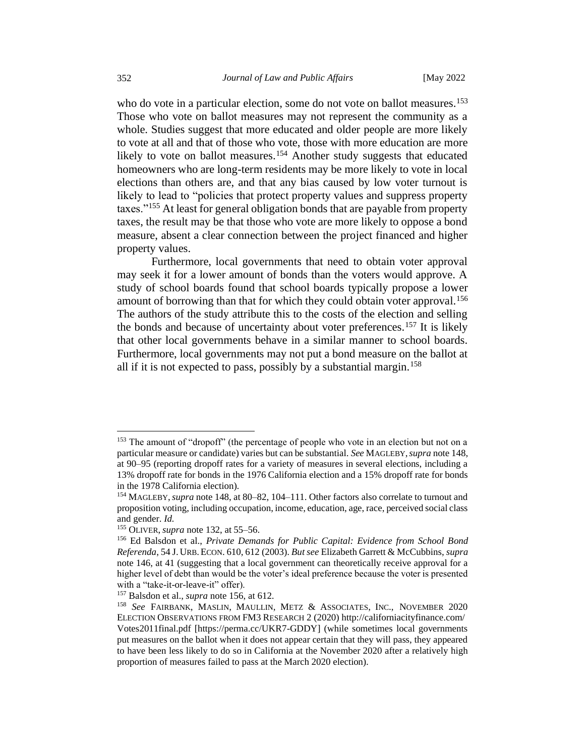who do vote in a particular election, some do not vote on ballot measures.<sup>153</sup> Those who vote on ballot measures may not represent the community as a whole. Studies suggest that more educated and older people are more likely to vote at all and that of those who vote, those with more education are more likely to vote on ballot measures.<sup>154</sup> Another study suggests that educated homeowners who are long-term residents may be more likely to vote in local elections than others are, and that any bias caused by low voter turnout is likely to lead to "policies that protect property values and suppress property taxes."<sup>155</sup> At least for general obligation bonds that are payable from property taxes, the result may be that those who vote are more likely to oppose a bond measure, absent a clear connection between the project financed and higher property values.

<span id="page-37-0"></span>Furthermore, local governments that need to obtain voter approval may seek it for a lower amount of bonds than the voters would approve. A study of school boards found that school boards typically propose a lower amount of borrowing than that for which they could obtain voter approval.<sup>156</sup> The authors of the study attribute this to the costs of the election and selling the bonds and because of uncertainty about voter preferences.<sup>157</sup> It is likely that other local governments behave in a similar manner to school boards. Furthermore, local governments may not put a bond measure on the ballot at all if it is not expected to pass, possibly by a substantial margin.<sup>158</sup>

<sup>&</sup>lt;sup>153</sup> The amount of "dropoff" (the percentage of people who vote in an election but not on a particular measure or candidate) varies but can be substantial. *See* MAGLEBY,*supra* note 148, at 90–95 (reporting dropoff rates for a variety of measures in several elections, including a 13% dropoff rate for bonds in the 1976 California election and a 15% dropoff rate for bonds in the 1978 California election).

<sup>154</sup> MAGLEBY,*supra* note 148, at 80–82, 104–111. Other factors also correlate to turnout and proposition voting, including occupation, income, education, age, race, perceived social class and gender. *Id.*

<sup>155</sup> OLIVER, *supra* note 132, at 55–56.

<sup>156</sup> Ed Balsdon et al., *Private Demands for Public Capital: Evidence from School Bond Referenda*, 54 J. URB.ECON. 610, 612 (2003). *But see* Elizabeth Garrett & McCubbins, *supra*  note [146,](#page-35-0) at 41 (suggesting that a local government can theoretically receive approval for a higher level of debt than would be the voter's ideal preference because the voter is presented with a "take-it-or-leave-it" offer).

<sup>157</sup> Balsdon et al., *supra* not[e 156,](#page-37-0) at 612.

<sup>158</sup> *See* FAIRBANK, MASLIN, MAULLIN, METZ & ASSOCIATES, INC., NOVEMBER 2020 ELECTION OBSERVATIONS FROM FM3 RESEARCH 2 (2020) http://californiacityfinance.com/ Votes2011final.pdf [https://perma.cc/UKR7-GDDY] (while sometimes local governments put measures on the ballot when it does not appear certain that they will pass, they appeared to have been less likely to do so in California at the November 2020 after a relatively high proportion of measures failed to pass at the March 2020 election).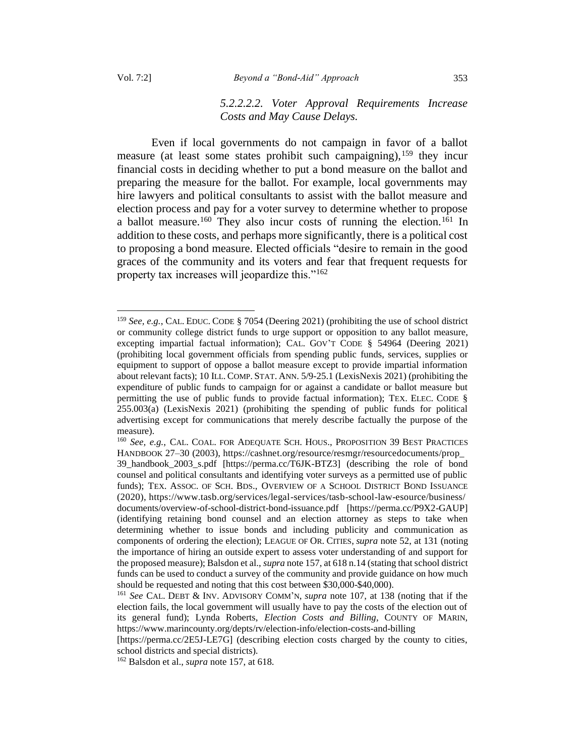# *5.2.2.2.2. Voter Approval Requirements Increase Costs and May Cause Delays.*

Even if local governments do not campaign in favor of a ballot measure (at least some states prohibit such campaigning),  $159$  they incur financial costs in deciding whether to put a bond measure on the ballot and preparing the measure for the ballot. For example, local governments may hire lawyers and political consultants to assist with the ballot measure and election process and pay for a voter survey to determine whether to propose a ballot measure.<sup>160</sup> They also incur costs of running the election.<sup>161</sup> In addition to these costs, and perhaps more significantly, there is a political cost to proposing a bond measure. Elected officials "desire to remain in the good graces of the community and its voters and fear that frequent requests for property tax increases will jeopardize this."<sup>162</sup>

<sup>159</sup> *See, e.g.*, CAL. EDUC. CODE § 7054 (Deering 2021) (prohibiting the use of school district or community college district funds to urge support or opposition to any ballot measure, excepting impartial factual information); CAL. GOV'T CODE § 54964 (Deering 2021) (prohibiting local government officials from spending public funds, services, supplies or equipment to support of oppose a ballot measure except to provide impartial information about relevant facts); 10 ILL. COMP.STAT. ANN. 5/9-25.1 (LexisNexis 2021) (prohibiting the expenditure of public funds to campaign for or against a candidate or ballot measure but permitting the use of public funds to provide factual information); TEX. ELEC. CODE § 255.003(a) (LexisNexis 2021) (prohibiting the spending of public funds for political advertising except for communications that merely describe factually the purpose of the measure).

<sup>160</sup> *See, e.g.*, CAL. COAL. FOR ADEQUATE SCH. HOUS., PROPOSITION 39 BEST PRACTICES HANDBOOK 27–30 (2003), https://cashnet.org/resource/resmgr/resourcedocuments/prop\_ 39\_handbook\_2003\_s.pdf [https://perma.cc/T6JK-BTZ3] (describing the role of bond counsel and political consultants and identifying voter surveys as a permitted use of public funds); TEX. ASSOC. OF SCH. BDS., OVERVIEW OF A SCHOOL DISTRICT BOND ISSUANCE (2020), https://www.tasb.org/services/legal-services/tasb-school-law-esource/business/ documents/overview-of-school-district-bond-issuance.pdf [https://perma.cc/P9X2-GAUP] (identifying retaining bond counsel and an election attorney as steps to take when determining whether to issue bonds and including publicity and communication as components of ordering the election); LEAGUE OF OR. CITIES, *supra* note 52, at 131 (noting the importance of hiring an outside expert to assess voter understanding of and support for the proposed measure); Balsdon et al., *supra* note 157, at 618 n.14 (stating that school district funds can be used to conduct a survey of the community and provide guidance on how much should be requested and noting that this cost between \$30,000-\$40,000).

<sup>161</sup> *See* CAL. DEBT & INV. ADVISORY COMM'N, *supra* note 107, at 138 (noting that if the election fails, the local government will usually have to pay the costs of the election out of its general fund); Lynda Roberts, *Election Costs and Billing*, COUNTY OF MARIN, https://www.marincounty.org/depts/rv/election-info/election-costs-and-billing

<sup>[</sup>https://perma.cc/2E5J-LE7G] (describing election costs charged by the county to cities, school districts and special districts).

<sup>162</sup> Balsdon et al., *supra* note 157, at 618.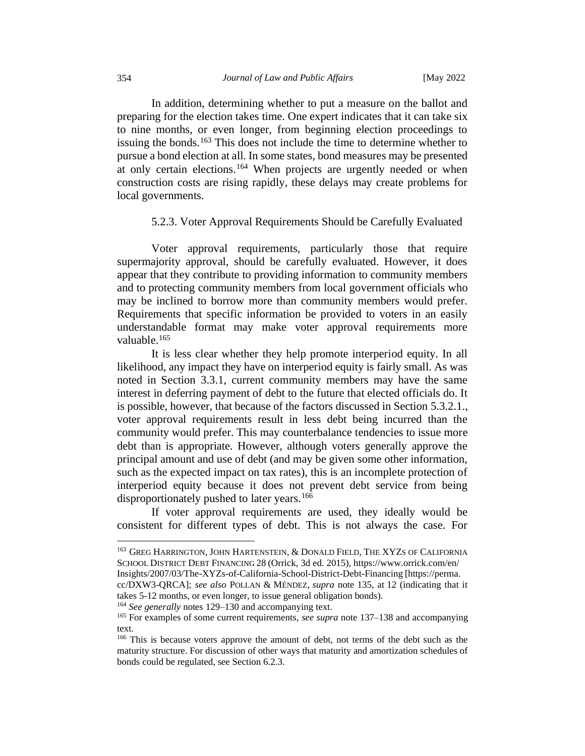<span id="page-39-0"></span>In addition, determining whether to put a measure on the ballot and preparing for the election takes time. One expert indicates that it can take six to nine months, or even longer, from beginning election proceedings to issuing the bonds.<sup>163</sup> This does not include the time to determine whether to pursue a bond election at all. In some states, bond measures may be presented at only certain elections.<sup>164</sup> When projects are urgently needed or when construction costs are rising rapidly, these delays may create problems for local governments.

## <span id="page-39-1"></span>5.2.3. Voter Approval Requirements Should be Carefully Evaluated

Voter approval requirements, particularly those that require supermajority approval, should be carefully evaluated. However, it does appear that they contribute to providing information to community members and to protecting community members from local government officials who may be inclined to borrow more than community members would prefer. Requirements that specific information be provided to voters in an easily understandable format may make voter approval requirements more valuable.<sup>165</sup>

It is less clear whether they help promote interperiod equity. In all likelihood, any impact they have on interperiod equity is fairly small. As was noted in Section 3.3.1, current community members may have the same interest in deferring payment of debt to the future that elected officials do. It is possible, however, that because of the factors discussed in Section 5.3.2.1., voter approval requirements result in less debt being incurred than the community would prefer. This may counterbalance tendencies to issue more debt than is appropriate. However, although voters generally approve the principal amount and use of debt (and may be given some other information, such as the expected impact on tax rates), this is an incomplete protection of interperiod equity because it does not prevent debt service from being disproportionately pushed to later years.<sup>166</sup>

If voter approval requirements are used, they ideally would be consistent for different types of debt. This is not always the case. For

<sup>164</sup> *See generally* notes [129](#page-32-0)[–130](#page-32-1) and accompanying text.

<sup>163</sup> GREG HARRINGTON, JOHN HARTENSTEIN, & DONALD FIELD, THE XYZS OF CALIFORNIA SCHOOL DISTRICT DEBT FINANCING 28 (Orrick, 3d ed. 2015), https://www.orrick.com/en/ Insights/2007/03/The-XYZs-of-California-School-District-Debt-Financing [https://perma.

cc/DXW3-QRCA]; *see also* POLLAN & MÉNDEZ, *supra* note [135,](#page-33-1) at 12 (indicating that it takes 5-12 months, or even longer, to issue general obligation bonds).

<sup>165</sup> For examples of some current requirements, *see supra* not[e 137](#page-33-0)[–138](#page-34-1) and accompanying text.

<sup>&</sup>lt;sup>166</sup> This is because voters approve the amount of debt, not terms of the debt such as the maturity structure. For discussion of other ways that maturity and amortization schedules of bonds could be regulated, see Section 6.2.3.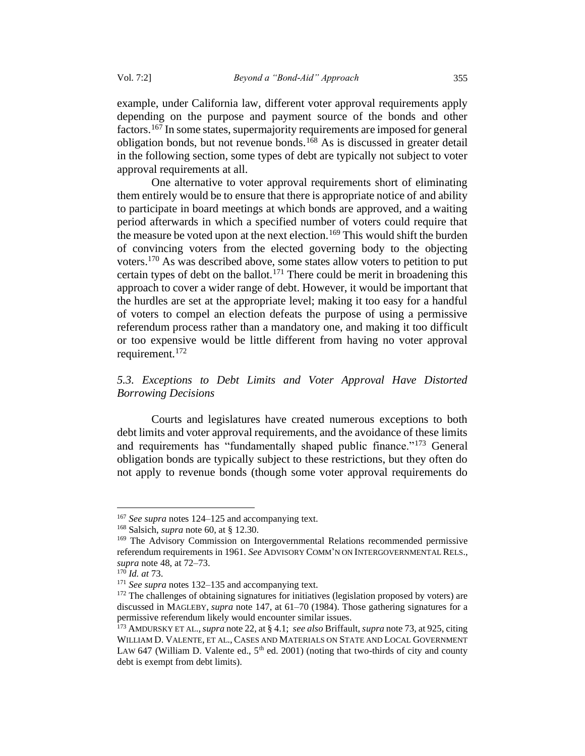example, under California law, different voter approval requirements apply depending on the purpose and payment source of the bonds and other factors.<sup>167</sup> In some states, supermajority requirements are imposed for general obligation bonds, but not revenue bonds.<sup>168</sup> As is discussed in greater detail in the following section, some types of debt are typically not subject to voter approval requirements at all.

One alternative to voter approval requirements short of eliminating them entirely would be to ensure that there is appropriate notice of and ability to participate in board meetings at which bonds are approved, and a waiting period afterwards in which a specified number of voters could require that the measure be voted upon at the next election.<sup>169</sup> This would shift the burden of convincing voters from the elected governing body to the objecting voters.<sup>170</sup> As was described above, some states allow voters to petition to put certain types of debt on the ballot.<sup>171</sup> There could be merit in broadening this approach to cover a wider range of debt. However, it would be important that the hurdles are set at the appropriate level; making it too easy for a handful of voters to compel an election defeats the purpose of using a permissive referendum process rather than a mandatory one, and making it too difficult or too expensive would be little different from having no voter approval requirement.<sup>172</sup>

# *5.3. Exceptions to Debt Limits and Voter Approval Have Distorted Borrowing Decisions*

Courts and legislatures have created numerous exceptions to both debt limits and voter approval requirements, and the avoidance of these limits and requirements has "fundamentally shaped public finance."<sup>173</sup> General obligation bonds are typically subject to these restrictions, but they often do not apply to revenue bonds (though some voter approval requirements do

<sup>167</sup> *See supra* notes [124](#page-31-0)[–125](#page-31-1) and accompanying text.

<sup>168</sup> Salsich, *supra* note 60, at § 12.30.

<sup>&</sup>lt;sup>169</sup> The Advisory Commission on Intergovernmental Relations recommended permissive referendum requirements in 1961. *See* ADVISORY COMM'N ON INTERGOVERNMENTAL RELS., *supra* note 48, at 72–73.

<sup>170</sup> *Id. at* 73.

<sup>&</sup>lt;sup>171</sup> *See supra* notes [132](#page-32-2)[–135](#page-33-1) and accompanying text.

<sup>&</sup>lt;sup>172</sup> The challenges of obtaining signatures for initiatives (legislation proposed by voters) are discussed in MAGLEBY, *supra* note [147,](#page-36-0) at 61–70 (1984). Those gathering signatures for a permissive referendum likely would encounter similar issues.

<sup>173</sup> AMDURSKY ET AL.,*supra* note 22, at § 4.1; *see also* Briffault, *supra* note 73, at 925, citing WILLIAM D. VALENTE, ET AL., CASES AND MATERIALS ON STATE AND LOCAL GOVERNMENT LAW 647 (William D. Valente ed.,  $5<sup>th</sup>$  ed. 2001) (noting that two-thirds of city and county debt is exempt from debt limits).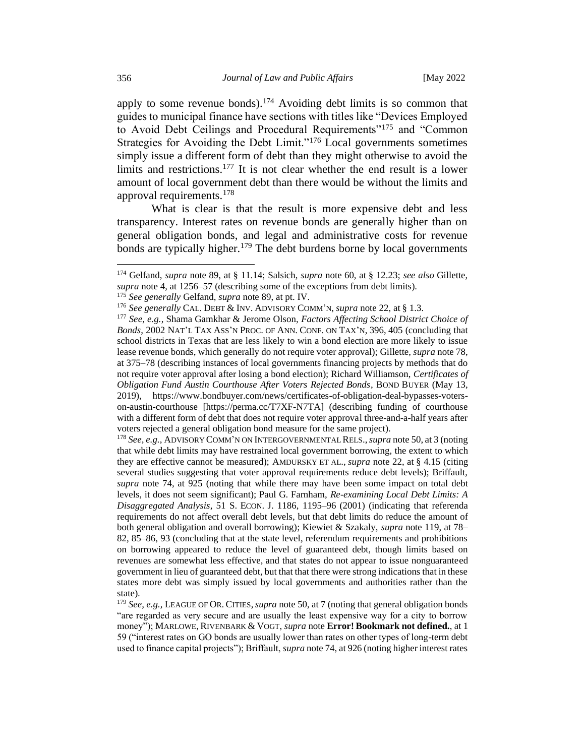apply to some revenue bonds).<sup>174</sup> Avoiding debt limits is so common that guides to municipal finance have sections with titles like "Devices Employed to Avoid Debt Ceilings and Procedural Requirements<sup>"175</sup> and "Common" Strategies for Avoiding the Debt Limit."<sup>176</sup> Local governments sometimes simply issue a different form of debt than they might otherwise to avoid the limits and restrictions.<sup>177</sup> It is not clear whether the end result is a lower amount of local government debt than there would be without the limits and approval requirements.<sup>178</sup>

What is clear is that the result is more expensive debt and less transparency. Interest rates on revenue bonds are generally higher than on general obligation bonds, and legal and administrative costs for revenue bonds are typically higher.<sup>179</sup> The debt burdens borne by local governments

<sup>175</sup> *See generally* Gelfand, *supra* note 89, at pt. IV.

<sup>178</sup> *See, e.g.*, ADVISORY COMM'N ON INTERGOVERNMENTAL RELS.,*supra* note 50, at 3 (noting that while debt limits may have restrained local government borrowing, the extent to which they are effective cannot be measured); AMDURSKY ET AL., *supra* note 22, at § 4.15 (citing several studies suggesting that voter approval requirements reduce debt levels); Briffault, *supra* note 74, at 925 (noting that while there may have been some impact on total debt levels, it does not seem significant); Paul G. Farnham, *Re-examining Local Debt Limits: A Disaggregated Analysis*, 51 S. ECON. J. 1186, 1195–96 (2001) (indicating that referenda requirements do not affect overall debt levels, but that debt limits do reduce the amount of both general obligation and overall borrowing); Kiewiet & Szakaly, *supra* note [119,](#page-30-0) at 78– 82, 85–86, 93 (concluding that at the state level, referendum requirements and prohibitions on borrowing appeared to reduce the level of guaranteed debt, though limits based on revenues are somewhat less effective, and that states do not appear to issue nonguaranteed government in lieu of guaranteed debt, but that that there were strong indications that in these states more debt was simply issued by local governments and authorities rather than the state).

<sup>174</sup> Gelfand, *supra* note 89, at § 11.14; Salsich, *supra* note 60, at § 12.23; *see also* Gillette, *supra* note 4, at 1256–57 (describing some of the exceptions from debt limits).

<sup>176</sup> *See generally* CAL. DEBT & INV. ADVISORY COMM'N, *supra* note 22, at § 1.3.

<sup>177</sup> *See, e.g.*, Shama Gamkhar & Jerome Olson, *Factors Affecting School District Choice of Bonds*, 2002 NAT'L TAX ASS'N PROC. OF ANN. CONF. ON TAX'N, 396, 405 (concluding that school districts in Texas that are less likely to win a bond election are more likely to issue lease revenue bonds, which generally do not require voter approval); Gillette, *supra* note 78, at 375–78 (describing instances of local governments financing projects by methods that do not require voter approval after losing a bond election); Richard Williamson, *Certificates of Obligation Fund Austin Courthouse After Voters Rejected Bonds*, BOND BUYER (May 13, 2019), https://www.bondbuyer.com/news/certificates-of-obligation-deal-bypasses-voterson-austin-courthouse [https://perma.cc/T7XF-N7TA] (describing funding of courthouse with a different form of debt that does not require voter approval three-and-a-half years after voters rejected a general obligation bond measure for the same project).

<sup>179</sup> *See, e.g.*, LEAGUE OF OR. CITIES,*supra* note 50, at 7 (noting that general obligation bonds "are regarded as very secure and are usually the least expensive way for a city to borrow money"); MARLOWE, RIVENBARK & VOGT, *supra* note **Error! Bookmark not defined.**, at 1 59 ("interest rates on GO bonds are usually lower than rates on other types of long-term debt used to finance capital projects"); Briffault, *supra* note 74, at 926 (noting higher interest rates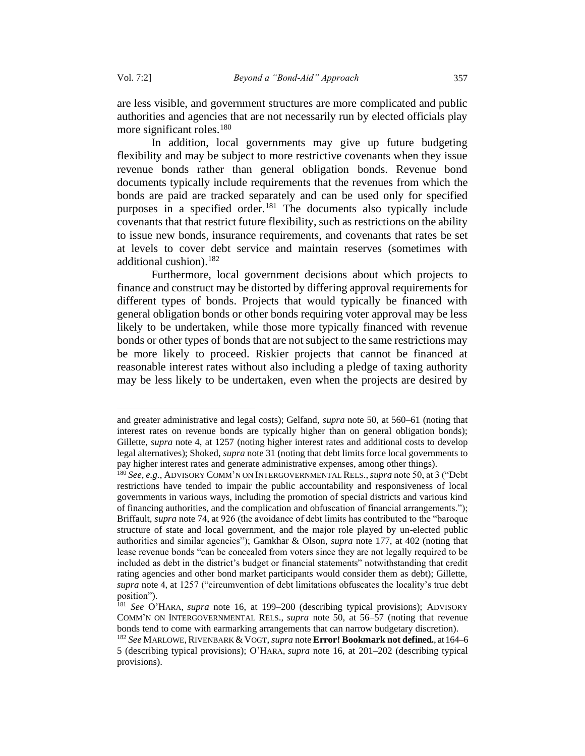are less visible, and government structures are more complicated and public authorities and agencies that are not necessarily run by elected officials play more significant roles.<sup>180</sup>

In addition, local governments may give up future budgeting flexibility and may be subject to more restrictive covenants when they issue revenue bonds rather than general obligation bonds. Revenue bond documents typically include requirements that the revenues from which the bonds are paid are tracked separately and can be used only for specified purposes in a specified order.<sup>181</sup> The documents also typically include covenants that that restrict future flexibility, such as restrictions on the ability to issue new bonds, insurance requirements, and covenants that rates be set at levels to cover debt service and maintain reserves (sometimes with additional cushion).<sup>182</sup>

Furthermore, local government decisions about which projects to finance and construct may be distorted by differing approval requirements for different types of bonds. Projects that would typically be financed with general obligation bonds or other bonds requiring voter approval may be less likely to be undertaken, while those more typically financed with revenue bonds or other types of bonds that are not subject to the same restrictions may be more likely to proceed. Riskier projects that cannot be financed at reasonable interest rates without also including a pledge of taxing authority may be less likely to be undertaken, even when the projects are desired by

and greater administrative and legal costs); Gelfand, *supra* note 50, at 560–61 (noting that interest rates on revenue bonds are typically higher than on general obligation bonds); Gillette, *supra* note 4, at 1257 (noting higher interest rates and additional costs to develop legal alternatives); Shoked, *supra* not[e 31](#page-10-0) (noting that debt limits force local governments to pay higher interest rates and generate administrative expenses, among other things).

<sup>180</sup> *See, e.g.*, ADVISORY COMM'N ON INTERGOVERNMENTAL RELS.,*supra* note 50, at 3 ("Debt restrictions have tended to impair the public accountability and responsiveness of local governments in various ways, including the promotion of special districts and various kind of financing authorities, and the complication and obfuscation of financial arrangements."); Briffault, *supra* note 74, at 926 (the avoidance of debt limits has contributed to the "baroque structure of state and local government, and the major role played by un-elected public authorities and similar agencies"); Gamkhar & Olson, *supra* note 177, at 402 (noting that lease revenue bonds "can be concealed from voters since they are not legally required to be included as debt in the district's budget or financial statements" notwithstanding that credit rating agencies and other bond market participants would consider them as debt); Gillette, *supra* note 4, at 1257 ("circumvention of debt limitations obfuscates the locality's true debt position").

<sup>181</sup> *See* O'HARA, *supra* note 16, at 199–200 (describing typical provisions); ADVISORY COMM'N ON INTERGOVERNMENTAL RELS., *supra* note 50, at 56–57 (noting that revenue bonds tend to come with earmarking arrangements that can narrow budgetary discretion).

<sup>182</sup> *See* MARLOWE,RIVENBARK &VOGT, *supra* note **Error! Bookmark not defined.**, at 164–6 5 (describing typical provisions); O'HARA, *supra* note 16, at 201–202 (describing typical provisions).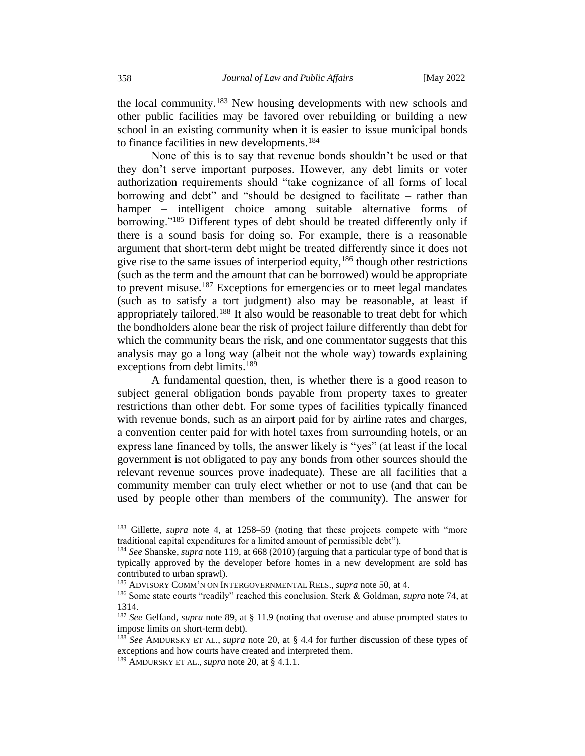the local community.<sup>183</sup> New housing developments with new schools and other public facilities may be favored over rebuilding or building a new school in an existing community when it is easier to issue municipal bonds to finance facilities in new developments.<sup>184</sup>

None of this is to say that revenue bonds shouldn't be used or that they don't serve important purposes. However, any debt limits or voter authorization requirements should "take cognizance of all forms of local borrowing and debt" and "should be designed to facilitate – rather than hamper – intelligent choice among suitable alternative forms of borrowing."<sup>185</sup> Different types of debt should be treated differently only if there is a sound basis for doing so. For example, there is a reasonable argument that short-term debt might be treated differently since it does not give rise to the same issues of interperiod equity,  $186$  though other restrictions (such as the term and the amount that can be borrowed) would be appropriate to prevent misuse.<sup>187</sup> Exceptions for emergencies or to meet legal mandates (such as to satisfy a tort judgment) also may be reasonable, at least if appropriately tailored.<sup>188</sup> It also would be reasonable to treat debt for which the bondholders alone bear the risk of project failure differently than debt for which the community bears the risk, and one commentator suggests that this analysis may go a long way (albeit not the whole way) towards explaining exceptions from debt limits.<sup>189</sup>

A fundamental question, then, is whether there is a good reason to subject general obligation bonds payable from property taxes to greater restrictions than other debt. For some types of facilities typically financed with revenue bonds, such as an airport paid for by airline rates and charges, a convention center paid for with hotel taxes from surrounding hotels, or an express lane financed by tolls, the answer likely is "yes" (at least if the local government is not obligated to pay any bonds from other sources should the relevant revenue sources prove inadequate). These are all facilities that a community member can truly elect whether or not to use (and that can be used by people other than members of the community). The answer for

<sup>&</sup>lt;sup>183</sup> Gillette, *supra* note 4, at 1258–59 (noting that these projects compete with "more traditional capital expenditures for a limited amount of permissible debt").

<sup>184</sup> *See* Shanske, *supra* note 119, at 668 (2010) (arguing that a particular type of bond that is typically approved by the developer before homes in a new development are sold has contributed to urban sprawl).

<sup>185</sup> ADVISORY COMM'N ON INTERGOVERNMENTAL RELS., *supra* note 50, at 4.

<sup>186</sup> Some state courts "readily" reached this conclusion. Sterk & Goldman, *supra* note 74, at 1314.

<sup>187</sup> *See* Gelfand, *supra* note 89, at § 11.9 (noting that overuse and abuse prompted states to impose limits on short-term debt).

<sup>188</sup> *See* AMDURSKY ET AL., *supra* note 20, at § 4.4 for further discussion of these types of exceptions and how courts have created and interpreted them.

<sup>189</sup> AMDURSKY ET AL., *supra* note 20, at § 4.1.1.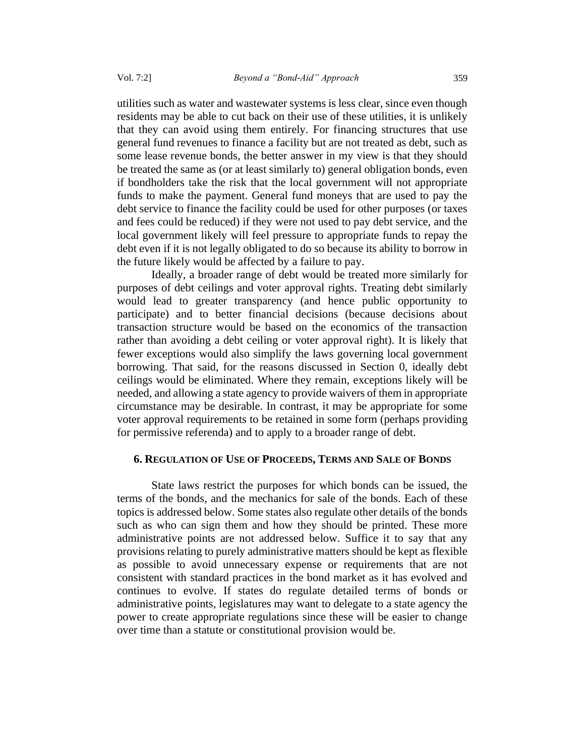utilities such as water and wastewater systems is less clear, since even though residents may be able to cut back on their use of these utilities, it is unlikely that they can avoid using them entirely. For financing structures that use general fund revenues to finance a facility but are not treated as debt, such as some lease revenue bonds, the better answer in my view is that they should be treated the same as (or at least similarly to) general obligation bonds, even if bondholders take the risk that the local government will not appropriate funds to make the payment. General fund moneys that are used to pay the debt service to finance the facility could be used for other purposes (or taxes and fees could be reduced) if they were not used to pay debt service, and the local government likely will feel pressure to appropriate funds to repay the debt even if it is not legally obligated to do so because its ability to borrow in the future likely would be affected by a failure to pay.

Ideally, a broader range of debt would be treated more similarly for purposes of debt ceilings and voter approval rights. Treating debt similarly would lead to greater transparency (and hence public opportunity to participate) and to better financial decisions (because decisions about transaction structure would be based on the economics of the transaction rather than avoiding a debt ceiling or voter approval right). It is likely that fewer exceptions would also simplify the laws governing local government borrowing. That said, for the reasons discussed in Section [0,](#page-27-0) ideally debt ceilings would be eliminated. Where they remain, exceptions likely will be needed, and allowing a state agency to provide waivers of them in appropriate circumstance may be desirable. In contrast, it may be appropriate for some voter approval requirements to be retained in some form (perhaps providing for permissive referenda) and to apply to a broader range of debt.

## **6. REGULATION OF USE OF PROCEEDS, TERMS AND SALE OF BONDS**

State laws restrict the purposes for which bonds can be issued, the terms of the bonds, and the mechanics for sale of the bonds. Each of these topics is addressed below. Some states also regulate other details of the bonds such as who can sign them and how they should be printed. These more administrative points are not addressed below. Suffice it to say that any provisions relating to purely administrative matters should be kept as flexible as possible to avoid unnecessary expense or requirements that are not consistent with standard practices in the bond market as it has evolved and continues to evolve. If states do regulate detailed terms of bonds or administrative points, legislatures may want to delegate to a state agency the power to create appropriate regulations since these will be easier to change over time than a statute or constitutional provision would be.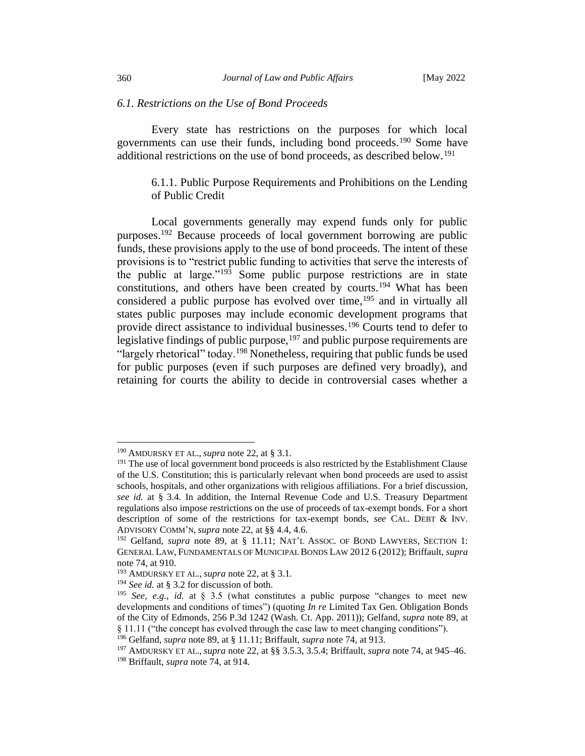#### *6.1. Restrictions on the Use of Bond Proceeds*

Every state has restrictions on the purposes for which local governments can use their funds, including bond proceeds.<sup>190</sup> Some have additional restrictions on the use of bond proceeds, as described below.<sup>191</sup>

# 6.1.1. Public Purpose Requirements and Prohibitions on the Lending of Public Credit

Local governments generally may expend funds only for public purposes.<sup>192</sup> Because proceeds of local government borrowing are public funds, these provisions apply to the use of bond proceeds. The intent of these provisions is to "restrict public funding to activities that serve the interests of the public at large."<sup>193</sup> Some public purpose restrictions are in state constitutions, and others have been created by courts.<sup>194</sup> What has been considered a public purpose has evolved over time,  $195$  and in virtually all states public purposes may include economic development programs that provide direct assistance to individual businesses.<sup>196</sup> Courts tend to defer to legislative findings of public purpose,<sup>197</sup> and public purpose requirements are "largely rhetorical" today.<sup>198</sup> Nonetheless, requiring that public funds be used for public purposes (even if such purposes are defined very broadly), and retaining for courts the ability to decide in controversial cases whether a

<sup>190</sup> AMDURSKY ET AL., *supra* note 22, at § 3.1.

<sup>&</sup>lt;sup>191</sup> The use of local government bond proceeds is also restricted by the Establishment Clause of the U.S. Constitution; this is particularly relevant when bond proceeds are used to assist schools, hospitals, and other organizations with religious affiliations. For a brief discussion, *see id.* at § 3.4. In addition, the Internal Revenue Code and U.S. Treasury Department regulations also impose restrictions on the use of proceeds of tax-exempt bonds. For a short description of some of the restrictions for tax-exempt bonds, *see* CAL. DEBT & INV. ADVISORY COMM'N, *supra* note 22, at §§ 4.4, 4.6.

<sup>&</sup>lt;sup>192</sup> Gelfand, *supra* note 89, at § 11.11; NAT'L ASSOC. OF BOND LAWYERS, SECTION 1: GENERAL LAW,FUNDAMENTALS OF MUNICIPAL BONDS LAW 2012 6 (2012); Briffault, *supra* note 74, at 910.

<sup>193</sup> AMDURSKY ET AL., *supra* note 22, at § 3.1.

<sup>194</sup> *See id.* at § 3.2 for discussion of both.

<sup>&</sup>lt;sup>195</sup> *See, e.g., id.* at § 3.5 (what constitutes a public purpose "changes to meet new developments and conditions of times") (quoting *In re* Limited Tax Gen. Obligation Bonds of the City of Edmonds, 256 P.3d 1242 (Wash. Ct. App. 2011)); Gelfand, *supra* note 89, at § 11.11 ("the concept has evolved through the case law to meet changing conditions").

<sup>196</sup> Gelfand, *supra* note 89, at § 11.11; Briffault, *supra* note 74, at 913.

<sup>197</sup> AMDURSKY ET AL., *supra* note 22, at §§ 3.5.3, 3.5.4; Briffault, *supra* note 74, at 945–46.

<sup>198</sup> Briffault, *supra* note 74, at 914.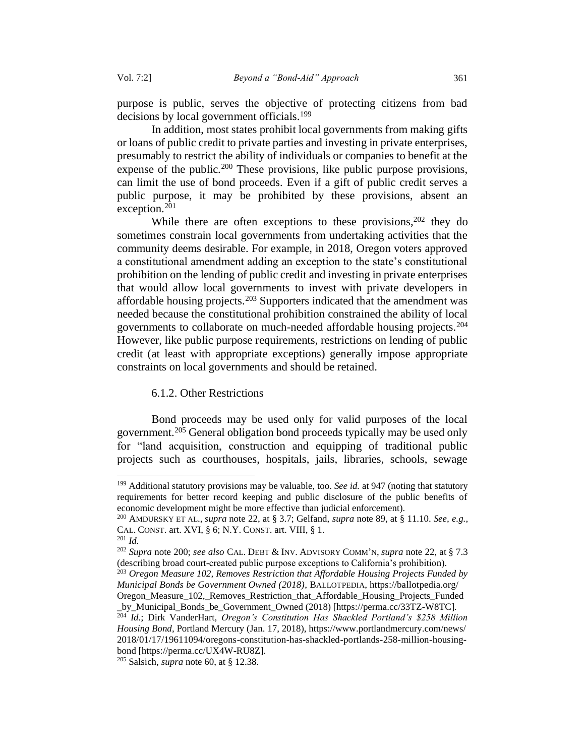purpose is public, serves the objective of protecting citizens from bad decisions by local government officials.<sup>199</sup>

In addition, most states prohibit local governments from making gifts or loans of public credit to private parties and investing in private enterprises, presumably to restrict the ability of individuals or companies to benefit at the expense of the public.<sup>200</sup> These provisions, like public purpose provisions, can limit the use of bond proceeds. Even if a gift of public credit serves a public purpose, it may be prohibited by these provisions, absent an exception.<sup>201</sup>

While there are often exceptions to these provisions,  $202$  they do sometimes constrain local governments from undertaking activities that the community deems desirable. For example, in 2018, Oregon voters approved a constitutional amendment adding an exception to the state's constitutional prohibition on the lending of public credit and investing in private enterprises that would allow local governments to invest with private developers in affordable housing projects.<sup>203</sup> Supporters indicated that the amendment was needed because the constitutional prohibition constrained the ability of local governments to collaborate on much-needed affordable housing projects.<sup>204</sup> However, like public purpose requirements, restrictions on lending of public credit (at least with appropriate exceptions) generally impose appropriate constraints on local governments and should be retained.

## 6.1.2. Other Restrictions

Bond proceeds may be used only for valid purposes of the local government.<sup>205</sup> General obligation bond proceeds typically may be used only for "land acquisition, construction and equipping of traditional public projects such as courthouses, hospitals, jails, libraries, schools, sewage

<sup>199</sup> Additional statutory provisions may be valuable, too. *See id.* at 947 (noting that statutory requirements for better record keeping and public disclosure of the public benefits of economic development might be more effective than judicial enforcement).

<sup>200</sup> AMDURSKY ET AL., *supra* note 22, at § 3.7; Gelfand, *supra* note 89, at § 11.10. *See, e.g.*, CAL. CONST. art. XVI, § 6; N.Y. CONST. art. VIII, § 1.

<sup>201</sup> *Id.*

<sup>202</sup> *Supra* note 200; *see also* CAL. DEBT & INV. ADVISORY COMM'N, *supra* note 22, at § 7.3 (describing broad court-created public purpose exceptions to California's prohibition).

<sup>203</sup> *Oregon Measure 102, Removes Restriction that Affordable Housing Projects Funded by Municipal Bonds be Government Owned (2018)*, BALLOTPEDIA, https://ballotpedia.org/

Oregon\_Measure\_102,\_Removes\_Restriction\_that\_Affordable\_Housing\_Projects\_Funded \_by\_Municipal\_Bonds\_be\_Government\_Owned (2018) [https://perma.cc/33TZ-W8TC]*.*

<sup>204</sup> *Id.*; Dirk VanderHart, *Oregon's Constitution Has Shackled Portland's \$258 Million Housing Bond*, Portland Mercury (Jan. 17, 2018), https://www.portlandmercury.com/news/ 2018/01/17/19611094/oregons-constitution-has-shackled-portlands-258-million-housingbond [\[https://perma.cc/UX4W-RU8Z\]](https://perma.cc/UX4W-RU8Z).

<sup>205</sup> Salsich, *supra* note 60, at § 12.38.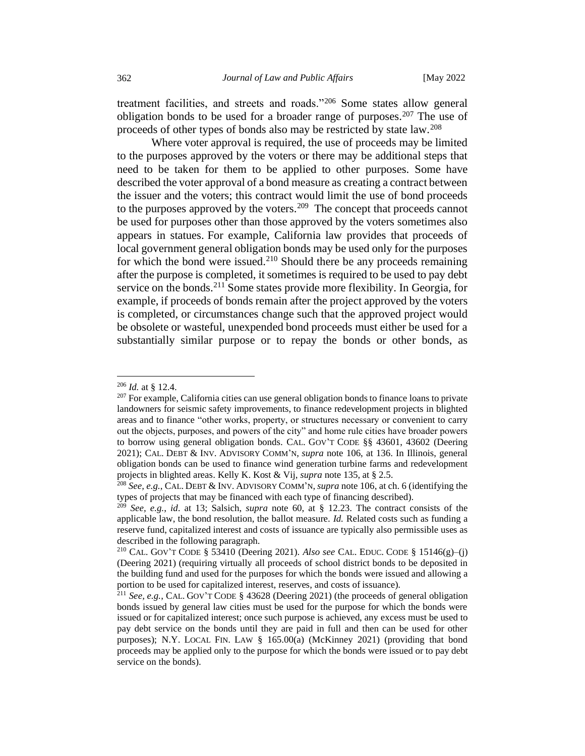treatment facilities, and streets and roads."<sup>206</sup> Some states allow general obligation bonds to be used for a broader range of purposes.<sup>207</sup> The use of proceeds of other types of bonds also may be restricted by state law.<sup>208</sup>

Where voter approval is required, the use of proceeds may be limited to the purposes approved by the voters or there may be additional steps that need to be taken for them to be applied to other purposes. Some have described the voter approval of a bond measure as creating a contract between the issuer and the voters; this contract would limit the use of bond proceeds to the purposes approved by the voters.<sup>209</sup> The concept that proceeds cannot be used for purposes other than those approved by the voters sometimes also appears in statues. For example, California law provides that proceeds of local government general obligation bonds may be used only for the purposes for which the bond were issued.<sup>210</sup> Should there be any proceeds remaining after the purpose is completed, it sometimes is required to be used to pay debt service on the bonds.<sup>211</sup> Some states provide more flexibility. In Georgia, for example, if proceeds of bonds remain after the project approved by the voters is completed, or circumstances change such that the approved project would be obsolete or wasteful, unexpended bond proceeds must either be used for a substantially similar purpose or to repay the bonds or other bonds, as

<sup>206</sup> *Id.* at § 12.4.

 $^{207}$  For example, California cities can use general obligation bonds to finance loans to private landowners for seismic safety improvements, to finance redevelopment projects in blighted areas and to finance "other works, property, or structures necessary or convenient to carry out the objects, purposes, and powers of the city" and home rule cities have broader powers to borrow using general obligation bonds. CAL. GOV'T CODE §§ 43601, 43602 (Deering 2021); CAL. DEBT & INV. ADVISORY COMM'N, *supra* note [106,](#page-26-0) at 136. In Illinois, general obligation bonds can be used to finance wind generation turbine farms and redevelopment projects in blighted areas. Kelly K. Kost & Vij, *supra* not[e 135,](#page-33-1) at § 2.5.

<sup>208</sup> *See, e.g.*, CAL. DEBT & INV. ADVISORY COMM'N, *supra* note [106,](#page-26-0) at ch. 6 (identifying the types of projects that may be financed with each type of financing described).

<sup>209</sup> *See, e.g.*, *id*. at 13; Salsich, *supra* note 60, at § 12.23. The contract consists of the applicable law, the bond resolution, the ballot measure. *Id.* Related costs such as funding a reserve fund, capitalized interest and costs of issuance are typically also permissible uses as described in the following paragraph.

<sup>210</sup> CAL. GOV'T CODE § 53410 (Deering 2021). *Also see* CAL. EDUC. CODE § 15146(g)–(j) (Deering 2021) (requiring virtually all proceeds of school district bonds to be deposited in the building fund and used for the purposes for which the bonds were issued and allowing a portion to be used for capitalized interest, reserves, and costs of issuance).

<sup>211</sup> *See, e.g.*, CAL. GOV'T CODE § 43628 (Deering 2021) (the proceeds of general obligation bonds issued by general law cities must be used for the purpose for which the bonds were issued or for capitalized interest; once such purpose is achieved, any excess must be used to pay debt service on the bonds until they are paid in full and then can be used for other purposes); N.Y. LOCAL FIN. LAW § 165.00(a) (McKinney 2021) (providing that bond proceeds may be applied only to the purpose for which the bonds were issued or to pay debt service on the bonds).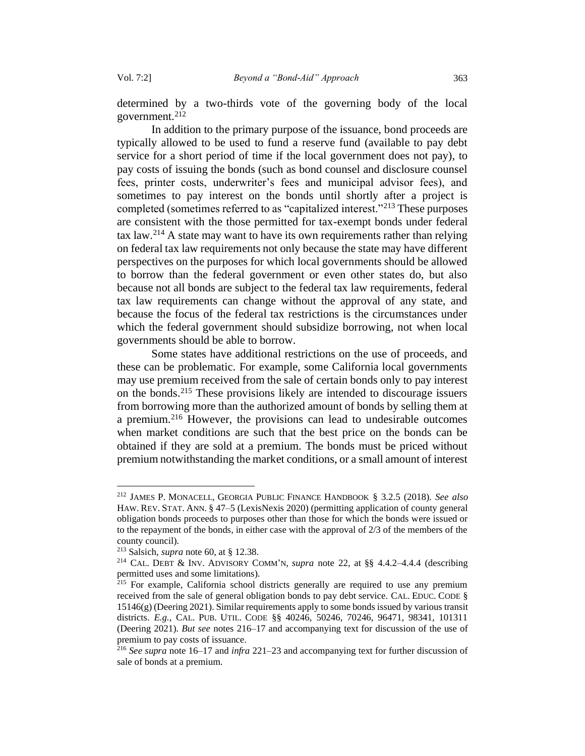determined by a two-thirds vote of the governing body of the local government.<sup>212</sup>

In addition to the primary purpose of the issuance, bond proceeds are typically allowed to be used to fund a reserve fund (available to pay debt service for a short period of time if the local government does not pay), to pay costs of issuing the bonds (such as bond counsel and disclosure counsel fees, printer costs, underwriter's fees and municipal advisor fees), and sometimes to pay interest on the bonds until shortly after a project is completed (sometimes referred to as "capitalized interest."<sup>213</sup> These purposes are consistent with the those permitted for tax-exempt bonds under federal tax law.<sup>214</sup> A state may want to have its own requirements rather than relying on federal tax law requirements not only because the state may have different perspectives on the purposes for which local governments should be allowed to borrow than the federal government or even other states do, but also because not all bonds are subject to the federal tax law requirements, federal tax law requirements can change without the approval of any state, and because the focus of the federal tax restrictions is the circumstances under which the federal government should subsidize borrowing, not when local governments should be able to borrow.

Some states have additional restrictions on the use of proceeds, and these can be problematic. For example, some California local governments may use premium received from the sale of certain bonds only to pay interest on the bonds.<sup>215</sup> These provisions likely are intended to discourage issuers from borrowing more than the authorized amount of bonds by selling them at a premium.<sup>216</sup> However, the provisions can lead to undesirable outcomes when market conditions are such that the best price on the bonds can be obtained if they are sold at a premium. The bonds must be priced without premium notwithstanding the market conditions, or a small amount of interest

<sup>212</sup> JAMES P. MONACELL, GEORGIA PUBLIC FINANCE HANDBOOK § 3.2.5 (2018). *See also*  HAW. REV.STAT. ANN. § 47–5 (LexisNexis 2020) (permitting application of county general obligation bonds proceeds to purposes other than those for which the bonds were issued or to the repayment of the bonds, in either case with the approval of 2/3 of the members of the county council).

<sup>213</sup> Salsich, *supra* note 60, at § 12.38.

<sup>214</sup> CAL. DEBT & INV. ADVISORY COMM'N, *supra* note 22, at §§ 4.4.2–4.4.4 (describing permitted uses and some limitations).

 $215$  For example, California school districts generally are required to use any premium received from the sale of general obligation bonds to pay debt service. CAL. EDUC. CODE § 15146(g) (Deering 2021). Similar requirements apply to some bonds issued by various transit districts. *E.g.*, CAL. PUB. UTIL. CODE §§ 40246, 50246, 70246, 96471, 98341, 101311 (Deering 2021). *But see* notes 216–17 and accompanying text for discussion of the use of premium to pay costs of issuance.

<sup>216</sup> *See supra* note 16–17 and *infra* 221–23 and accompanying text for further discussion of sale of bonds at a premium.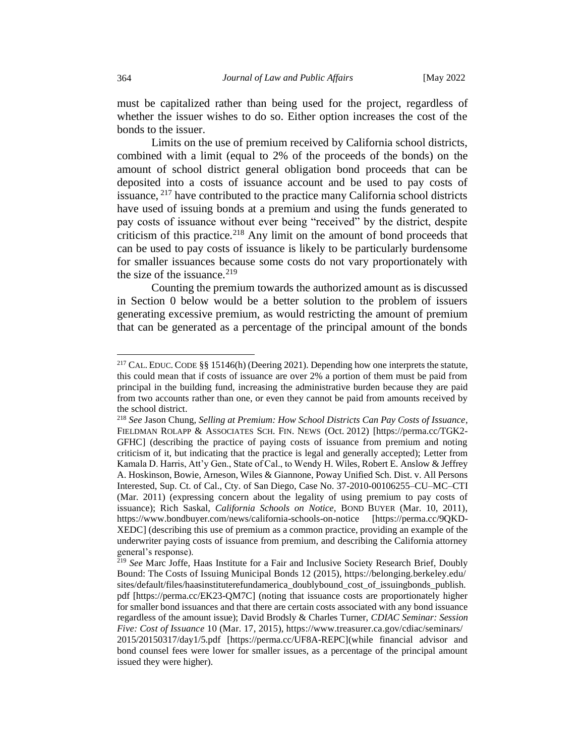must be capitalized rather than being used for the project, regardless of whether the issuer wishes to do so. Either option increases the cost of the bonds to the issuer.

Limits on the use of premium received by California school districts, combined with a limit (equal to 2% of the proceeds of the bonds) on the amount of school district general obligation bond proceeds that can be deposited into a costs of issuance account and be used to pay costs of issuance, <sup>217</sup> have contributed to the practice many California school districts have used of issuing bonds at a premium and using the funds generated to pay costs of issuance without ever being "received" by the district, despite criticism of this practice.<sup>218</sup> Any limit on the amount of bond proceeds that can be used to pay costs of issuance is likely to be particularly burdensome for smaller issuances because some costs do not vary proportionately with the size of the issuance. $219$ 

Counting the premium towards the authorized amount as is discussed in Section [0](#page-50-0) below would be a better solution to the problem of issuers generating excessive premium, as would restricting the amount of premium that can be generated as a percentage of the principal amount of the bonds

<sup>217</sup> CAL. EDUC. CODE §§ 15146(h) (Deering 2021). Depending how one interprets the statute, this could mean that if costs of issuance are over 2% a portion of them must be paid from principal in the building fund, increasing the administrative burden because they are paid from two accounts rather than one, or even they cannot be paid from amounts received by the school district.

<sup>218</sup> *See* Jason Chung, *Selling at Premium: How School Districts Can Pay Costs of Issuance*, FIELDMAN ROLAPP & ASSOCIATES SCH. FIN. NEWS (Oct. 2012) [https://perma.cc/TGK2- GFHC] (describing the practice of paying costs of issuance from premium and noting criticism of it, but indicating that the practice is legal and generally accepted); Letter from Kamala D. Harris, Att'y Gen., State of Cal., to Wendy H. Wiles, Robert E. Anslow & Jeffrey A. Hoskinson, Bowie, Arneson, Wiles & Giannone, Poway Unified Sch. Dist. v. All Persons Interested, Sup. Ct. of Cal., Cty. of San Diego, Case No. 37-2010-00106255–CU–MC–CTI (Mar. 2011) (expressing concern about the legality of using premium to pay costs of issuance); Rich Saskal, *California Schools on Notice,* BOND BUYER (Mar. 10, 2011), https://www.bondbuyer.com/news/california-schools-on-notice [https://perma.cc/9QKD-XEDC] (describing this use of premium as a common practice, providing an example of the underwriter paying costs of issuance from premium, and describing the California attorney general's response).

<sup>219</sup> *See* Marc Joffe, Haas Institute for a Fair and Inclusive Society Research Brief, Doubly Bound: The Costs of Issuing Municipal Bonds 12 (2015), https://belonging.berkeley.edu/ sites/default/files/haasinstituterefundamerica\_doublybound\_cost\_of\_issuingbonds\_publish. pdf [https://perma.cc/EK23-QM7C] (noting that issuance costs are proportionately higher for smaller bond issuances and that there are certain costs associated with any bond issuance regardless of the amount issue); David Brodsly & Charles Turner, *CDIAC Seminar: Session Five: Cost of Issuance* 10 (Mar. 17, 2015), https://www.treasurer.ca.gov/cdiac/seminars/ 2015/20150317/day1/5.pdf [https://perma.cc/UF8A-REPC](while financial advisor and bond counsel fees were lower for smaller issues, as a percentage of the principal amount issued they were higher).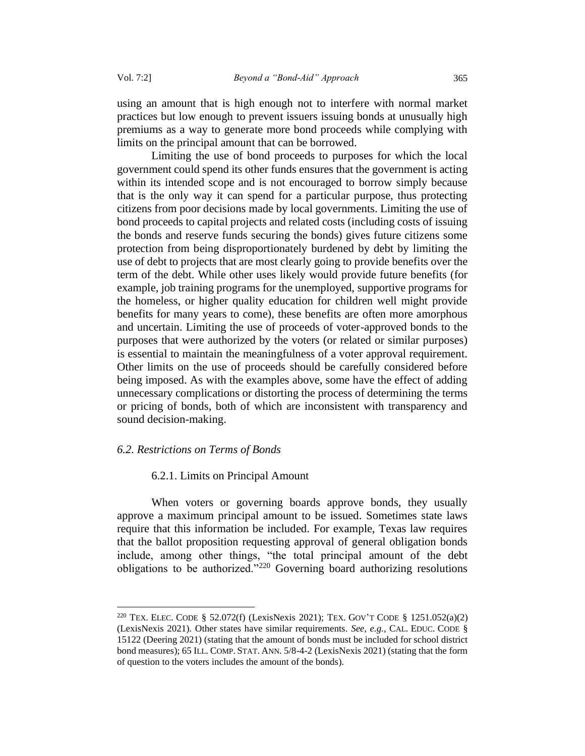using an amount that is high enough not to interfere with normal market practices but low enough to prevent issuers issuing bonds at unusually high premiums as a way to generate more bond proceeds while complying with limits on the principal amount that can be borrowed.

Limiting the use of bond proceeds to purposes for which the local government could spend its other funds ensures that the government is acting within its intended scope and is not encouraged to borrow simply because that is the only way it can spend for a particular purpose, thus protecting citizens from poor decisions made by local governments. Limiting the use of bond proceeds to capital projects and related costs (including costs of issuing the bonds and reserve funds securing the bonds) gives future citizens some protection from being disproportionately burdened by debt by limiting the use of debt to projects that are most clearly going to provide benefits over the term of the debt. While other uses likely would provide future benefits (for example, job training programs for the unemployed, supportive programs for the homeless, or higher quality education for children well might provide benefits for many years to come), these benefits are often more amorphous and uncertain. Limiting the use of proceeds of voter-approved bonds to the purposes that were authorized by the voters (or related or similar purposes) is essential to maintain the meaningfulness of a voter approval requirement. Other limits on the use of proceeds should be carefully considered before being imposed. As with the examples above, some have the effect of adding unnecessary complications or distorting the process of determining the terms or pricing of bonds, both of which are inconsistent with transparency and sound decision-making.

#### <span id="page-50-0"></span>*6.2. Restrictions on Terms of Bonds*

#### 6.2.1. Limits on Principal Amount

When voters or governing boards approve bonds, they usually approve a maximum principal amount to be issued. Sometimes state laws require that this information be included. For example, Texas law requires that the ballot proposition requesting approval of general obligation bonds include, among other things, "the total principal amount of the debt obligations to be authorized."<sup>220</sup> Governing board authorizing resolutions

<sup>220</sup> TEX. ELEC. CODE § 52.072(f) (LexisNexis 2021); TEX. GOV'T CODE § 1251.052(a)(2) (LexisNexis 2021). Other states have similar requirements. *See, e.g.,* CAL. EDUC. CODE § 15122 (Deering 2021) (stating that the amount of bonds must be included for school district bond measures); 65 ILL. COMP.STAT. ANN. 5/8-4-2 (LexisNexis 2021) (stating that the form of question to the voters includes the amount of the bonds).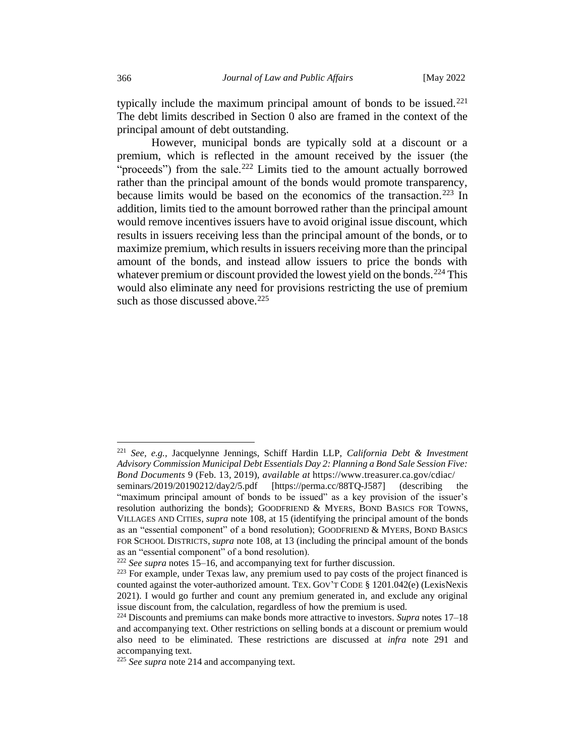typically include the maximum principal amount of bonds to be issued. $221$ The debt limits described in Section [0](#page-26-1) also are framed in the context of the principal amount of debt outstanding.

However, municipal bonds are typically sold at a discount or a premium, which is reflected in the amount received by the issuer (the "proceeds") from the sale.<sup>222</sup> Limits tied to the amount actually borrowed rather than the principal amount of the bonds would promote transparency, because limits would be based on the economics of the transaction.<sup>223</sup> In addition, limits tied to the amount borrowed rather than the principal amount would remove incentives issuers have to avoid original issue discount, which results in issuers receiving less than the principal amount of the bonds, or to maximize premium, which results in issuers receiving more than the principal amount of the bonds, and instead allow issuers to price the bonds with whatever premium or discount provided the lowest yield on the bonds.<sup>224</sup> This would also eliminate any need for provisions restricting the use of premium such as those discussed above.  $225$ 

<sup>221</sup> *See, e.g.,* Jacquelynne Jennings, Schiff Hardin LLP, *California Debt & Investment Advisory Commission Municipal Debt Essentials Day 2: Planning a Bond Sale Session Five: Bond Documents* 9 (Feb. 13, 2019), *available at* https://www.treasurer.ca.gov/cdiac/

seminars/2019/20190212/day2/5.pdf [https://perma.cc/88TQ-J587] (describing the "maximum principal amount of bonds to be issued" as a key provision of the issuer's resolution authorizing the bonds); GOODFRIEND & MYERS, BOND BASICS FOR TOWNS, VILLAGES AND CITIEs, *supra* note 108, at 15 (identifying the principal amount of the bonds as an "essential component" of a bond resolution); GOODFRIEND & MYERS, BOND BASICS FOR SCHOOL DISTRICTS, *supra* note 108, at 13 (including the principal amount of the bonds as an "essential component" of a bond resolution).

<sup>222</sup> *See supra* notes 15–16, and accompanying text for further discussion.

<sup>&</sup>lt;sup>223</sup> For example, under Texas law, any premium used to pay costs of the project financed is counted against the voter-authorized amount. TEX. GOV'T CODE § 1201.042(e) (LexisNexis 2021). I would go further and count any premium generated in, and exclude any original issue discount from, the calculation, regardless of how the premium is used.

<sup>224</sup> Discounts and premiums can make bonds more attractive to investors. *Supra* notes 17–18 and accompanying text. Other restrictions on selling bonds at a discount or premium would also need to be eliminated. These restrictions are discussed at *infra* note 291 and accompanying text.

<sup>225</sup> *See supra* note 214 and accompanying text.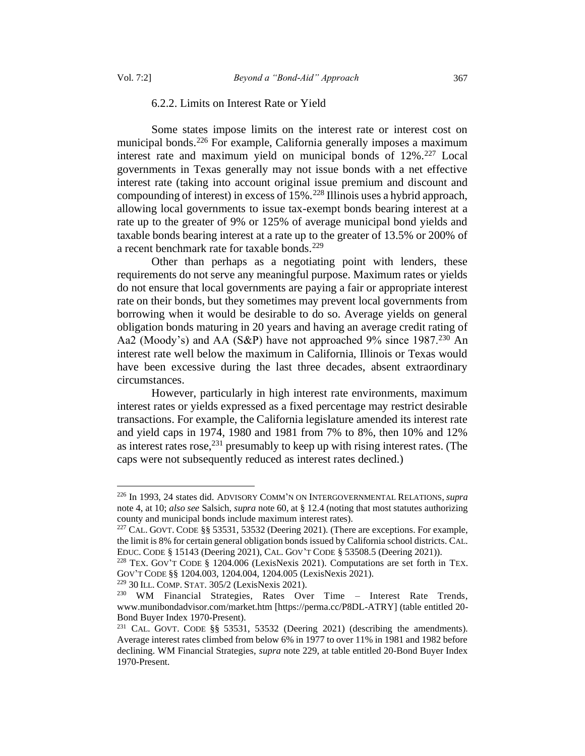#### 6.2.2. Limits on Interest Rate or Yield

Some states impose limits on the interest rate or interest cost on municipal bonds.<sup>226</sup> For example, California generally imposes a maximum interest rate and maximum yield on municipal bonds of  $12\%$ <sup>227</sup> Local governments in Texas generally may not issue bonds with a net effective interest rate (taking into account original issue premium and discount and compounding of interest) in excess of  $15\%$ .<sup>228</sup> Illinois uses a hybrid approach, allowing local governments to issue tax-exempt bonds bearing interest at a rate up to the greater of 9% or 125% of average municipal bond yields and taxable bonds bearing interest at a rate up to the greater of 13.5% or 200% of a recent benchmark rate for taxable bonds.<sup>229</sup>

Other than perhaps as a negotiating point with lenders, these requirements do not serve any meaningful purpose. Maximum rates or yields do not ensure that local governments are paying a fair or appropriate interest rate on their bonds, but they sometimes may prevent local governments from borrowing when it would be desirable to do so. Average yields on general obligation bonds maturing in 20 years and having an average credit rating of Aa2 (Moody's) and AA (S&P) have not approached 9% since 1987.<sup>230</sup> An interest rate well below the maximum in California, Illinois or Texas would have been excessive during the last three decades, absent extraordinary circumstances.

However, particularly in high interest rate environments, maximum interest rates or yields expressed as a fixed percentage may restrict desirable transactions. For example, the California legislature amended its interest rate and yield caps in 1974, 1980 and 1981 from 7% to 8%, then 10% and 12% as interest rates rose,  $231$  presumably to keep up with rising interest rates. (The caps were not subsequently reduced as interest rates declined.)

<sup>229</sup> 30 ILL. COMP.STAT. 305/2 (LexisNexis 2021).

<sup>226</sup> In 1993, 24 states did. ADVISORY COMM'N ON INTERGOVERNMENTAL RELATIONS, *supra* note 4, at 10; *also see* Salsich, *supra* note 60, at § 12.4 (noting that most statutes authorizing county and municipal bonds include maximum interest rates).

<sup>227</sup> CAL. GOVT. CODE §§ 53531, 53532 (Deering 2021). (There are exceptions. For example, the limit is 8% for certain general obligation bonds issued by California school districts. CAL. EDUC. CODE § 15143 (Deering 2021), CAL. GOV'T CODE § 53508.5 (Deering 2021)).

<sup>228</sup> TEX. GOV'T CODE § 1204.006 (LexisNexis 2021). Computations are set forth in TEX. GOV'T CODE §§ 1204.003, 1204.004, 1204.005 (LexisNexis 2021).

<sup>230</sup> WM Financial Strategies, Rates Over Time – Interest Rate Trends, www.munibondadvisor.com/market.htm [https://perma.cc/P8DL-ATRY] (table entitled 20- Bond Buyer Index 1970-Present).

<sup>&</sup>lt;sup>231</sup> CAL. GOVT. CODE  $\S$ § 53531, 53532 (Deering 2021) (describing the amendments). Average interest rates climbed from below 6% in 1977 to over 11% in 1981 and 1982 before declining. WM Financial Strategies, *supra* note 229, at table entitled 20-Bond Buyer Index 1970-Present.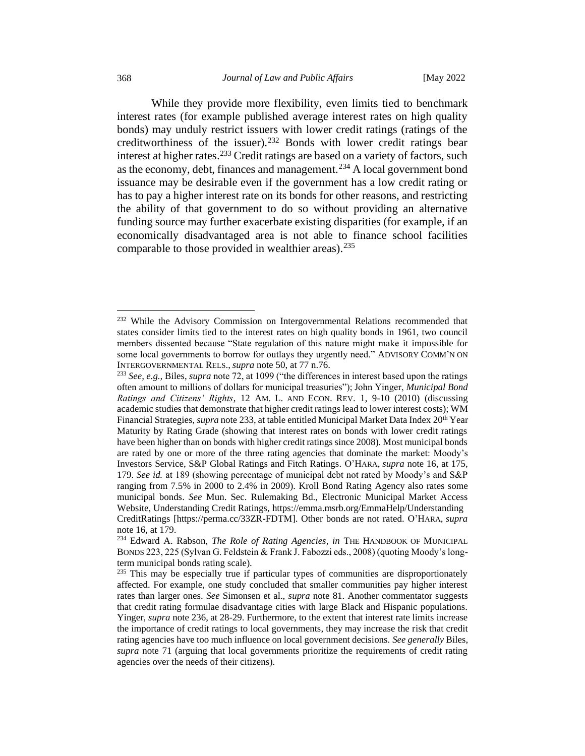While they provide more flexibility, even limits tied to benchmark interest rates (for example published average interest rates on high quality bonds) may unduly restrict issuers with lower credit ratings (ratings of the creditworthiness of the issuer).<sup>232</sup> Bonds with lower credit ratings bear interest at higher rates. <sup>233</sup> Credit ratings are based on a variety of factors, such as the economy, debt, finances and management.<sup>234</sup> A local government bond issuance may be desirable even if the government has a low credit rating or has to pay a higher interest rate on its bonds for other reasons, and restricting the ability of that government to do so without providing an alternative funding source may further exacerbate existing disparities (for example, if an economically disadvantaged area is not able to finance school facilities comparable to those provided in wealthier areas).<sup>235</sup>

<sup>&</sup>lt;sup>232</sup> While the Advisory Commission on Intergovernmental Relations recommended that states consider limits tied to the interest rates on high quality bonds in 1961, two council members dissented because "State regulation of this nature might make it impossible for some local governments to borrow for outlays they urgently need." ADVISORY COMM'N ON INTERGOVERNMENTAL RELS., *supra* note 50, at 77 n.76.

<sup>233</sup> *See, e.g.,* Biles, *supra* note 72, at 1099 ("the differences in interest based upon the ratings often amount to millions of dollars for municipal treasuries"); John Yinger, *Municipal Bond Ratings and Citizens' Rights*, 12 AM. L. AND ECON. REV. 1, 9-10 (2010) (discussing academic studies that demonstrate that higher credit ratings lead to lower interest costs); WM Financial Strategies, *supra* note 233, at table entitled Municipal Market Data Index 20<sup>th</sup> Year Maturity by Rating Grade (showing that interest rates on bonds with lower credit ratings have been higher than on bonds with higher credit ratings since 2008). Most municipal bonds are rated by one or more of the three rating agencies that dominate the market: Moody's Investors Service, S&P Global Ratings and Fitch Ratings. O'HARA, *supra* note 16, at 175, 179. *See id.* at 189 (showing percentage of municipal debt not rated by Moody's and S&P ranging from 7.5% in 2000 to 2.4% in 2009). Kroll Bond Rating Agency also rates some municipal bonds. *See* Mun. Sec. Rulemaking Bd., Electronic Municipal Market Access Website, Understanding Credit Ratings, https://emma.msrb.org/EmmaHelp/Understanding CreditRatings [https://perma.cc/33ZR-FDTM]. Other bonds are not rated. O'HARA, *supra*  note 16, at 179.

<sup>234</sup> Edward A. Rabson, *The Role of Rating Agencies, in* THE HANDBOOK OF MUNICIPAL BONDS 223, 225 (Sylvan G. Feldstein & Frank J. Fabozzi eds., 2008) (quoting Moody's longterm municipal bonds rating scale).

 $235$  This may be especially true if particular types of communities are disproportionately affected. For example, one study concluded that smaller communities pay higher interest rates than larger ones. *See* Simonsen et al., *supra* note 81. Another commentator suggests that credit rating formulae disadvantage cities with large Black and Hispanic populations. Yinger, *supra* note 236, at 28-29. Furthermore, to the extent that interest rate limits increase the importance of credit ratings to local governments, they may increase the risk that credit rating agencies have too much influence on local government decisions. *See generally* Biles, *supra* note 71 (arguing that local governments prioritize the requirements of credit rating agencies over the needs of their citizens).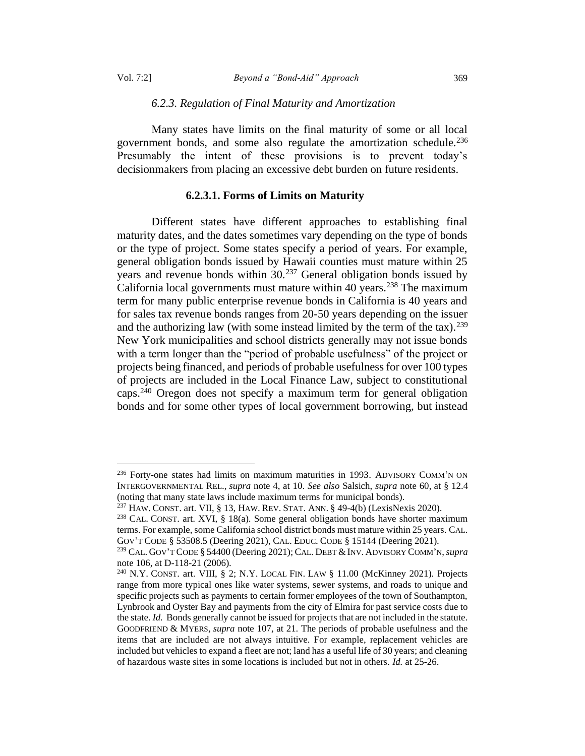#### *6.2.3. Regulation of Final Maturity and Amortization*

Many states have limits on the final maturity of some or all local government bonds, and some also regulate the amortization schedule.<sup>236</sup> Presumably the intent of these provisions is to prevent today's decisionmakers from placing an excessive debt burden on future residents.

## **6.2.3.1. Forms of Limits on Maturity**

Different states have different approaches to establishing final maturity dates, and the dates sometimes vary depending on the type of bonds or the type of project. Some states specify a period of years. For example, general obligation bonds issued by Hawaii counties must mature within 25 years and revenue bonds within 30.<sup>237</sup> General obligation bonds issued by California local governments must mature within 40 years.<sup>238</sup> The maximum term for many public enterprise revenue bonds in California is 40 years and for sales tax revenue bonds ranges from 20-50 years depending on the issuer and the authorizing law (with some instead limited by the term of the tax).<sup>239</sup> New York municipalities and school districts generally may not issue bonds with a term longer than the "period of probable usefulness" of the project or projects being financed, and periods of probable usefulness for over 100 types of projects are included in the Local Finance Law, subject to constitutional caps.<sup>240</sup> Oregon does not specify a maximum term for general obligation bonds and for some other types of local government borrowing, but instead

<span id="page-54-0"></span><sup>236</sup> Forty-one states had limits on maximum maturities in 1993. ADVISORY COMM'N ON INTERGOVERNMENTAL REL., *supra* note 4, at 10. *See also* Salsich, *supra* not[e 60,](#page-14-0) at § 12.4 (noting that many state laws include maximum terms for municipal bonds).

 $237$  HAW. CONST. art. VII, § 13, HAW. REV. STAT. ANN. § 49-4(b) (LexisNexis 2020).

<sup>&</sup>lt;sup>238</sup> CAL. CONST. art. XVI, § 18(a). Some general obligation bonds have shorter maximum terms. For example, some California school district bonds must mature within 25 years. CAL. GOV'T CODE § 53508.5 (Deering 2021), CAL. EDUC. CODE § 15144 (Deering 2021).

<sup>239</sup> CAL. GOV'T CODE § 54400 (Deering 2021); CAL. DEBT &INV. ADVISORY COMM'N,*supra*  note [106,](#page-26-0) at D-118-21 (2006).

<sup>240</sup> N.Y. CONST. art. VIII, § 2; N.Y. LOCAL FIN. LAW § 11.00 (McKinney 2021). Projects range from more typical ones like water systems, sewer systems, and roads to unique and specific projects such as payments to certain former employees of the town of Southampton, Lynbrook and Oyster Bay and payments from the city of Elmira for past service costs due to the state. *Id.* Bonds generally cannot be issued for projects that are not included in the statute. GOODFRIEND & MYERS, *supra* note 107, at 21. The periods of probable usefulness and the items that are included are not always intuitive. For example, replacement vehicles are included but vehicles to expand a fleet are not; land has a useful life of 30 years; and cleaning of hazardous waste sites in some locations is included but not in others. *Id.* at 25-26.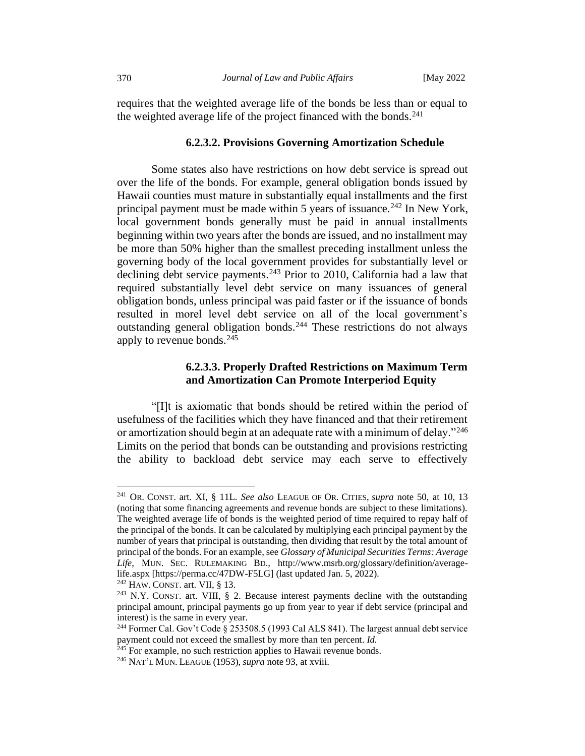requires that the weighted average life of the bonds be less than or equal to the weighted average life of the project financed with the bonds. $^{241}$ 

# **6.2.3.2. Provisions Governing Amortization Schedule**

Some states also have restrictions on how debt service is spread out over the life of the bonds. For example, general obligation bonds issued by Hawaii counties must mature in substantially equal installments and the first principal payment must be made within 5 years of issuance.<sup>242</sup> In New York, local government bonds generally must be paid in annual installments beginning within two years after the bonds are issued, and no installment may be more than 50% higher than the smallest preceding installment unless the governing body of the local government provides for substantially level or declining debt service payments.<sup>243</sup> Prior to 2010, California had a law that required substantially level debt service on many issuances of general obligation bonds, unless principal was paid faster or if the issuance of bonds resulted in morel level debt service on all of the local government's outstanding general obligation bonds.<sup>244</sup> These restrictions do not always apply to revenue bonds.<sup>245</sup>

# **6.2.3.3. Properly Drafted Restrictions on Maximum Term and Amortization Can Promote Interperiod Equity**

"[I]t is axiomatic that bonds should be retired within the period of usefulness of the facilities which they have financed and that their retirement or amortization should begin at an adequate rate with a minimum of delay."<sup>246</sup> Limits on the period that bonds can be outstanding and provisions restricting the ability to backload debt service may each serve to effectively

<sup>241</sup> OR. CONST. art. XI, § 11L. *See also* LEAGUE OF OR. CITIES, *supra* note 50, at 10, 13 (noting that some financing agreements and revenue bonds are subject to these limitations). The weighted average life of bonds is the weighted period of time required to repay half of the principal of the bonds. It can be calculated by multiplying each principal payment by the number of years that principal is outstanding, then dividing that result by the total amount of principal of the bonds. For an example, see *Glossary of Municipal Securities Terms: Average Life*, MUN. SEC. RULEMAKING BD., http://www.msrb.org/glossary/definition/averagelife.aspx [https://perma.cc/47DW-F5LG] (last updated Jan. 5, 2022).

 $242$  HAW. CONST. art. VII, § 13.

<sup>243</sup> N.Y. CONST. art. VIII, § 2. Because interest payments decline with the outstanding principal amount, principal payments go up from year to year if debt service (principal and interest) is the same in every year.

<sup>&</sup>lt;sup>244</sup> Former Cal. Gov't Code § 253508.5 (1993 Cal ALS 841). The largest annual debt service payment could not exceed the smallest by more than ten percent. *Id.*

<sup>&</sup>lt;sup>245</sup> For example, no such restriction applies to Hawaii revenue bonds.

<sup>246</sup> NAT'L MUN. LEAGUE (1953), *supra* note 93, at xviii.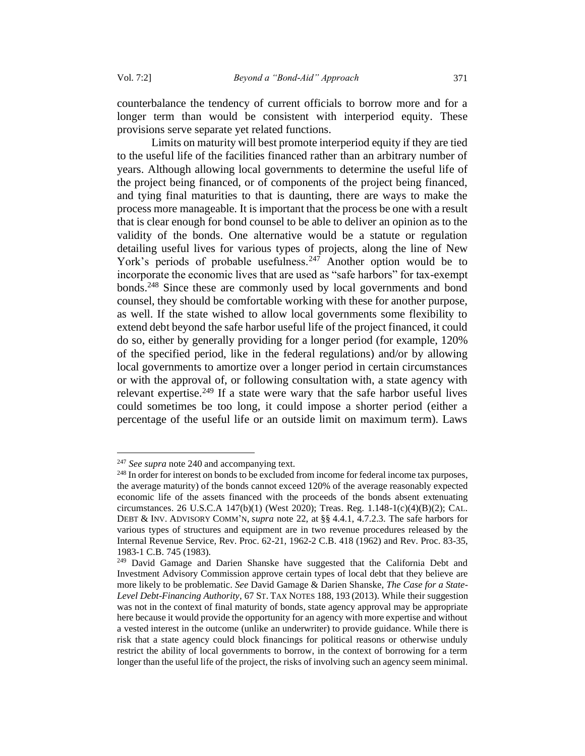counterbalance the tendency of current officials to borrow more and for a longer term than would be consistent with interperiod equity. These provisions serve separate yet related functions.

Limits on maturity will best promote interperiod equity if they are tied to the useful life of the facilities financed rather than an arbitrary number of years. Although allowing local governments to determine the useful life of the project being financed, or of components of the project being financed, and tying final maturities to that is daunting, there are ways to make the process more manageable. It is important that the process be one with a result that is clear enough for bond counsel to be able to deliver an opinion as to the validity of the bonds. One alternative would be a statute or regulation detailing useful lives for various types of projects, along the line of New York's periods of probable usefulness.<sup>247</sup> Another option would be to incorporate the economic lives that are used as "safe harbors" for tax-exempt bonds.<sup>248</sup> Since these are commonly used by local governments and bond counsel, they should be comfortable working with these for another purpose, as well. If the state wished to allow local governments some flexibility to extend debt beyond the safe harbor useful life of the project financed, it could do so, either by generally providing for a longer period (for example, 120% of the specified period, like in the federal regulations) and/or by allowing local governments to amortize over a longer period in certain circumstances or with the approval of, or following consultation with, a state agency with relevant expertise.<sup>249</sup> If a state were wary that the safe harbor useful lives could sometimes be too long, it could impose a shorter period (either a percentage of the useful life or an outside limit on maximum term). Laws

<span id="page-56-0"></span><sup>247</sup> *See supra* not[e 240](#page-54-0) and accompanying text.

<sup>&</sup>lt;sup>248</sup> In order for interest on bonds to be excluded from income for federal income tax purposes, the average maturity) of the bonds cannot exceed 120% of the average reasonably expected economic life of the assets financed with the proceeds of the bonds absent extenuating circumstances. 26 U.S.C.A 147(b)(1) (West 2020); Treas. Reg. 1.148-1(c)(4)(B)(2); CAL. DEBT & INV. ADVISORY COMM'N, *supra* note 22, at §§ 4.4.1, 4.7.2.3. The safe harbors for various types of structures and equipment are in two revenue procedures released by the Internal Revenue Service, Rev. Proc. 62-21, 1962-2 C.B. 418 (1962) and Rev. Proc. 83-35, 1983-1 C.B. 745 (1983).

<sup>&</sup>lt;sup>249</sup> David Gamage and Darien Shanske have suggested that the California Debt and Investment Advisory Commission approve certain types of local debt that they believe are more likely to be problematic. *See* David Gamage & Darien Shanske, *The Case for a State-Level Debt-Financing Authority*, 67 ST. TAX NOTES 188, 193 (2013). While their suggestion was not in the context of final maturity of bonds, state agency approval may be appropriate here because it would provide the opportunity for an agency with more expertise and without a vested interest in the outcome (unlike an underwriter) to provide guidance. While there is risk that a state agency could block financings for political reasons or otherwise unduly restrict the ability of local governments to borrow, in the context of borrowing for a term longer than the useful life of the project, the risks of involving such an agency seem minimal.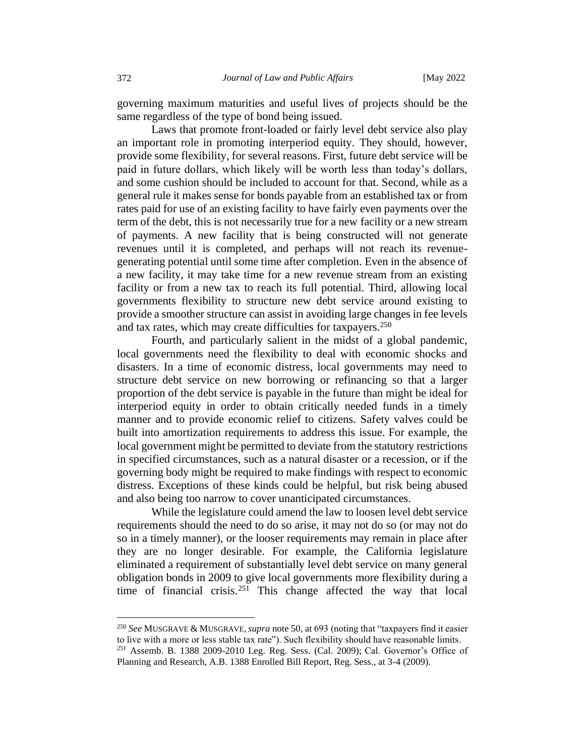governing maximum maturities and useful lives of projects should be the same regardless of the type of bond being issued.

Laws that promote front-loaded or fairly level debt service also play an important role in promoting interperiod equity. They should, however, provide some flexibility, for several reasons. First, future debt service will be paid in future dollars, which likely will be worth less than today's dollars, and some cushion should be included to account for that. Second, while as a general rule it makes sense for bonds payable from an established tax or from rates paid for use of an existing facility to have fairly even payments over the term of the debt, this is not necessarily true for a new facility or a new stream of payments. A new facility that is being constructed will not generate revenues until it is completed, and perhaps will not reach its revenuegenerating potential until some time after completion. Even in the absence of a new facility, it may take time for a new revenue stream from an existing facility or from a new tax to reach its full potential. Third, allowing local governments flexibility to structure new debt service around existing to provide a smoother structure can assist in avoiding large changes in fee levels and tax rates, which may create difficulties for taxpayers.<sup>250</sup>

Fourth, and particularly salient in the midst of a global pandemic, local governments need the flexibility to deal with economic shocks and disasters. In a time of economic distress, local governments may need to structure debt service on new borrowing or refinancing so that a larger proportion of the debt service is payable in the future than might be ideal for interperiod equity in order to obtain critically needed funds in a timely manner and to provide economic relief to citizens. Safety valves could be built into amortization requirements to address this issue. For example, the local government might be permitted to deviate from the statutory restrictions in specified circumstances, such as a natural disaster or a recession, or if the governing body might be required to make findings with respect to economic distress. Exceptions of these kinds could be helpful, but risk being abused and also being too narrow to cover unanticipated circumstances.

While the legislature could amend the law to loosen level debt service requirements should the need to do so arise, it may not do so (or may not do so in a timely manner), or the looser requirements may remain in place after they are no longer desirable. For example, the California legislature eliminated a requirement of substantially level debt service on many general obligation bonds in 2009 to give local governments more flexibility during a time of financial crisis.<sup>251</sup> This change affected the way that local

<sup>250</sup> *See* MUSGRAVE & MUSGRAVE,*supra* note 50, at 693 (noting that "taxpayers find it easier to live with a more or less stable tax rate"). Such flexibility should have reasonable limits.

 $251$  Assemb. B. 1388 2009-2010 Leg. Reg. Sess. (Cal. 2009); Cal. Governor's Office of Planning and Research, A.B. 1388 Enrolled Bill Report, Reg. Sess., at 3-4 (2009).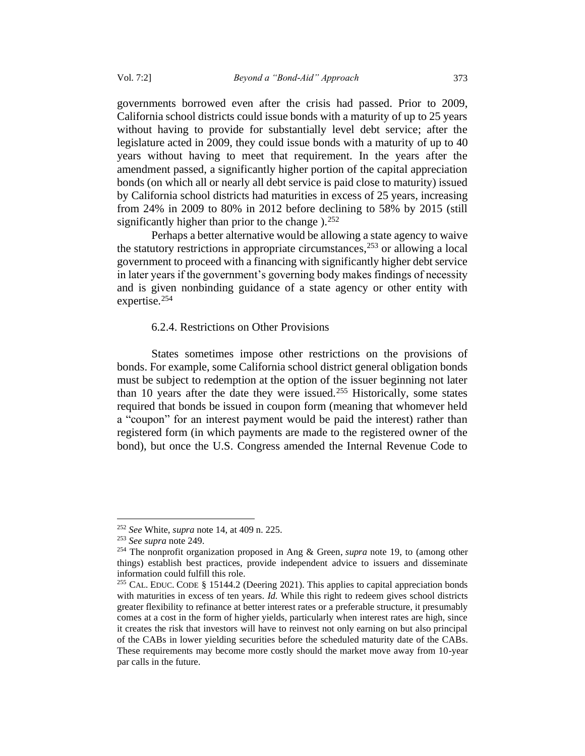governments borrowed even after the crisis had passed. Prior to 2009, California school districts could issue bonds with a maturity of up to 25 years without having to provide for substantially level debt service; after the legislature acted in 2009, they could issue bonds with a maturity of up to 40 years without having to meet that requirement. In the years after the amendment passed, a significantly higher portion of the capital appreciation bonds (on which all or nearly all debt service is paid close to maturity) issued by California school districts had maturities in excess of 25 years, increasing from 24% in 2009 to 80% in 2012 before declining to 58% by 2015 (still significantly higher than prior to the change  $1.252$ 

Perhaps a better alternative would be allowing a state agency to waive the statutory restrictions in appropriate circumstances,  $253$  or allowing a local government to proceed with a financing with significantly higher debt service in later years if the government's governing body makes findings of necessity and is given nonbinding guidance of a state agency or other entity with expertise.<sup>254</sup>

### 6.2.4. Restrictions on Other Provisions

States sometimes impose other restrictions on the provisions of bonds. For example, some California school district general obligation bonds must be subject to redemption at the option of the issuer beginning not later than 10 years after the date they were issued.<sup>255</sup> Historically, some states required that bonds be issued in coupon form (meaning that whomever held a "coupon" for an interest payment would be paid the interest) rather than registered form (in which payments are made to the registered owner of the bond), but once the U.S. Congress amended the Internal Revenue Code to

<sup>252</sup> *See* White, *supra* note 14, at 409 n. 225.

<sup>253</sup> *See supra* not[e 249.](#page-56-0)

<sup>254</sup> The nonprofit organization proposed in Ang & Green, *supra* note 19, to (among other things) establish best practices, provide independent advice to issuers and disseminate information could fulfill this role.

<sup>&</sup>lt;sup>255</sup> CAL. EDUC. CODE § 15144.2 (Deering 2021). This applies to capital appreciation bonds with maturities in excess of ten years. *Id.* While this right to redeem gives school districts greater flexibility to refinance at better interest rates or a preferable structure, it presumably comes at a cost in the form of higher yields, particularly when interest rates are high, since it creates the risk that investors will have to reinvest not only earning on but also principal of the CABs in lower yielding securities before the scheduled maturity date of the CABs. These requirements may become more costly should the market move away from 10-year par calls in the future.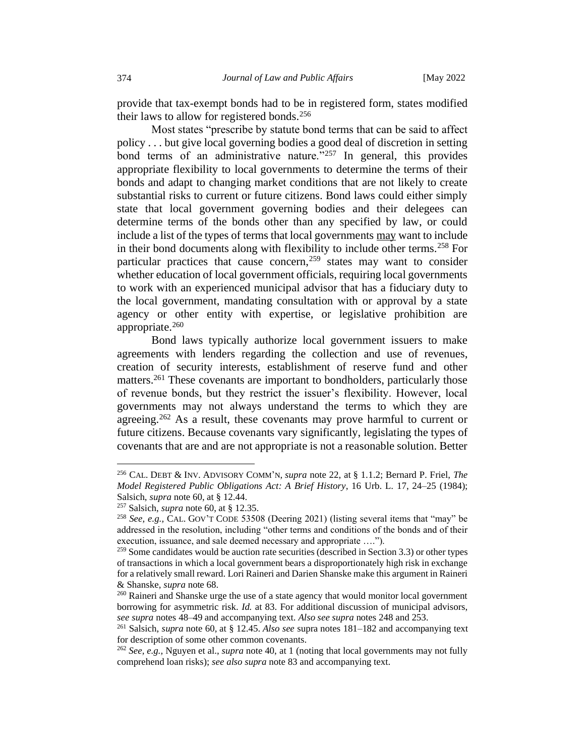provide that tax-exempt bonds had to be in registered form, states modified their laws to allow for registered bonds.<sup>256</sup>

Most states "prescribe by statute bond terms that can be said to affect policy . . . but give local governing bodies a good deal of discretion in setting bond terms of an administrative nature." $257$  In general, this provides appropriate flexibility to local governments to determine the terms of their bonds and adapt to changing market conditions that are not likely to create substantial risks to current or future citizens. Bond laws could either simply state that local government governing bodies and their delegees can determine terms of the bonds other than any specified by law, or could include a list of the types of terms that local governments may want to include in their bond documents along with flexibility to include other terms.<sup>258</sup> For particular practices that cause concern,<sup>259</sup> states may want to consider whether education of local government officials, requiring local governments to work with an experienced municipal advisor that has a fiduciary duty to the local government, mandating consultation with or approval by a state agency or other entity with expertise, or legislative prohibition are appropriate. $260$ 

Bond laws typically authorize local government issuers to make agreements with lenders regarding the collection and use of revenues, creation of security interests, establishment of reserve fund and other matters.<sup>261</sup> These covenants are important to bondholders, particularly those of revenue bonds, but they restrict the issuer's flexibility. However, local governments may not always understand the terms to which they are agreeing.<sup>262</sup> As a result, these covenants may prove harmful to current or future citizens. Because covenants vary significantly, legislating the types of covenants that are and are not appropriate is not a reasonable solution. Better

<sup>256</sup> CAL. DEBT & INV. ADVISORY COMM'N, *supra* note 22, at § 1.1.2; Bernard P. Friel, *The Model Registered Public Obligations Act: A Brief History*, 16 Urb. L. 17, 24–25 (1984); Salsich, *supra* note 60, at § 12.44.

<sup>257</sup> Salsich, *supra* note 60, at § 12.35.

<sup>258</sup> *See, e.g.,* CAL. GOV'T CODE 53508 (Deering 2021) (listing several items that "may" be addressed in the resolution, including "other terms and conditions of the bonds and of their execution, issuance, and sale deemed necessary and appropriate ….").

 $259$  Some candidates would be auction rate securities (described in Section 3.3) or other types of transactions in which a local government bears a disproportionately high risk in exchange for a relatively small reward. Lori Raineri and Darien Shanske make this argument in Raineri & Shanske, *supra* note 68.

<sup>&</sup>lt;sup>260</sup> Raineri and Shanske urge the use of a state agency that would monitor local government borrowing for asymmetric risk. *Id.* at 83. For additional discussion of municipal advisors, *see supra* notes 48–49 and accompanying text. *Also see supra* notes 248 and 253.

<sup>261</sup> Salsich, *supra* note 60, at § 12.45. *Also see* supra notes 181–182 and accompanying text for description of some other common covenants.

<sup>262</sup> *See, e.g.,* Nguyen et al., *supra* note 40, at 1 (noting that local governments may not fully comprehend loan risks); *see also supra* note 83 and accompanying text.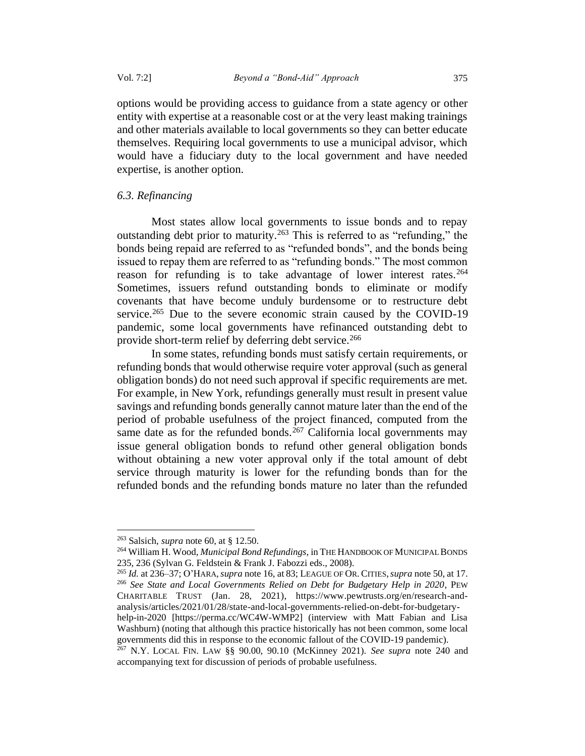options would be providing access to guidance from a state agency or other entity with expertise at a reasonable cost or at the very least making trainings and other materials available to local governments so they can better educate themselves. Requiring local governments to use a municipal advisor, which would have a fiduciary duty to the local government and have needed expertise, is another option.

## *6.3. Refinancing*

Most states allow local governments to issue bonds and to repay outstanding debt prior to maturity.<sup>263</sup> This is referred to as "refunding," the bonds being repaid are referred to as "refunded bonds", and the bonds being issued to repay them are referred to as "refunding bonds." The most common reason for refunding is to take advantage of lower interest rates.<sup>264</sup> Sometimes, issuers refund outstanding bonds to eliminate or modify covenants that have become unduly burdensome or to restructure debt service.<sup>265</sup> Due to the severe economic strain caused by the COVID-19 pandemic, some local governments have refinanced outstanding debt to provide short-term relief by deferring debt service.<sup>266</sup>

In some states, refunding bonds must satisfy certain requirements, or refunding bonds that would otherwise require voter approval (such as general obligation bonds) do not need such approval if specific requirements are met. For example, in New York, refundings generally must result in present value savings and refunding bonds generally cannot mature later than the end of the period of probable usefulness of the project financed, computed from the same date as for the refunded bonds.<sup>267</sup> California local governments may issue general obligation bonds to refund other general obligation bonds without obtaining a new voter approval only if the total amount of debt service through maturity is lower for the refunding bonds than for the refunded bonds and the refunding bonds mature no later than the refunded

<sup>265</sup> *Id.* at 236–37; O'HARA,*supra* note 16, at 83; LEAGUE OF OR. CITIES,*supra* note 50, at 17. <sup>266</sup> *See State and Local Governments Relied on Debt for Budgetary Help in 2020*, PEW CHARITABLE TRUST (Jan. 28, 2021), https://www.pewtrusts.org/en/research-andanalysis/articles/2021/01/28/state-and-local-governments-relied-on-debt-for-budgetary-

help-in-2020 [https://perma.cc/WC4W-WMP2] (interview with Matt Fabian and Lisa Washburn) (noting that although this practice historically has not been common, some local governments did this in response to the economic fallout of the COVID-19 pandemic).

<sup>263</sup> Salsich, *supra* note 60, at § 12.50.

<sup>264</sup> William H. Wood, *Municipal Bond Refundings*, in THE HANDBOOK OF MUNICIPAL BONDS 235, 236 (Sylvan G. Feldstein & Frank J. Fabozzi eds., 2008).

<sup>267</sup> N.Y. LOCAL FIN. LAW §§ 90.00, 90.10 (McKinney 2021). *See supra* note [240](#page-54-0) and accompanying text for discussion of periods of probable usefulness.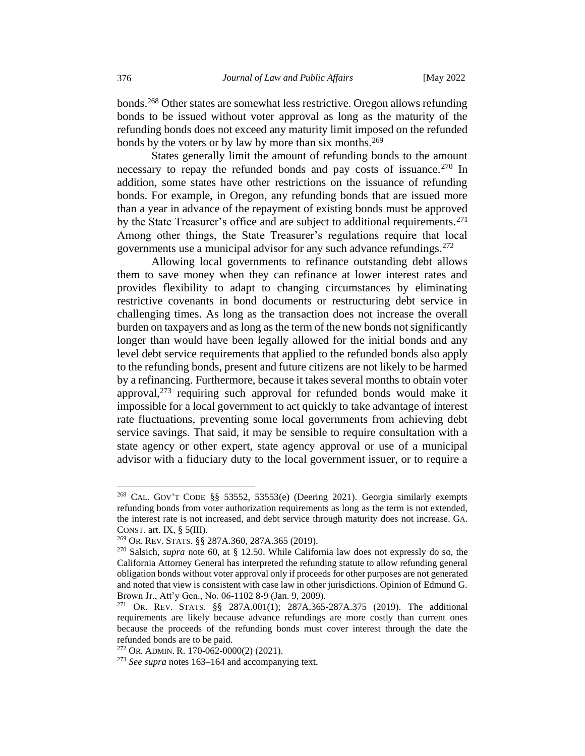bonds.<sup>268</sup> Other states are somewhat less restrictive. Oregon allows refunding bonds to be issued without voter approval as long as the maturity of the refunding bonds does not exceed any maturity limit imposed on the refunded bonds by the voters or by law by more than six months.<sup>269</sup>

States generally limit the amount of refunding bonds to the amount necessary to repay the refunded bonds and pay costs of issuance.<sup>270</sup> In addition, some states have other restrictions on the issuance of refunding bonds. For example, in Oregon, any refunding bonds that are issued more than a year in advance of the repayment of existing bonds must be approved by the State Treasurer's office and are subject to additional requirements.<sup>271</sup> Among other things, the State Treasurer's regulations require that local governments use a municipal advisor for any such advance refundings.<sup>272</sup>

Allowing local governments to refinance outstanding debt allows them to save money when they can refinance at lower interest rates and provides flexibility to adapt to changing circumstances by eliminating restrictive covenants in bond documents or restructuring debt service in challenging times. As long as the transaction does not increase the overall burden on taxpayers and as long as the term of the new bonds not significantly longer than would have been legally allowed for the initial bonds and any level debt service requirements that applied to the refunded bonds also apply to the refunding bonds, present and future citizens are not likely to be harmed by a refinancing. Furthermore, because it takes several months to obtain voter approval, $273$  requiring such approval for refunded bonds would make it impossible for a local government to act quickly to take advantage of interest rate fluctuations, preventing some local governments from achieving debt service savings. That said, it may be sensible to require consultation with a state agency or other expert, state agency approval or use of a municipal advisor with a fiduciary duty to the local government issuer, or to require a

<sup>268</sup> CAL. GOV'T CODE §§ 53552, 53553(e) (Deering 2021). Georgia similarly exempts refunding bonds from voter authorization requirements as long as the term is not extended, the interest rate is not increased, and debt service through maturity does not increase. GA. CONST. art. IX,  $\S$  5(III).

<sup>269</sup> OR. REV.STATS. §§ 287A.360, 287A.365 (2019).

<sup>270</sup> Salsich, *supra* note 60, at § 12.50. While California law does not expressly do so, the California Attorney General has interpreted the refunding statute to allow refunding general obligation bonds without voter approval only if proceeds for other purposes are not generated and noted that view is consistent with case law in other jurisdictions. Opinion of Edmund G. Brown Jr., Att'y Gen., No. 06-1102 8-9 (Jan. 9, 2009).

<sup>271</sup> OR. REV. STATS. §§ 287A.001(1); 287A.365-287A.375 (2019). The additional requirements are likely because advance refundings are more costly than current ones because the proceeds of the refunding bonds must cover interest through the date the refunded bonds are to be paid.

<sup>272</sup> OR. ADMIN. R. 170-062-0000(2) (2021).

<sup>273</sup> *See supra* notes [163](#page-39-0)[–164](#page-39-1) and accompanying text.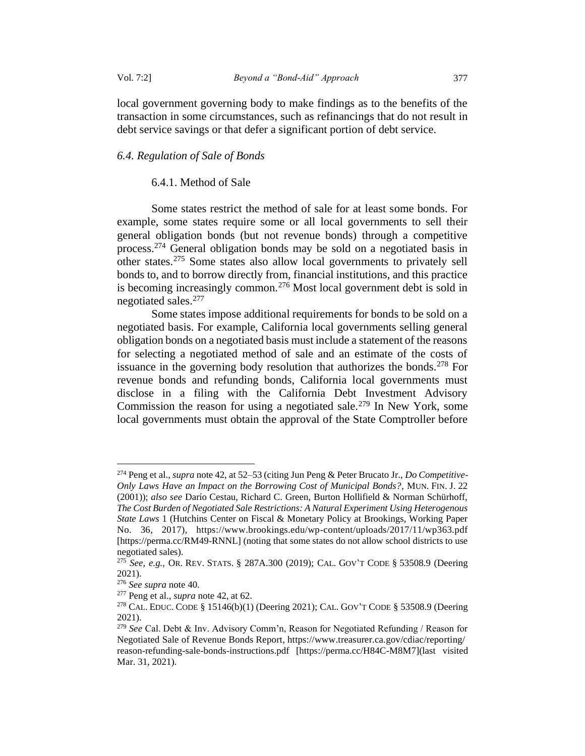local government governing body to make findings as to the benefits of the transaction in some circumstances, such as refinancings that do not result in debt service savings or that defer a significant portion of debt service.

### *6.4. Regulation of Sale of Bonds*

### 6.4.1. Method of Sale

<span id="page-62-0"></span>Some states restrict the method of sale for at least some bonds. For example, some states require some or all local governments to sell their general obligation bonds (but not revenue bonds) through a competitive process.<sup>274</sup> General obligation bonds may be sold on a negotiated basis in other states.<sup>275</sup> Some states also allow local governments to privately sell bonds to, and to borrow directly from, financial institutions, and this practice is becoming increasingly common.<sup>276</sup> Most local government debt is sold in negotiated sales.<sup>277</sup>

Some states impose additional requirements for bonds to be sold on a negotiated basis. For example, California local governments selling general obligation bonds on a negotiated basis must include a statement of the reasons for selecting a negotiated method of sale and an estimate of the costs of issuance in the governing body resolution that authorizes the bonds.<sup>278</sup> For revenue bonds and refunding bonds, California local governments must disclose in a filing with the California Debt Investment Advisory Commission the reason for using a negotiated sale.<sup>279</sup> In New York, some local governments must obtain the approval of the State Comptroller before

<sup>274</sup> Peng et al., *supra* note 42, at 52–53 (citing Jun Peng & Peter Brucato Jr., *Do Competitive-Only Laws Have an Impact on the Borrowing Cost of Municipal Bonds?*, MUN. FIN. J. 22 (2001)); *also see* Darío Cestau, Richard C. Green, Burton Hollifield & Norman Schürhoff, *The Cost Burden of Negotiated Sale Restrictions: A Natural Experiment Using Heterogenous State Laws* 1 (Hutchins Center on Fiscal & Monetary Policy at Brookings, Working Paper No. 36, 2017), https://www.brookings.edu/wp-content/uploads/2017/11/wp363.pdf [https://perma.cc/RM49-RNNL] (noting that some states do not allow school districts to use negotiated sales).

<sup>275</sup> *See, e.g.,* OR. REV. STATS. § 287A.300 (2019); CAL. GOV'T CODE § 53508.9 (Deering 2021).

<sup>276</sup> *See supra* note 40.

<sup>277</sup> Peng et al., *supra* note 42, at 62.

<sup>278</sup> CAL. EDUC. CODE § 15146(b)(1) (Deering 2021); CAL. GOV'T CODE § 53508.9 (Deering 2021).

<sup>279</sup> *See* Cal. Debt & Inv. Advisory Comm'n, Reason for Negotiated Refunding / Reason for Negotiated Sale of Revenue Bonds Report, https://www.treasurer.ca.gov/cdiac/reporting/ reason-refunding-sale-bonds-instructions.pdf [https://perma.cc/H84C-M8M7](last visited Mar. 31, 2021).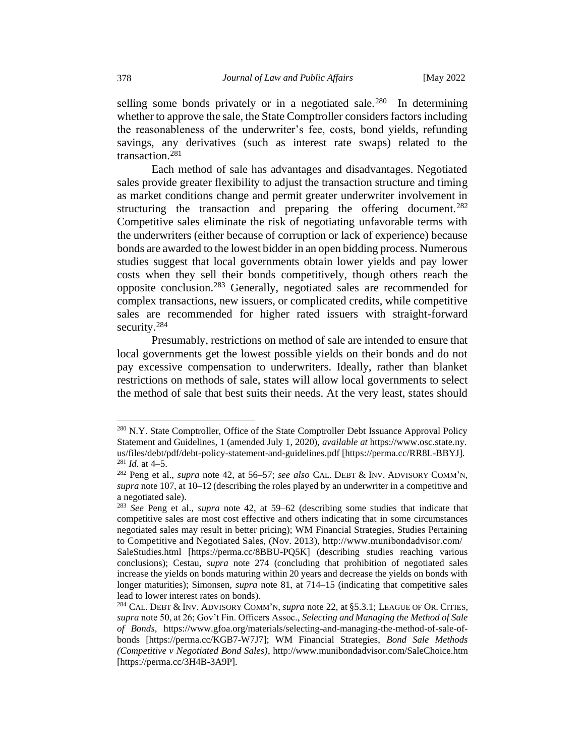selling some bonds privately or in a negotiated sale.<sup>280</sup> In determining whether to approve the sale, the State Comptroller considers factors including the reasonableness of the underwriter's fee, costs, bond yields, refunding savings, any derivatives (such as interest rate swaps) related to the transaction.<sup>281</sup>

Each method of sale has advantages and disadvantages. Negotiated sales provide greater flexibility to adjust the transaction structure and timing as market conditions change and permit greater underwriter involvement in structuring the transaction and preparing the offering document.<sup>282</sup> Competitive sales eliminate the risk of negotiating unfavorable terms with the underwriters (either because of corruption or lack of experience) because bonds are awarded to the lowest bidder in an open bidding process. Numerous studies suggest that local governments obtain lower yields and pay lower costs when they sell their bonds competitively, though others reach the opposite conclusion.<sup>283</sup> Generally, negotiated sales are recommended for complex transactions, new issuers, or complicated credits, while competitive sales are recommended for higher rated issuers with straight-forward security.<sup>284</sup>

<span id="page-63-0"></span>Presumably, restrictions on method of sale are intended to ensure that local governments get the lowest possible yields on their bonds and do not pay excessive compensation to underwriters. Ideally, rather than blanket restrictions on methods of sale, states will allow local governments to select the method of sale that best suits their needs. At the very least, states should

<sup>&</sup>lt;sup>280</sup> N.Y. State Comptroller, Office of the State Comptroller Debt Issuance Approval Policy Statement and Guidelines, 1 (amended July 1, 2020), *available at* https://www.osc.state.ny. us/files/debt/pdf/debt-policy-statement-and-guidelines.pdf [https://perma.cc/RR8L-BBYJ].  $281$  *Id.* at 4–5.

<sup>282</sup> Peng et al., *supra* note 42, at 56–57; *see also* CAL. DEBT & INV. ADVISORY COMM'N, *supra* note 107, at 10–12 (describing the roles played by an underwriter in a competitive and a negotiated sale).

<sup>283</sup> *See* Peng et al., *supra* note [42,](#page-11-0) at 59–62 (describing some studies that indicate that competitive sales are most cost effective and others indicating that in some circumstances negotiated sales may result in better pricing); WM Financial Strategies, Studies Pertaining to Competitive and Negotiated Sales, (Nov. 2013), http://www.munibondadvisor.com/ SaleStudies.html [https://perma.cc/8BBU-PQ5K] (describing studies reaching various

conclusions); Cestau, *supra* note [274](#page-62-0) (concluding that prohibition of negotiated sales increase the yields on bonds maturing within 20 years and decrease the yields on bonds with longer maturities); Simonsen, *supra* note 81, at 714–15 (indicating that competitive sales lead to lower interest rates on bonds).

<sup>284</sup> CAL. DEBT & INV. ADVISORY COMM'N, *supra* note 22, at §5.3.1; LEAGUE OF OR. CITIES, *supra* note 50, at 26; Gov't Fin. Officers Assoc., *Selecting and Managing the Method of Sale of Bonds*, https://www.gfoa.org/materials/selecting-and-managing-the-method-of-sale-ofbonds [https://perma.cc/KGB7-W7J7]; WM Financial Strategies, *Bond Sale Methods (Competitive v Negotiated Bond Sales)*, http://www.munibondadvisor.com/SaleChoice.htm [https://perma.cc/3H4B-3A9P].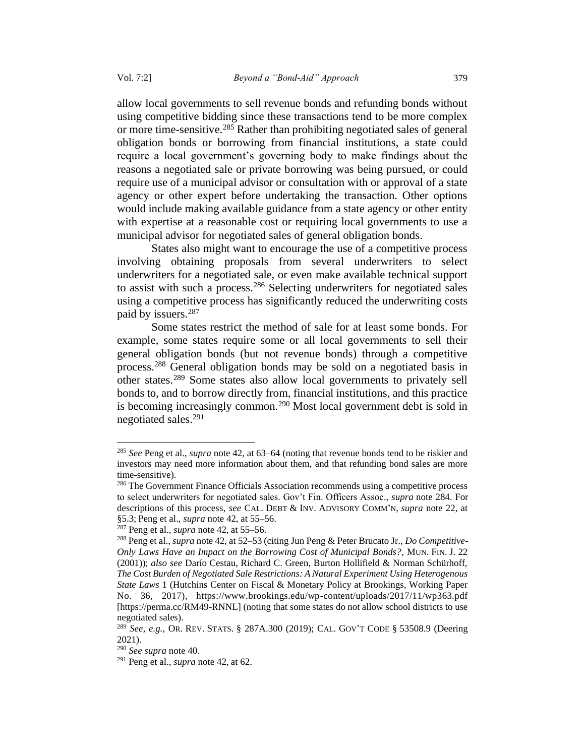allow local governments to sell revenue bonds and refunding bonds without using competitive bidding since these transactions tend to be more complex or more time-sensitive.<sup>285</sup> Rather than prohibiting negotiated sales of general obligation bonds or borrowing from financial institutions, a state could require a local government's governing body to make findings about the reasons a negotiated sale or private borrowing was being pursued, or could require use of a municipal advisor or consultation with or approval of a state agency or other expert before undertaking the transaction. Other options would include making available guidance from a state agency or other entity with expertise at a reasonable cost or requiring local governments to use a municipal advisor for negotiated sales of general obligation bonds.

States also might want to encourage the use of a competitive process involving obtaining proposals from several underwriters to select underwriters for a negotiated sale, or even make available technical support to assist with such a process.<sup>286</sup> Selecting underwriters for negotiated sales using a competitive process has significantly reduced the underwriting costs paid by issuers.<sup>287</sup>

Some states restrict the method of sale for at least some bonds. For example, some states require some or all local governments to sell their general obligation bonds (but not revenue bonds) through a competitive process.<sup>288</sup> General obligation bonds may be sold on a negotiated basis in other states.<sup>289</sup> Some states also allow local governments to privately sell bonds to, and to borrow directly from, financial institutions, and this practice is becoming increasingly common.<sup>290</sup> Most local government debt is sold in negotiated sales.<sup>291</sup>

<sup>285</sup> *See* Peng et al., *supra* note 42, at 63–64 (noting that revenue bonds tend to be riskier and investors may need more information about them, and that refunding bond sales are more time-sensitive).

<sup>&</sup>lt;sup>286</sup> The Government Finance Officials Association recommends using a competitive process to select underwriters for negotiated sales. Gov't Fin. Officers Assoc., *supra* note [284.](#page-63-0) For descriptions of this process, *see* CAL. DEBT & INV. ADVISORY COMM'N, *supra* note [22,](#page-8-0) at §5.3;Peng et al., *supra* not[e 42,](#page-11-0) at 55–56.

<sup>287</sup> Peng et al., *supra* note 42, at 55–56.

<sup>288</sup> Peng et al., *supra* note 42, at 52–53 (citing Jun Peng & Peter Brucato Jr., *Do Competitive-Only Laws Have an Impact on the Borrowing Cost of Municipal Bonds?*, MUN. FIN. J. 22 (2001)); *also see* Darío Cestau, Richard C. Green, Burton Hollifield & Norman Schürhoff, *The Cost Burden of Negotiated Sale Restrictions: A Natural Experiment Using Heterogenous State Laws* 1 (Hutchins Center on Fiscal & Monetary Policy at Brookings, Working Paper No. 36, 2017), https://www.brookings.edu/wp-content/uploads/2017/11/wp363.pdf [https://perma.cc/RM49-RNNL] (noting that some states do not allow school districts to use negotiated sales).

<sup>289</sup> *See, e.g.,* OR. REV. STATS. § 287A.300 (2019); CAL. GOV'T CODE § 53508.9 (Deering 2021).

<sup>290</sup> *See supra* note 40.

<sup>291</sup> Peng et al., *supra* note 42, at 62.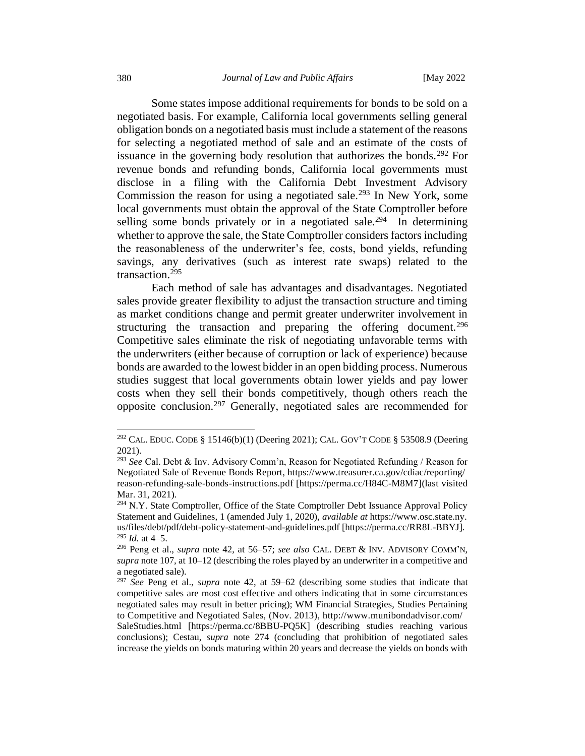Some states impose additional requirements for bonds to be sold on a negotiated basis. For example, California local governments selling general obligation bonds on a negotiated basis must include a statement of the reasons for selecting a negotiated method of sale and an estimate of the costs of issuance in the governing body resolution that authorizes the bonds.<sup>292</sup> For revenue bonds and refunding bonds, California local governments must disclose in a filing with the California Debt Investment Advisory Commission the reason for using a negotiated sale.<sup>293</sup> In New York, some local governments must obtain the approval of the State Comptroller before selling some bonds privately or in a negotiated sale.<sup>294</sup> In determining whether to approve the sale, the State Comptroller considers factors including the reasonableness of the underwriter's fee, costs, bond yields, refunding savings, any derivatives (such as interest rate swaps) related to the transaction.<sup>295</sup>

Each method of sale has advantages and disadvantages. Negotiated sales provide greater flexibility to adjust the transaction structure and timing as market conditions change and permit greater underwriter involvement in structuring the transaction and preparing the offering document.<sup>296</sup> Competitive sales eliminate the risk of negotiating unfavorable terms with the underwriters (either because of corruption or lack of experience) because bonds are awarded to the lowest bidder in an open bidding process. Numerous studies suggest that local governments obtain lower yields and pay lower costs when they sell their bonds competitively, though others reach the opposite conclusion.<sup>297</sup> Generally, negotiated sales are recommended for

<sup>292</sup> CAL. EDUC. CODE § 15146(b)(1) (Deering 2021); CAL. GOV'T CODE § 53508.9 (Deering 2021).

<sup>293</sup> *See* Cal. Debt & Inv. Advisory Comm'n, Reason for Negotiated Refunding / Reason for Negotiated Sale of Revenue Bonds Report, https://www.treasurer.ca.gov/cdiac/reporting/ reason-refunding-sale-bonds-instructions.pdf [https://perma.cc/H84C-M8M7](last visited Mar. 31, 2021).

<sup>&</sup>lt;sup>294</sup> N.Y. State Comptroller, Office of the State Comptroller Debt Issuance Approval Policy Statement and Guidelines, 1 (amended July 1, 2020), *available at* https://www.osc.state.ny. us/files/debt/pdf/debt-policy-statement-and-guidelines.pdf [https://perma.cc/RR8L-BBYJ]. <sup>295</sup> *Id.* at 4–5.

<sup>296</sup> Peng et al., *supra* note 42, at 56–57; *see also* CAL. DEBT & INV. ADVISORY COMM'N, *supra* note 107, at 10–12 (describing the roles played by an underwriter in a competitive and a negotiated sale).

<sup>297</sup> *See* Peng et al., *supra* note [42,](#page-11-0) at 59–62 (describing some studies that indicate that competitive sales are most cost effective and others indicating that in some circumstances negotiated sales may result in better pricing); WM Financial Strategies, Studies Pertaining to Competitive and Negotiated Sales, (Nov. 2013), http://www.munibondadvisor.com/ SaleStudies.html [https://perma.cc/8BBU-PQ5K] (describing studies reaching various conclusions); Cestau, *supra* note [274](#page-62-0) (concluding that prohibition of negotiated sales increase the yields on bonds maturing within 20 years and decrease the yields on bonds with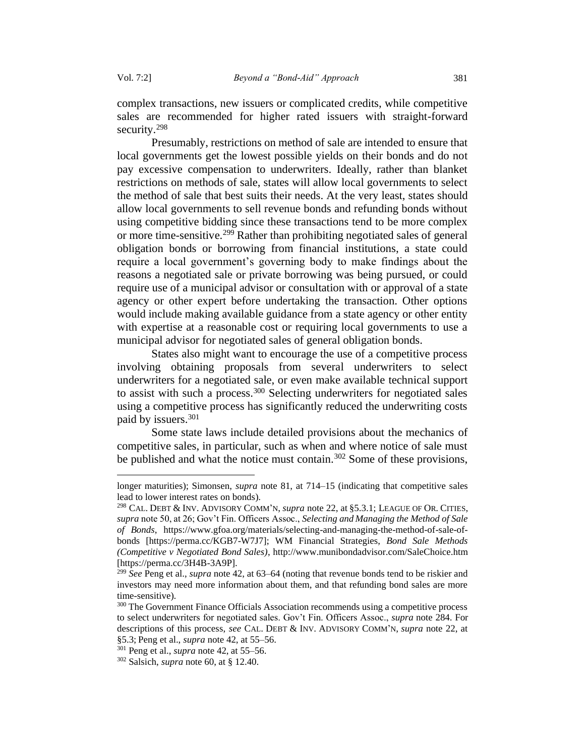complex transactions, new issuers or complicated credits, while competitive sales are recommended for higher rated issuers with straight-forward security.<sup>298</sup>

Presumably, restrictions on method of sale are intended to ensure that local governments get the lowest possible yields on their bonds and do not pay excessive compensation to underwriters. Ideally, rather than blanket restrictions on methods of sale, states will allow local governments to select the method of sale that best suits their needs. At the very least, states should allow local governments to sell revenue bonds and refunding bonds without using competitive bidding since these transactions tend to be more complex or more time-sensitive.<sup>299</sup> Rather than prohibiting negotiated sales of general obligation bonds or borrowing from financial institutions, a state could require a local government's governing body to make findings about the reasons a negotiated sale or private borrowing was being pursued, or could require use of a municipal advisor or consultation with or approval of a state agency or other expert before undertaking the transaction. Other options would include making available guidance from a state agency or other entity with expertise at a reasonable cost or requiring local governments to use a municipal advisor for negotiated sales of general obligation bonds.

States also might want to encourage the use of a competitive process involving obtaining proposals from several underwriters to select underwriters for a negotiated sale, or even make available technical support to assist with such a process.<sup>300</sup> Selecting underwriters for negotiated sales using a competitive process has significantly reduced the underwriting costs paid by issuers.<sup>301</sup>

Some state laws include detailed provisions about the mechanics of competitive sales, in particular, such as when and where notice of sale must be published and what the notice must contain.<sup>302</sup> Some of these provisions,

longer maturities); Simonsen, *supra* note 81, at 714–15 (indicating that competitive sales lead to lower interest rates on bonds).

<sup>298</sup> CAL. DEBT & INV. ADVISORY COMM'N, *supra* note 22, at §5.3.1; LEAGUE OF OR. CITIES, *supra* note 50, at 26; Gov't Fin. Officers Assoc., *Selecting and Managing the Method of Sale of Bonds*, https://www.gfoa.org/materials/selecting-and-managing-the-method-of-sale-ofbonds [https://perma.cc/KGB7-W7J7]; WM Financial Strategies, *Bond Sale Methods (Competitive v Negotiated Bond Sales)*, http://www.munibondadvisor.com/SaleChoice.htm [https://perma.cc/3H4B-3A9P].

<sup>299</sup> *See* Peng et al., *supra* note 42, at 63–64 (noting that revenue bonds tend to be riskier and investors may need more information about them, and that refunding bond sales are more time-sensitive).

<sup>&</sup>lt;sup>300</sup> The Government Finance Officials Association recommends using a competitive process to select underwriters for negotiated sales. Gov't Fin. Officers Assoc., *supra* note [284.](#page-63-0) For descriptions of this process, *see* CAL. DEBT & INV. ADVISORY COMM'N, *supra* note [22,](#page-8-0) at §5.3;Peng et al., *supra* not[e 42,](#page-11-0) at 55–56.

<sup>301</sup> Peng et al., *supra* note 42, at 55–56.

<sup>302</sup> Salsich, *supra* note 60, at § 12.40.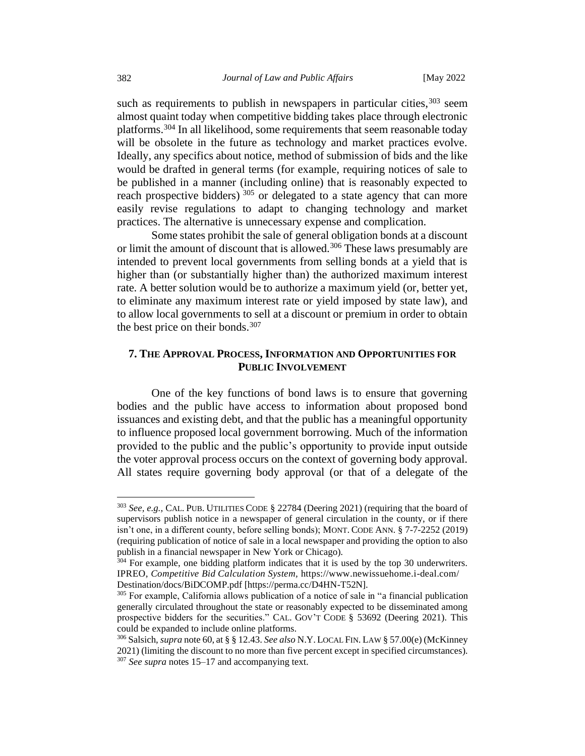such as requirements to publish in newspapers in particular cities,  $303$  seem almost quaint today when competitive bidding takes place through electronic platforms.<sup>304</sup> In all likelihood, some requirements that seem reasonable today will be obsolete in the future as technology and market practices evolve. Ideally, any specifics about notice, method of submission of bids and the like would be drafted in general terms (for example, requiring notices of sale to be published in a manner (including online) that is reasonably expected to reach prospective bidders)<sup>305</sup> or delegated to a state agency that can more easily revise regulations to adapt to changing technology and market practices. The alternative is unnecessary expense and complication.

Some states prohibit the sale of general obligation bonds at a discount or limit the amount of discount that is allowed.<sup>306</sup> These laws presumably are intended to prevent local governments from selling bonds at a yield that is higher than (or substantially higher than) the authorized maximum interest rate. A better solution would be to authorize a maximum yield (or, better yet, to eliminate any maximum interest rate or yield imposed by state law), and to allow local governments to sell at a discount or premium in order to obtain the best price on their bonds. $307$ 

# **7. THE APPROVAL PROCESS, INFORMATION AND OPPORTUNITIES FOR PUBLIC INVOLVEMENT**

One of the key functions of bond laws is to ensure that governing bodies and the public have access to information about proposed bond issuances and existing debt, and that the public has a meaningful opportunity to influence proposed local government borrowing. Much of the information provided to the public and the public's opportunity to provide input outside the voter approval process occurs on the context of governing body approval. All states require governing body approval (or that of a delegate of the

<sup>303</sup> *See, e.g.,* CAL.PUB. UTILITIES CODE § 22784 (Deering 2021) (requiring that the board of supervisors publish notice in a newspaper of general circulation in the county, or if there isn't one, in a different county, before selling bonds); MONT. CODE ANN. § 7-7-2252 (2019) (requiring publication of notice of sale in a local newspaper and providing the option to also publish in a financial newspaper in New York or Chicago).

<sup>&</sup>lt;sup>304</sup> For example, one bidding platform indicates that it is used by the top 30 underwriters. IPREO, *Competitive Bid Calculation System,* https://www.newissuehome.i-deal.com/ Destination/docs/BiDCOMP.pdf [https://perma.cc/D4HN-T52N].

<sup>&</sup>lt;sup>305</sup> For example, California allows publication of a notice of sale in "a financial publication generally circulated throughout the state or reasonably expected to be disseminated among prospective bidders for the securities." CAL. GOV'T CODE § 53692 (Deering 2021). This could be expanded to include online platforms.

<sup>306</sup>Salsich, *supra* note 60, at § § 12.43. *See also* N.Y. LOCAL FIN. LAW § 57.00(e) (McKinney 2021) (limiting the discount to no more than five percent except in specified circumstances). <sup>307</sup> *See supra* notes 15–17 and accompanying text.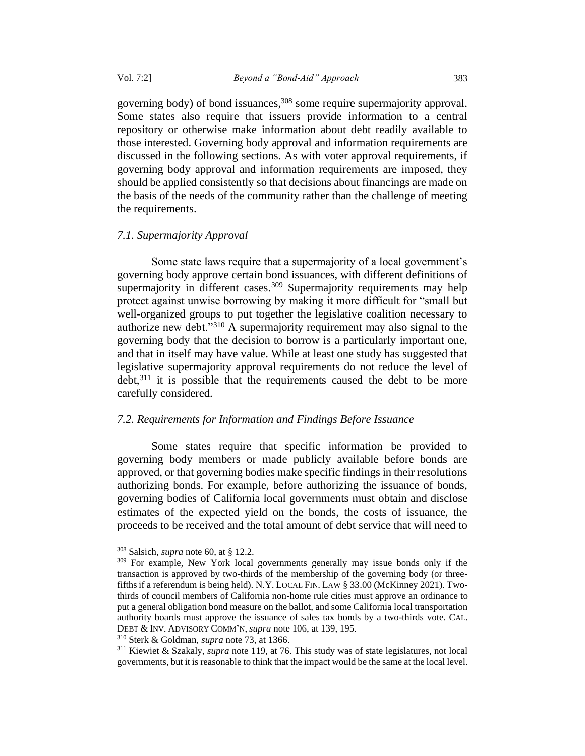governing body) of bond issuances,<sup>308</sup> some require supermajority approval. Some states also require that issuers provide information to a central repository or otherwise make information about debt readily available to those interested. Governing body approval and information requirements are discussed in the following sections. As with voter approval requirements, if governing body approval and information requirements are imposed, they should be applied consistently so that decisions about financings are made on the basis of the needs of the community rather than the challenge of meeting the requirements.

## *7.1. Supermajority Approval*

Some state laws require that a supermajority of a local government's governing body approve certain bond issuances, with different definitions of supermajority in different cases.<sup>309</sup> Supermajority requirements may help protect against unwise borrowing by making it more difficult for "small but well-organized groups to put together the legislative coalition necessary to authorize new debt."<sup>310</sup> A supermajority requirement may also signal to the governing body that the decision to borrow is a particularly important one, and that in itself may have value. While at least one study has suggested that legislative supermajority approval requirements do not reduce the level of  $debt<sub>1</sub><sup>311</sup>$  it is possible that the requirements caused the debt to be more carefully considered.

## *7.2. Requirements for Information and Findings Before Issuance*

Some states require that specific information be provided to governing body members or made publicly available before bonds are approved, or that governing bodies make specific findings in their resolutions authorizing bonds. For example, before authorizing the issuance of bonds, governing bodies of California local governments must obtain and disclose estimates of the expected yield on the bonds, the costs of issuance, the proceeds to be received and the total amount of debt service that will need to

<sup>310</sup> Sterk & Goldman, *supra* note 73, at 1366.

<sup>308</sup> Salsich, *supra* note 60, at § 12.2.

<sup>&</sup>lt;sup>309</sup> For example, New York local governments generally may issue bonds only if the transaction is approved by two-thirds of the membership of the governing body (or threefifthsif a referendum is being held). N.Y. LOCAL FIN. LAW § 33.00 (McKinney 2021). Twothirds of council members of California non-home rule cities must approve an ordinance to put a general obligation bond measure on the ballot, and some California local transportation authority boards must approve the issuance of sales tax bonds by a two-thirds vote. CAL. DEBT & INV. ADVISORY COMM'N, *supra* note 106, at 139, 195.

<sup>311</sup> Kiewiet & Szakaly, *supra* note 119, at 76. This study was of state legislatures, not local governments, but it is reasonable to think that the impact would be the same at the local level.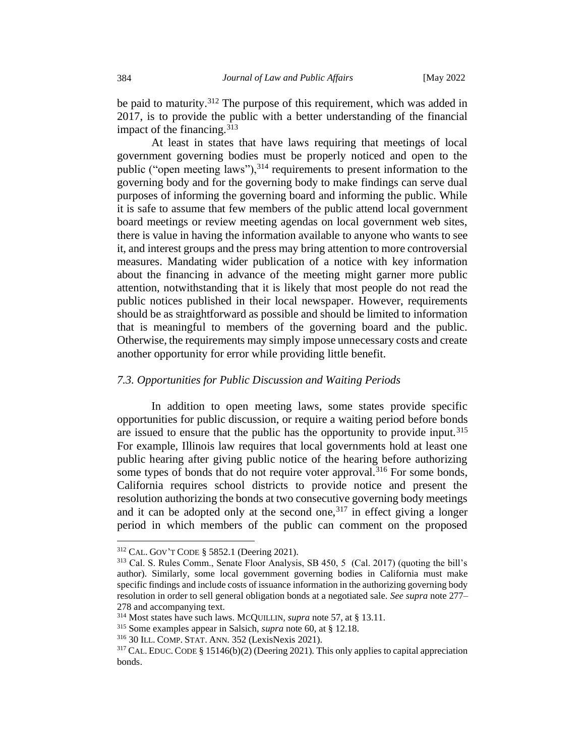be paid to maturity.<sup>312</sup> The purpose of this requirement, which was added in 2017, is to provide the public with a better understanding of the financial impact of the financing.  $313$ 

At least in states that have laws requiring that meetings of local government governing bodies must be properly noticed and open to the public ("open meeting laws"),<sup>314</sup> requirements to present information to the governing body and for the governing body to make findings can serve dual purposes of informing the governing board and informing the public. While it is safe to assume that few members of the public attend local government board meetings or review meeting agendas on local government web sites, there is value in having the information available to anyone who wants to see it, and interest groups and the press may bring attention to more controversial measures. Mandating wider publication of a notice with key information about the financing in advance of the meeting might garner more public attention, notwithstanding that it is likely that most people do not read the public notices published in their local newspaper. However, requirements should be as straightforward as possible and should be limited to information that is meaningful to members of the governing board and the public. Otherwise, the requirements may simply impose unnecessary costs and create another opportunity for error while providing little benefit.

## *7.3. Opportunities for Public Discussion and Waiting Periods*

In addition to open meeting laws, some states provide specific opportunities for public discussion, or require a waiting period before bonds are issued to ensure that the public has the opportunity to provide input.<sup>315</sup> For example, Illinois law requires that local governments hold at least one public hearing after giving public notice of the hearing before authorizing some types of bonds that do not require voter approval.<sup>316</sup> For some bonds, California requires school districts to provide notice and present the resolution authorizing the bonds at two consecutive governing body meetings and it can be adopted only at the second one,  $317$  in effect giving a longer period in which members of the public can comment on the proposed

<sup>312</sup> CAL. GOV'T CODE § 5852.1 (Deering 2021).

<sup>313</sup> Cal. S. Rules Comm., Senate Floor Analysis, SB 450, 5 (Cal. 2017) (quoting the bill's author). Similarly, some local government governing bodies in California must make specific findings and include costs of issuance information in the authorizing governing body resolution in order to sell general obligation bonds at a negotiated sale. *See supra* note 277– 278 and accompanying text.

<sup>314</sup> Most states have such laws. MCQUILLIN, *supra* note 57, at § 13.11.

<sup>315</sup> Some examples appear in Salsich, *supra* note 60, at § 12.18.

<sup>316</sup> 30 ILL. COMP.STAT. ANN. 352 (LexisNexis 2021).

 $317$  CAL. EDUC. CODE § 15146(b)(2) (Deering 2021). This only applies to capital appreciation bonds.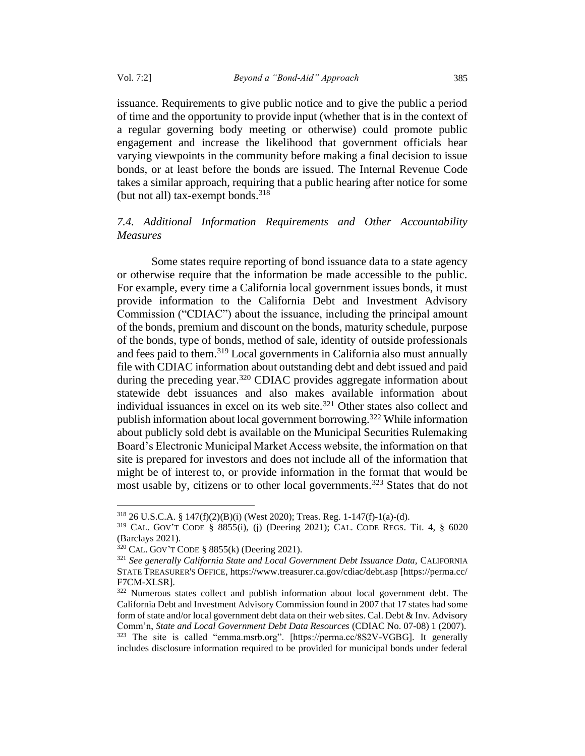issuance. Requirements to give public notice and to give the public a period of time and the opportunity to provide input (whether that is in the context of a regular governing body meeting or otherwise) could promote public engagement and increase the likelihood that government officials hear varying viewpoints in the community before making a final decision to issue bonds, or at least before the bonds are issued. The Internal Revenue Code takes a similar approach, requiring that a public hearing after notice for some (but not all) tax-exempt bonds.  $318$ 

# *7.4. Additional Information Requirements and Other Accountability Measures*

Some states require reporting of bond issuance data to a state agency or otherwise require that the information be made accessible to the public. For example, every time a California local government issues bonds, it must provide information to the California Debt and Investment Advisory Commission ("CDIAC") about the issuance, including the principal amount of the bonds, premium and discount on the bonds, maturity schedule, purpose of the bonds, type of bonds, method of sale, identity of outside professionals and fees paid to them.<sup>319</sup> Local governments in California also must annually file with CDIAC information about outstanding debt and debt issued and paid during the preceding year.<sup>320</sup> CDIAC provides aggregate information about statewide debt issuances and also makes available information about individual issuances in excel on its web site.<sup>321</sup> Other states also collect and publish information about local government borrowing.<sup>322</sup> While information about publicly sold debt is available on the Municipal Securities Rulemaking Board's Electronic Municipal Market Access website, the information on that site is prepared for investors and does not include all of the information that might be of interest to, or provide information in the format that would be most usable by, citizens or to other local governments.<sup>323</sup> States that do not

<sup>318</sup> 26 U.S.C.A. § 147(f)(2)(B)(i) (West 2020); Treas. Reg. 1-147(f)-1(a)-(d).

<sup>319</sup> CAL. GOV'T CODE § 8855(i), (j) (Deering 2021); CAL. CODE REGS. Tit. 4, § 6020 (Barclays 2021).

<sup>320</sup> CAL. GOV'T CODE § 8855(k) (Deering 2021).

<sup>&</sup>lt;sup>321</sup> See generally California State and Local Government Debt Issuance Data, CALIFORNIA STATE TREASURER'S OFFICE, https://www.treasurer.ca.gov/cdiac/debt.asp [https://perma.cc/ F7CM-XLSR].

<sup>322</sup> Numerous states collect and publish information about local government debt. The California Debt and Investment Advisory Commission found in 2007 that 17 states had some form of state and/or local government debt data on their web sites. Cal. Debt & Inv. Advisory Comm'n, *State and Local Government Debt Data Resources* (CDIAC No. 07-08) 1 (2007). <sup>323</sup> The site is called "emma.msrb.org". [https://perma.cc/8S2V-VGBG]. It generally includes disclosure information required to be provided for municipal bonds under federal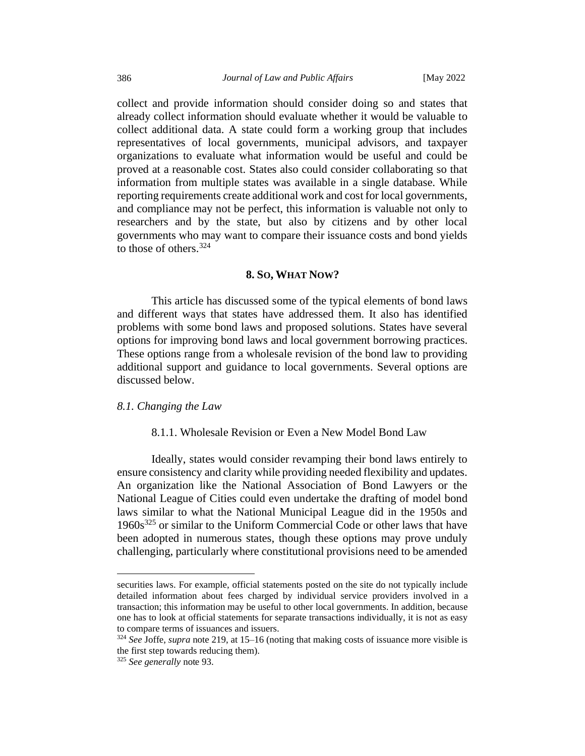collect and provide information should consider doing so and states that already collect information should evaluate whether it would be valuable to collect additional data. A state could form a working group that includes representatives of local governments, municipal advisors, and taxpayer organizations to evaluate what information would be useful and could be proved at a reasonable cost. States also could consider collaborating so that information from multiple states was available in a single database. While reporting requirements create additional work and cost for local governments, and compliance may not be perfect, this information is valuable not only to researchers and by the state, but also by citizens and by other local governments who may want to compare their issuance costs and bond yields to those of others.<sup>324</sup>

## **8. SO, WHAT NOW?**

This article has discussed some of the typical elements of bond laws and different ways that states have addressed them. It also has identified problems with some bond laws and proposed solutions. States have several options for improving bond laws and local government borrowing practices. These options range from a wholesale revision of the bond law to providing additional support and guidance to local governments. Several options are discussed below.

## *8.1. Changing the Law*

## 8.1.1. Wholesale Revision or Even a New Model Bond Law

Ideally, states would consider revamping their bond laws entirely to ensure consistency and clarity while providing needed flexibility and updates. An organization like the National Association of Bond Lawyers or the National League of Cities could even undertake the drafting of model bond laws similar to what the National Municipal League did in the 1950s and  $1960s<sup>325</sup>$  or similar to the Uniform Commercial Code or other laws that have been adopted in numerous states, though these options may prove unduly challenging, particularly where constitutional provisions need to be amended

securities laws. For example, official statements posted on the site do not typically include detailed information about fees charged by individual service providers involved in a transaction; this information may be useful to other local governments. In addition, because one has to look at official statements for separate transactions individually, it is not as easy to compare terms of issuances and issuers.

<sup>324</sup> *See* Joffe, *supra* note 219, at 15–16 (noting that making costs of issuance more visible is the first step towards reducing them).

<sup>325</sup> *See generally* note 93.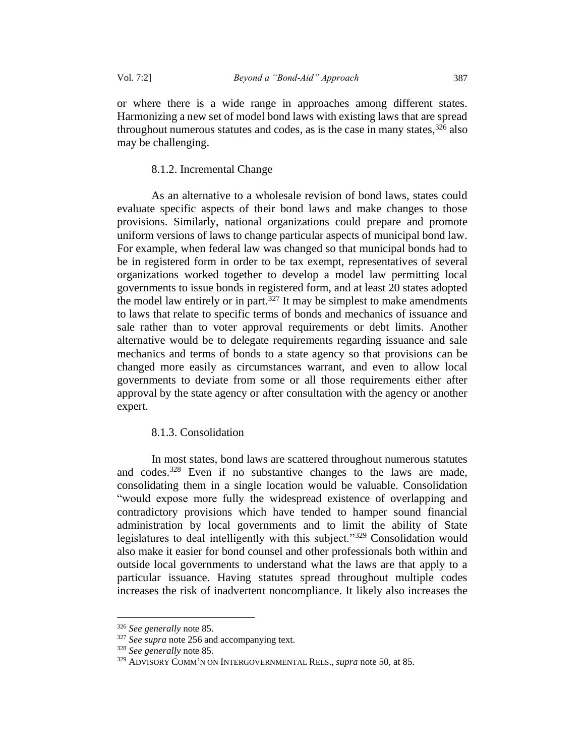or where there is a wide range in approaches among different states. Harmonizing a new set of model bond laws with existing laws that are spread throughout numerous statutes and codes, as is the case in many states,  $326$  also may be challenging.

### 8.1.2. Incremental Change

As an alternative to a wholesale revision of bond laws, states could evaluate specific aspects of their bond laws and make changes to those provisions. Similarly, national organizations could prepare and promote uniform versions of laws to change particular aspects of municipal bond law. For example, when federal law was changed so that municipal bonds had to be in registered form in order to be tax exempt, representatives of several organizations worked together to develop a model law permitting local governments to issue bonds in registered form, and at least 20 states adopted the model law entirely or in part.<sup>327</sup> It may be simplest to make amendments to laws that relate to specific terms of bonds and mechanics of issuance and sale rather than to voter approval requirements or debt limits. Another alternative would be to delegate requirements regarding issuance and sale mechanics and terms of bonds to a state agency so that provisions can be changed more easily as circumstances warrant, and even to allow local governments to deviate from some or all those requirements either after approval by the state agency or after consultation with the agency or another expert.

# 8.1.3. Consolidation

In most states, bond laws are scattered throughout numerous statutes and codes.<sup>328</sup> Even if no substantive changes to the laws are made, consolidating them in a single location would be valuable. Consolidation "would expose more fully the widespread existence of overlapping and contradictory provisions which have tended to hamper sound financial administration by local governments and to limit the ability of State legislatures to deal intelligently with this subject."<sup>329</sup> Consolidation would also make it easier for bond counsel and other professionals both within and outside local governments to understand what the laws are that apply to a particular issuance. Having statutes spread throughout multiple codes increases the risk of inadvertent noncompliance. It likely also increases the

<sup>326</sup> *See generally* note 85.

<sup>&</sup>lt;sup>327</sup> *See supra* not[e 256](#page-59-0) and accompanying text.

<sup>328</sup> *See generally* note 85.

<sup>329</sup> ADVISORY COMM'N ON INTERGOVERNMENTAL RELS., *supra* note 50, at 85.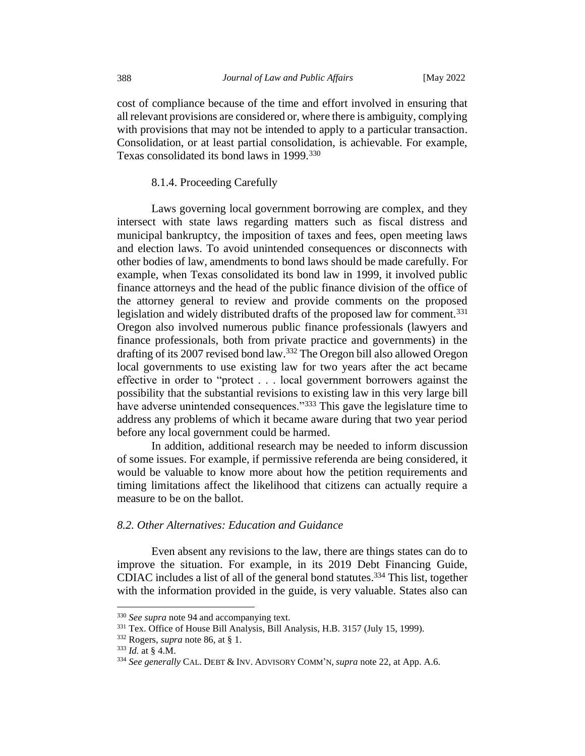cost of compliance because of the time and effort involved in ensuring that all relevant provisions are considered or, where there is ambiguity, complying with provisions that may not be intended to apply to a particular transaction. Consolidation, or at least partial consolidation, is achievable. For example, Texas consolidated its bond laws in 1999.<sup>330</sup>

### 8.1.4. Proceeding Carefully

Laws governing local government borrowing are complex, and they intersect with state laws regarding matters such as fiscal distress and municipal bankruptcy, the imposition of taxes and fees, open meeting laws and election laws. To avoid unintended consequences or disconnects with other bodies of law, amendments to bond laws should be made carefully. For example, when Texas consolidated its bond law in 1999, it involved public finance attorneys and the head of the public finance division of the office of the attorney general to review and provide comments on the proposed legislation and widely distributed drafts of the proposed law for comment.<sup>331</sup> Oregon also involved numerous public finance professionals (lawyers and finance professionals, both from private practice and governments) in the drafting of its 2007 revised bond law.<sup>332</sup> The Oregon bill also allowed Oregon local governments to use existing law for two years after the act became effective in order to "protect . . . local government borrowers against the possibility that the substantial revisions to existing law in this very large bill have adverse unintended consequences."<sup>333</sup> This gave the legislature time to address any problems of which it became aware during that two year period before any local government could be harmed.

In addition, additional research may be needed to inform discussion of some issues. For example, if permissive referenda are being considered, it would be valuable to know more about how the petition requirements and timing limitations affect the likelihood that citizens can actually require a measure to be on the ballot.

# *8.2. Other Alternatives: Education and Guidance*

Even absent any revisions to the law, there are things states can do to improve the situation. For example, in its 2019 Debt Financing Guide, CDIAC includes a list of all of the general bond statutes.<sup>334</sup> This list, together with the information provided in the guide, is very valuable. States also can

<sup>330</sup> *See supra* note 94 and accompanying text.

<sup>331</sup> Tex. Office of House Bill Analysis, Bill Analysis, H.B. 3157 (July 15, 1999).

<sup>332</sup> Rogers, *supra* note 86, at § 1.

<sup>333</sup> *Id.* at § 4.M.

<sup>334</sup> *See generally* CAL. DEBT & INV. ADVISORY COMM'N, *supra* note 22, at App. A.6.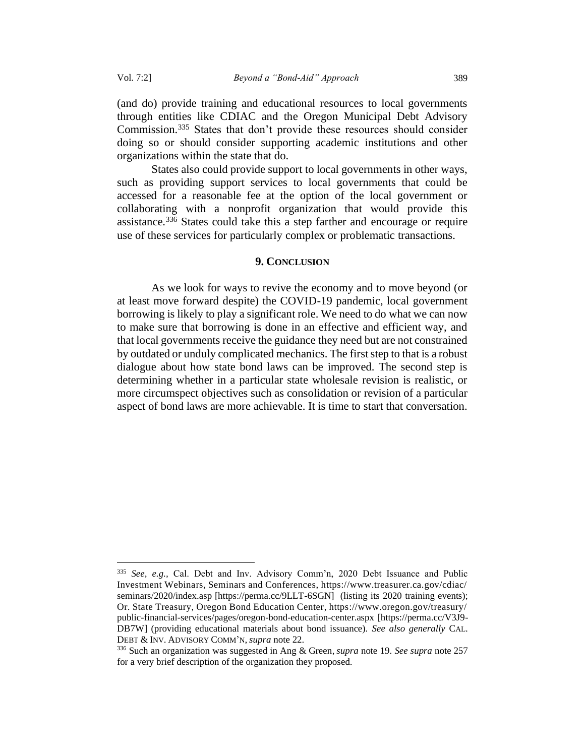(and do) provide training and educational resources to local governments through entities like CDIAC and the Oregon Municipal Debt Advisory Commission.<sup>335</sup> States that don't provide these resources should consider doing so or should consider supporting academic institutions and other organizations within the state that do.

States also could provide support to local governments in other ways, such as providing support services to local governments that could be accessed for a reasonable fee at the option of the local government or collaborating with a nonprofit organization that would provide this assistance.<sup>336</sup> States could take this a step farther and encourage or require use of these services for particularly complex or problematic transactions.

#### **9. CONCLUSION**

As we look for ways to revive the economy and to move beyond (or at least move forward despite) the COVID-19 pandemic, local government borrowing is likely to play a significant role. We need to do what we can now to make sure that borrowing is done in an effective and efficient way, and that local governments receive the guidance they need but are not constrained by outdated or unduly complicated mechanics. The first step to that is a robust dialogue about how state bond laws can be improved. The second step is determining whether in a particular state wholesale revision is realistic, or more circumspect objectives such as consolidation or revision of a particular aspect of bond laws are more achievable. It is time to start that conversation.

<sup>335</sup> *See, e.g.,* Cal. Debt and Inv. Advisory Comm'n, 2020 Debt Issuance and Public Investment Webinars, Seminars and Conferences, https://www.treasurer.ca.gov/cdiac/ seminars/2020/index.asp [https://perma.cc/9LLT-6SGN] (listing its 2020 training events); Or. State Treasury, Oregon Bond Education Center, https://www.oregon.gov/treasury/ public-financial-services/pages/oregon-bond-education-center.aspx [https://perma.cc/V3J9- DB7W] (providing educational materials about bond issuance). *See also generally* CAL. DEBT & INV. ADVISORY COMM'N, *supra* note 22.

<sup>336</sup> Such an organization was suggested in Ang & Green, *supra* note 19. *See supra* note 257 for a very brief description of the organization they proposed.